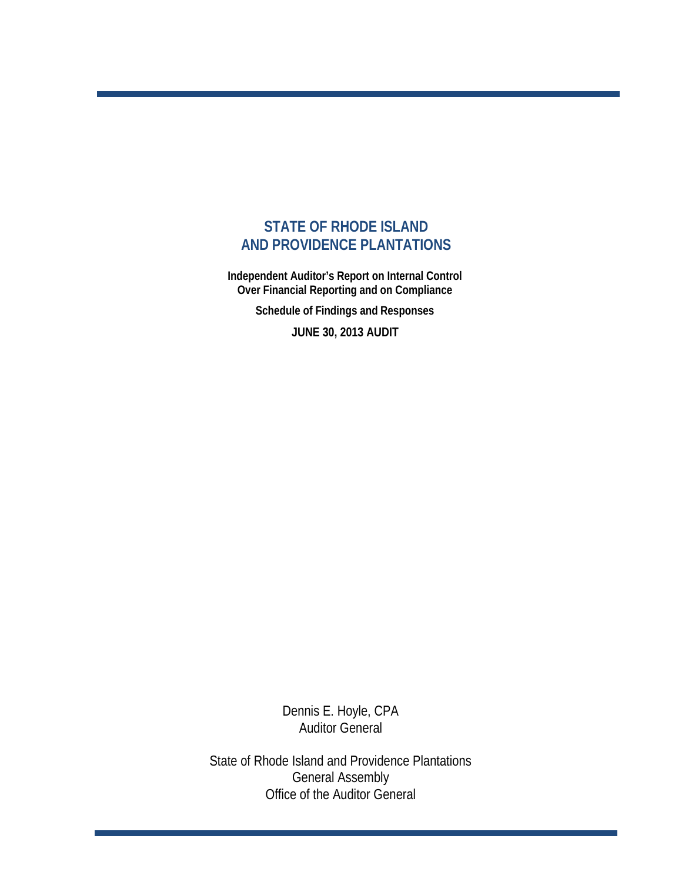# **STATE OF RHODE ISLAND AND PROVIDENCE PLANTATIONS**

 **Independent Auditor's Report on Internal Control Over Financial Reporting and on Compliance** 

 **Schedule of Findings and Responses**

 **JUNE 30, 2013 AUDIT**

Dennis E. Hoyle, CPA Auditor General

State of Rhode Island and Providence Plantations General Assembly Office of the Auditor General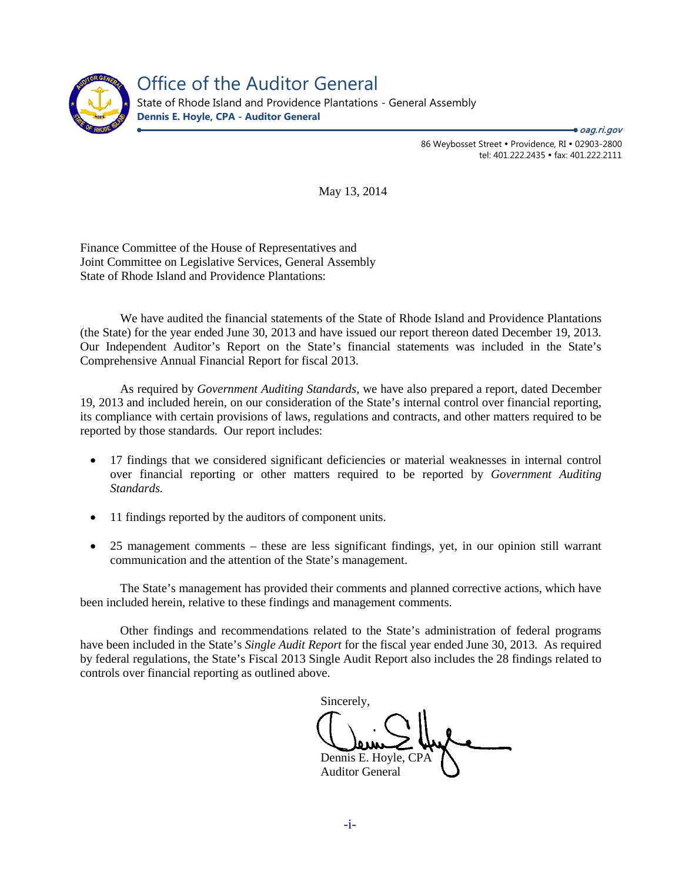

Office of the Auditor General State of Rhode Island and Providence Plantations - General Assembly **Dennis E. Hoyle, CPA - Auditor General**

> 86 Weybosset Street • Providence, RI • 02903-2800 tel: 401.222.2435 · fax: 401.222.2111 ➡ oag.ri.gov

May 13, 2014

Finance Committee of the House of Representatives and Joint Committee on Legislative Services, General Assembly State of Rhode Island and Providence Plantations:

We have audited the financial statements of the State of Rhode Island and Providence Plantations (the State) for the year ended June 30, 2013 and have issued our report thereon dated December 19, 2013. Our Independent Auditor's Report on the State's financial statements was included in the State's Comprehensive Annual Financial Report for fiscal 2013.

As required by *Government Auditing Standards,* we have also prepared a report, dated December 19, 2013 and included herein, on our consideration of the State's internal control over financial reporting, its compliance with certain provisions of laws, regulations and contracts, and other matters required to be reported by those standards. Our report includes:

- 17 findings that we considered significant deficiencies or material weaknesses in internal control over financial reporting or other matters required to be reported by *Government Auditing Standards.*
- 11 findings reported by the auditors of component units.
- 25 management comments these are less significant findings, yet, in our opinion still warrant communication and the attention of the State's management.

The State's management has provided their comments and planned corrective actions, which have been included herein, relative to these findings and management comments.

Other findings and recommendations related to the State's administration of federal programs have been included in the State's *Single Audit Report* for the fiscal year ended June 30, 2013*.* As required by federal regulations, the State's Fiscal 2013 Single Audit Report also includes the 28 findings related to controls over financial reporting as outlined above.

Sincerely,

Dennis E. Hoyle, CPA Auditor General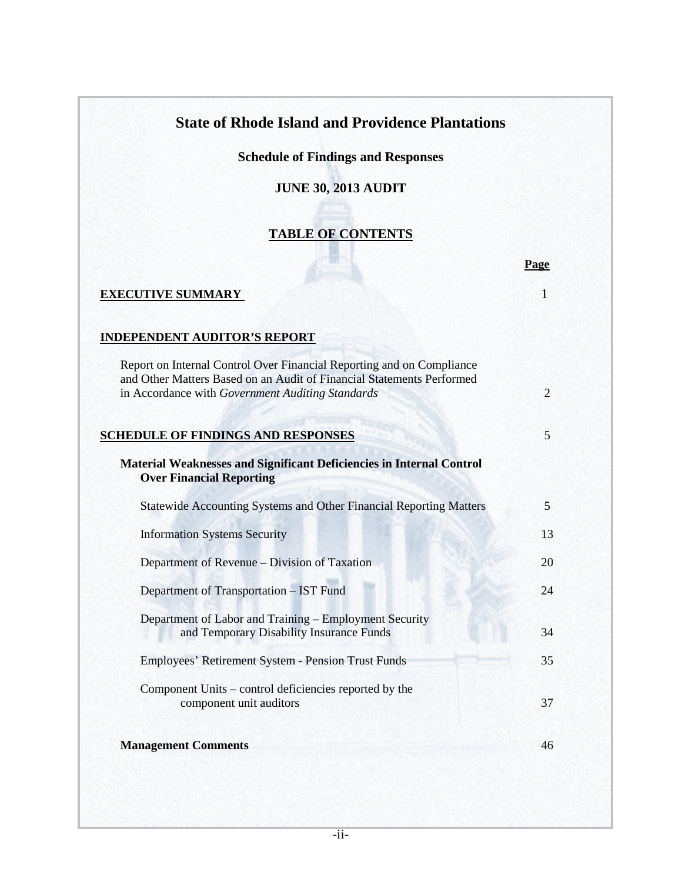# **State of Rhode Island and Providence Plantations**

**Schedule of Findings and Responses**

# **JUNE 30, 2013 AUDIT**

# **TABLE OF CONTENTS**

|                                                                                                                                                                                                    | Page           |
|----------------------------------------------------------------------------------------------------------------------------------------------------------------------------------------------------|----------------|
| <b>EXECUTIVE SUMMARY</b>                                                                                                                                                                           | 1              |
| <b>INDEPENDENT AUDITOR'S REPORT</b>                                                                                                                                                                |                |
| Report on Internal Control Over Financial Reporting and on Compliance<br>and Other Matters Based on an Audit of Financial Statements Performed<br>in Accordance with Government Auditing Standards | $\overline{2}$ |
| <b>SCHEDULE OF FINDINGS AND RESPONSES</b>                                                                                                                                                          | 5              |
| Material Weaknesses and Significant Deficiencies in Internal Control<br><b>Over Financial Reporting</b>                                                                                            |                |
| <b>Statewide Accounting Systems and Other Financial Reporting Matters</b>                                                                                                                          | 5              |
| <b>Information Systems Security</b>                                                                                                                                                                | 13             |
| Department of Revenue – Division of Taxation                                                                                                                                                       | 20             |
| Department of Transportation - IST Fund                                                                                                                                                            | 24             |
| Department of Labor and Training – Employment Security<br>and Temporary Disability Insurance Funds                                                                                                 | 34             |
| Employees' Retirement System - Pension Trust Funds                                                                                                                                                 | 35             |
| Component Units – control deficiencies reported by the<br>component unit auditors                                                                                                                  | 37             |
| <b>Management Comments</b>                                                                                                                                                                         | 46             |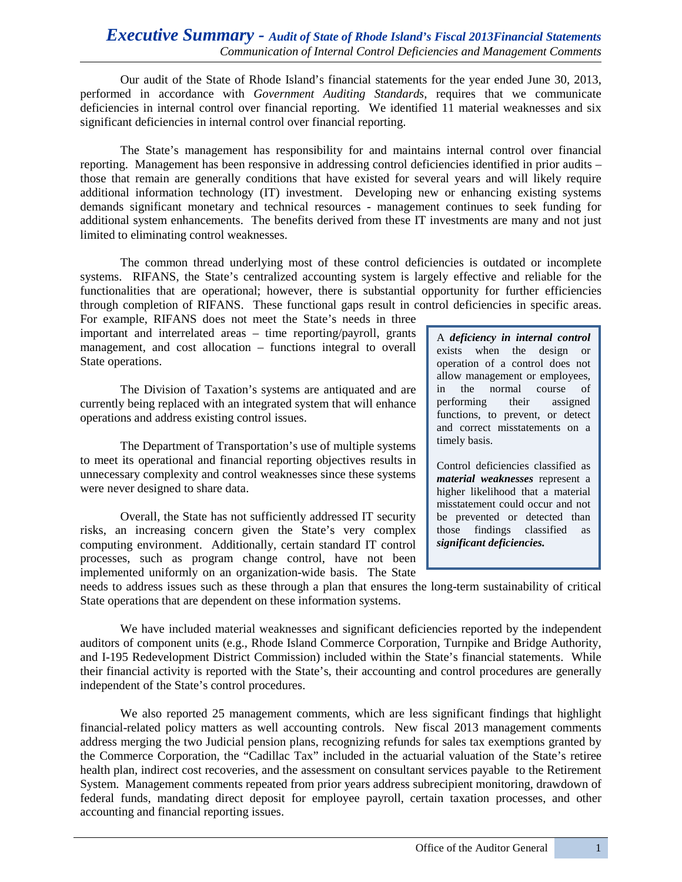*Executive Summary - Audit of State of Rhode Island's Fiscal 2013Financial Statements Communication of Internal Control Deficiencies and Management Comments*

Our audit of the State of Rhode Island's financial statements for the year ended June 30, 2013, performed in accordance with *Government Auditing Standards*, requires that we communicate deficiencies in internal control over financial reporting. We identified 11 material weaknesses and six significant deficiencies in internal control over financial reporting.

The State's management has responsibility for and maintains internal control over financial reporting. Management has been responsive in addressing control deficiencies identified in prior audits – those that remain are generally conditions that have existed for several years and will likely require additional information technology (IT) investment. Developing new or enhancing existing systems demands significant monetary and technical resources - management continues to seek funding for additional system enhancements. The benefits derived from these IT investments are many and not just limited to eliminating control weaknesses.

The common thread underlying most of these control deficiencies is outdated or incomplete systems. RIFANS, the State's centralized accounting system is largely effective and reliable for the functionalities that are operational; however, there is substantial opportunity for further efficiencies through completion of RIFANS. These functional gaps result in control deficiencies in specific areas.

For example, RIFANS does not meet the State's needs in three important and interrelated areas – time reporting/payroll, grants management, and cost allocation – functions integral to overall State operations.

The Division of Taxation's systems are antiquated and are currently being replaced with an integrated system that will enhance operations and address existing control issues.

The Department of Transportation's use of multiple systems to meet its operational and financial reporting objectives results in unnecessary complexity and control weaknesses since these systems were never designed to share data.

Overall, the State has not sufficiently addressed IT security risks, an increasing concern given the State's very complex computing environment. Additionally, certain standard IT control processes, such as program change control, have not been implemented uniformly on an organization-wide basis. The State

A *deficiency in internal control* exists when the design or operation of a control does not allow management or employees, in the normal course of performing their assigned functions, to prevent, or detect and correct misstatements on a timely basis.

Control deficiencies classified as *material weaknesses* represent a higher likelihood that a material misstatement could occur and not be prevented or detected than those findings classified as *significant deficiencies.*

needs to address issues such as these through a plan that ensures the long-term sustainability of critical State operations that are dependent on these information systems.

We have included material weaknesses and significant deficiencies reported by the independent auditors of component units (e.g., Rhode Island Commerce Corporation, Turnpike and Bridge Authority, and I-195 Redevelopment District Commission) included within the State's financial statements. While their financial activity is reported with the State's, their accounting and control procedures are generally independent of the State's control procedures.

We also reported 25 management comments, which are less significant findings that highlight financial-related policy matters as well accounting controls. New fiscal 2013 management comments address merging the two Judicial pension plans, recognizing refunds for sales tax exemptions granted by the Commerce Corporation, the "Cadillac Tax" included in the actuarial valuation of the State's retiree health plan, indirect cost recoveries, and the assessment on consultant services payable to the Retirement System. Management comments repeated from prior years address subrecipient monitoring, drawdown of federal funds, mandating direct deposit for employee payroll, certain taxation processes, and other accounting and financial reporting issues.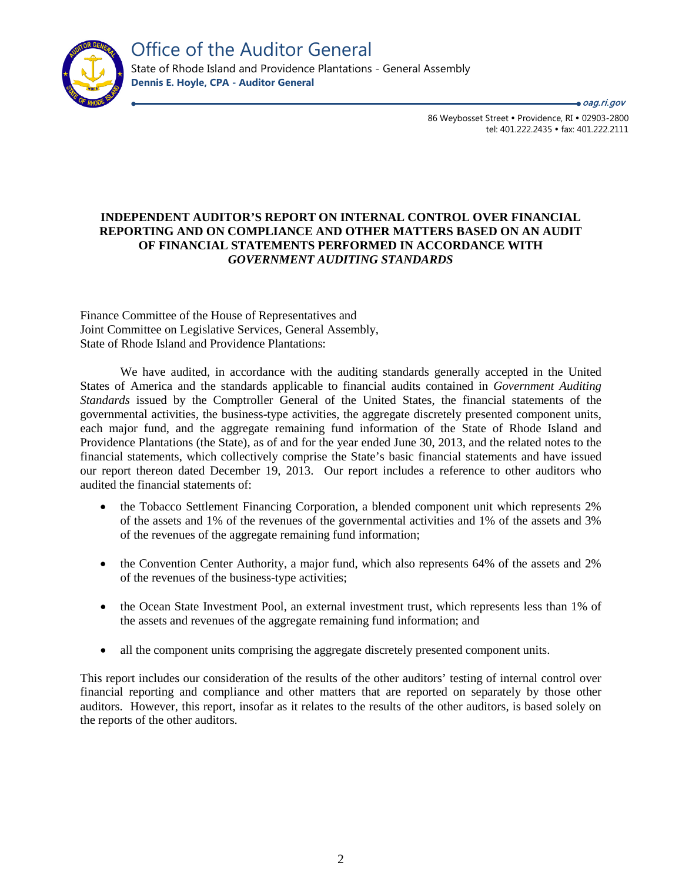

oag.ri.gov

86 Weybosset Street · Providence, RI · 02903-2800 tel: 401.222.2435 · fax: 401.222.2111

## **INDEPENDENT AUDITOR'S REPORT ON INTERNAL CONTROL OVER FINANCIAL REPORTING AND ON COMPLIANCE AND OTHER MATTERS BASED ON AN AUDIT OF FINANCIAL STATEMENTS PERFORMED IN ACCORDANCE WITH**  *GOVERNMENT AUDITING STANDARDS*

Finance Committee of the House of Representatives and Joint Committee on Legislative Services, General Assembly, State of Rhode Island and Providence Plantations:

We have audited, in accordance with the auditing standards generally accepted in the United States of America and the standards applicable to financial audits contained in *Government Auditing Standards* issued by the Comptroller General of the United States, the financial statements of the governmental activities, the business-type activities, the aggregate discretely presented component units, each major fund, and the aggregate remaining fund information of the State of Rhode Island and Providence Plantations (the State), as of and for the year ended June 30, 2013, and the related notes to the financial statements, which collectively comprise the State's basic financial statements and have issued our report thereon dated December 19, 2013. Our report includes a reference to other auditors who audited the financial statements of:

- the Tobacco Settlement Financing Corporation, a blended component unit which represents 2% of the assets and 1% of the revenues of the governmental activities and 1% of the assets and 3% of the revenues of the aggregate remaining fund information;
- the Convention Center Authority, a major fund, which also represents 64% of the assets and 2% of the revenues of the business-type activities;
- the Ocean State Investment Pool, an external investment trust, which represents less than 1% of the assets and revenues of the aggregate remaining fund information; and
- all the component units comprising the aggregate discretely presented component units.

This report includes our consideration of the results of the other auditors' testing of internal control over financial reporting and compliance and other matters that are reported on separately by those other auditors. However, this report, insofar as it relates to the results of the other auditors, is based solely on the reports of the other auditors.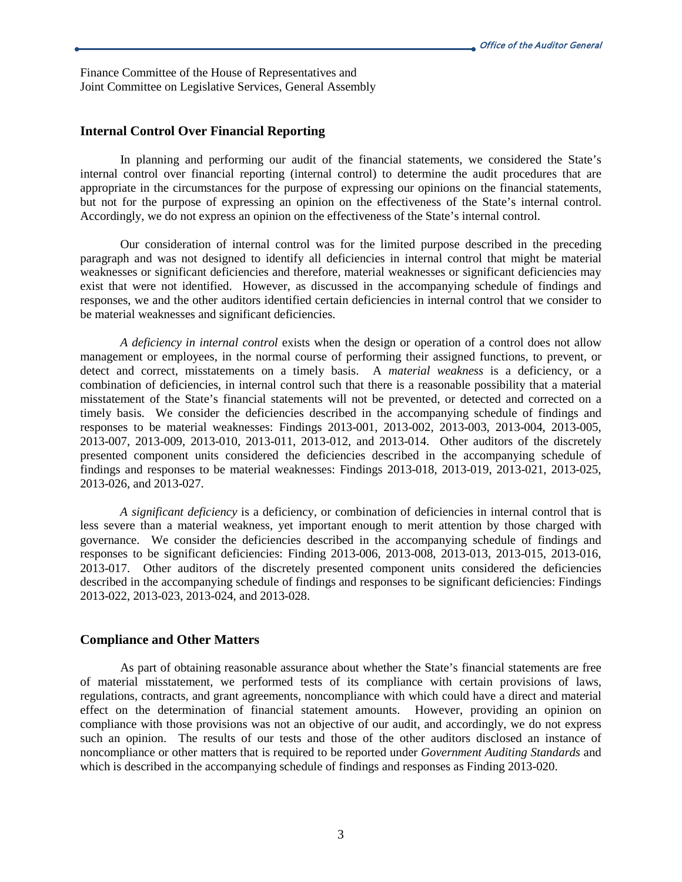Finance Committee of the House of Representatives and Joint Committee on Legislative Services, General Assembly

## **Internal Control Over Financial Reporting**

In planning and performing our audit of the financial statements, we considered the State's internal control over financial reporting (internal control) to determine the audit procedures that are appropriate in the circumstances for the purpose of expressing our opinions on the financial statements, but not for the purpose of expressing an opinion on the effectiveness of the State's internal control. Accordingly, we do not express an opinion on the effectiveness of the State's internal control.

Our consideration of internal control was for the limited purpose described in the preceding paragraph and was not designed to identify all deficiencies in internal control that might be material weaknesses or significant deficiencies and therefore, material weaknesses or significant deficiencies may exist that were not identified. However, as discussed in the accompanying schedule of findings and responses, we and the other auditors identified certain deficiencies in internal control that we consider to be material weaknesses and significant deficiencies.

*A deficiency in internal control* exists when the design or operation of a control does not allow management or employees, in the normal course of performing their assigned functions, to prevent, or detect and correct, misstatements on a timely basis. A *material weakness* is a deficiency, or a combination of deficiencies, in internal control such that there is a reasonable possibility that a material misstatement of the State's financial statements will not be prevented, or detected and corrected on a timely basis. We consider the deficiencies described in the accompanying schedule of findings and responses to be material weaknesses: Findings 2013-001, 2013-002, 2013-003, 2013-004, 2013-005, 2013-007, 2013-009, 2013-010, 2013-011, 2013-012, and 2013-014. Other auditors of the discretely presented component units considered the deficiencies described in the accompanying schedule of findings and responses to be material weaknesses: Findings 2013-018, 2013-019, 2013-021, 2013-025, 2013-026, and 2013-027.

*A significant deficiency* is a deficiency, or combination of deficiencies in internal control that is less severe than a material weakness, yet important enough to merit attention by those charged with governance. We consider the deficiencies described in the accompanying schedule of findings and responses to be significant deficiencies: Finding 2013-006, 2013-008, 2013-013, 2013-015, 2013-016, 2013-017. Other auditors of the discretely presented component units considered the deficiencies described in the accompanying schedule of findings and responses to be significant deficiencies: Findings 2013-022, 2013-023, 2013-024, and 2013-028.

## **Compliance and Other Matters**

As part of obtaining reasonable assurance about whether the State's financial statements are free of material misstatement, we performed tests of its compliance with certain provisions of laws, regulations, contracts, and grant agreements, noncompliance with which could have a direct and material effect on the determination of financial statement amounts. However, providing an opinion on compliance with those provisions was not an objective of our audit, and accordingly, we do not express such an opinion. The results of our tests and those of the other auditors disclosed an instance of noncompliance or other matters that is required to be reported under *Government Auditing Standards* and which is described in the accompanying schedule of findings and responses as Finding 2013-020.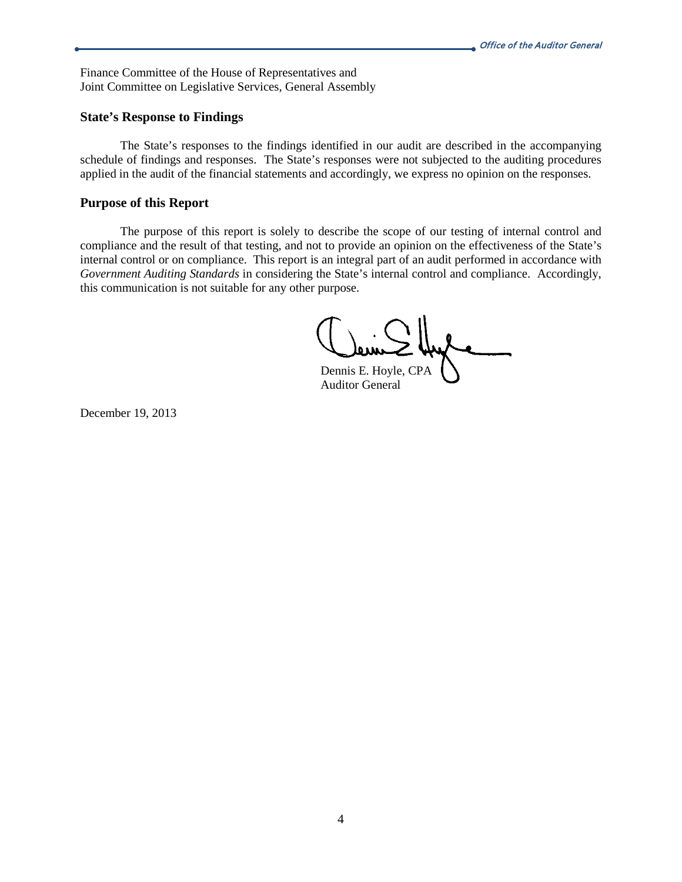Finance Committee of the House of Representatives and Joint Committee on Legislative Services, General Assembly

## **State's Response to Findings**

The State's responses to the findings identified in our audit are described in the accompanying schedule of findings and responses. The State's responses were not subjected to the auditing procedures applied in the audit of the financial statements and accordingly, we express no opinion on the responses.

## **Purpose of this Report**

The purpose of this report is solely to describe the scope of our testing of internal control and compliance and the result of that testing, and not to provide an opinion on the effectiveness of the State's internal control or on compliance. This report is an integral part of an audit performed in accordance with *Government Auditing Standards* in considering the State's internal control and compliance. Accordingly, this communication is not suitable for any other purpose.

Dennis E. Hoyle, CPA

Auditor General

December 19, 2013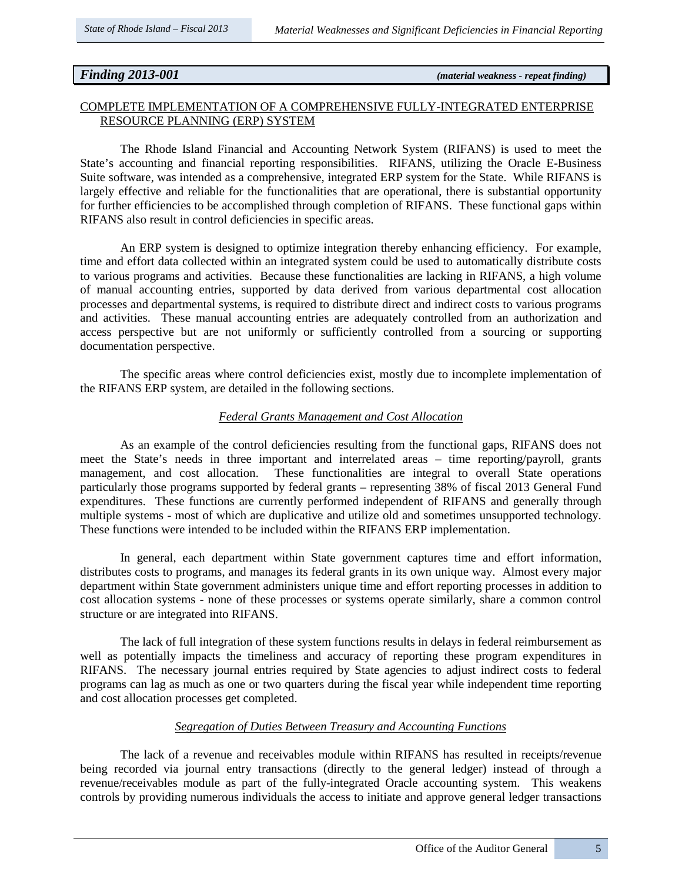*Finding 2013-001 (material weakness - repeat finding)*

## COMPLETE IMPLEMENTATION OF A COMPREHENSIVE FULLY-INTEGRATED ENTERPRISE RESOURCE PLANNING (ERP) SYSTEM

The Rhode Island Financial and Accounting Network System (RIFANS) is used to meet the State's accounting and financial reporting responsibilities. RIFANS, utilizing the Oracle E-Business Suite software, was intended as a comprehensive, integrated ERP system for the State. While RIFANS is largely effective and reliable for the functionalities that are operational, there is substantial opportunity for further efficiencies to be accomplished through completion of RIFANS. These functional gaps within RIFANS also result in control deficiencies in specific areas.

An ERP system is designed to optimize integration thereby enhancing efficiency. For example, time and effort data collected within an integrated system could be used to automatically distribute costs to various programs and activities. Because these functionalities are lacking in RIFANS, a high volume of manual accounting entries, supported by data derived from various departmental cost allocation processes and departmental systems, is required to distribute direct and indirect costs to various programs and activities. These manual accounting entries are adequately controlled from an authorization and access perspective but are not uniformly or sufficiently controlled from a sourcing or supporting documentation perspective.

The specific areas where control deficiencies exist, mostly due to incomplete implementation of the RIFANS ERP system, are detailed in the following sections.

## *Federal Grants Management and Cost Allocation*

As an example of the control deficiencies resulting from the functional gaps, RIFANS does not meet the State's needs in three important and interrelated areas – time reporting/payroll, grants management, and cost allocation. These functionalities are integral to overall State operations particularly those programs supported by federal grants – representing 38% of fiscal 2013 General Fund expenditures. These functions are currently performed independent of RIFANS and generally through multiple systems - most of which are duplicative and utilize old and sometimes unsupported technology. These functions were intended to be included within the RIFANS ERP implementation.

In general, each department within State government captures time and effort information, distributes costs to programs, and manages its federal grants in its own unique way. Almost every major department within State government administers unique time and effort reporting processes in addition to cost allocation systems - none of these processes or systems operate similarly, share a common control structure or are integrated into RIFANS.

The lack of full integration of these system functions results in delays in federal reimbursement as well as potentially impacts the timeliness and accuracy of reporting these program expenditures in RIFANS. The necessary journal entries required by State agencies to adjust indirect costs to federal programs can lag as much as one or two quarters during the fiscal year while independent time reporting and cost allocation processes get completed.

## *Segregation of Duties Between Treasury and Accounting Functions*

The lack of a revenue and receivables module within RIFANS has resulted in receipts/revenue being recorded via journal entry transactions (directly to the general ledger) instead of through a revenue/receivables module as part of the fully-integrated Oracle accounting system. This weakens controls by providing numerous individuals the access to initiate and approve general ledger transactions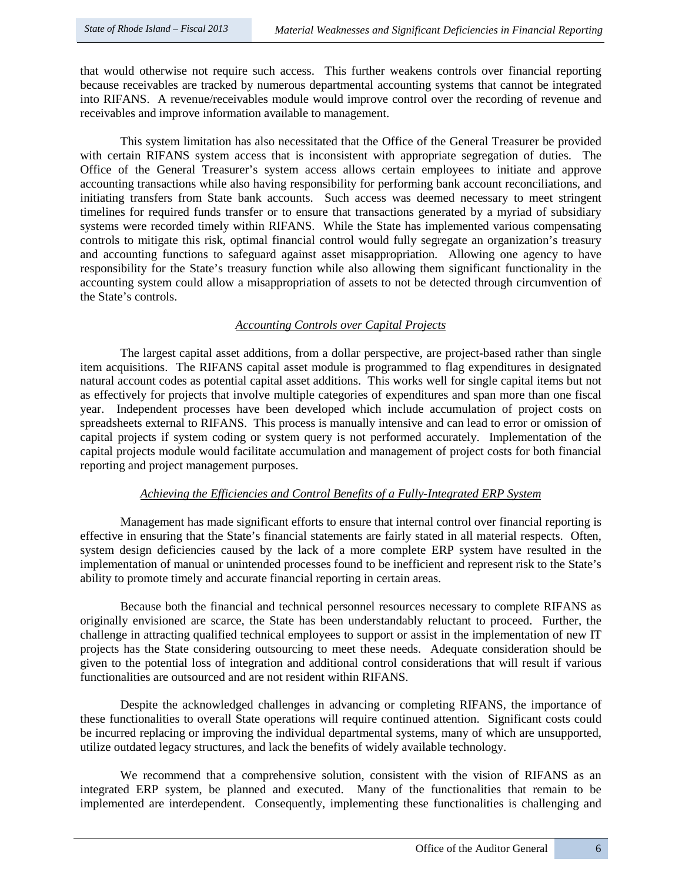that would otherwise not require such access. This further weakens controls over financial reporting because receivables are tracked by numerous departmental accounting systems that cannot be integrated into RIFANS. A revenue/receivables module would improve control over the recording of revenue and receivables and improve information available to management.

This system limitation has also necessitated that the Office of the General Treasurer be provided with certain RIFANS system access that is inconsistent with appropriate segregation of duties. The Office of the General Treasurer's system access allows certain employees to initiate and approve accounting transactions while also having responsibility for performing bank account reconciliations, and initiating transfers from State bank accounts. Such access was deemed necessary to meet stringent timelines for required funds transfer or to ensure that transactions generated by a myriad of subsidiary systems were recorded timely within RIFANS. While the State has implemented various compensating controls to mitigate this risk, optimal financial control would fully segregate an organization's treasury and accounting functions to safeguard against asset misappropriation. Allowing one agency to have responsibility for the State's treasury function while also allowing them significant functionality in the accounting system could allow a misappropriation of assets to not be detected through circumvention of the State's controls.

## *Accounting Controls over Capital Projects*

The largest capital asset additions, from a dollar perspective, are project-based rather than single item acquisitions. The RIFANS capital asset module is programmed to flag expenditures in designated natural account codes as potential capital asset additions. This works well for single capital items but not as effectively for projects that involve multiple categories of expenditures and span more than one fiscal year. Independent processes have been developed which include accumulation of project costs on spreadsheets external to RIFANS. This process is manually intensive and can lead to error or omission of capital projects if system coding or system query is not performed accurately. Implementation of the capital projects module would facilitate accumulation and management of project costs for both financial reporting and project management purposes.

## *Achieving the Efficiencies and Control Benefits of a Fully-Integrated ERP System*

Management has made significant efforts to ensure that internal control over financial reporting is effective in ensuring that the State's financial statements are fairly stated in all material respects. Often, system design deficiencies caused by the lack of a more complete ERP system have resulted in the implementation of manual or unintended processes found to be inefficient and represent risk to the State's ability to promote timely and accurate financial reporting in certain areas.

Because both the financial and technical personnel resources necessary to complete RIFANS as originally envisioned are scarce, the State has been understandably reluctant to proceed. Further, the challenge in attracting qualified technical employees to support or assist in the implementation of new IT projects has the State considering outsourcing to meet these needs. Adequate consideration should be given to the potential loss of integration and additional control considerations that will result if various functionalities are outsourced and are not resident within RIFANS.

Despite the acknowledged challenges in advancing or completing RIFANS, the importance of these functionalities to overall State operations will require continued attention. Significant costs could be incurred replacing or improving the individual departmental systems, many of which are unsupported, utilize outdated legacy structures, and lack the benefits of widely available technology.

We recommend that a comprehensive solution, consistent with the vision of RIFANS as an integrated ERP system, be planned and executed. Many of the functionalities that remain to be implemented are interdependent. Consequently, implementing these functionalities is challenging and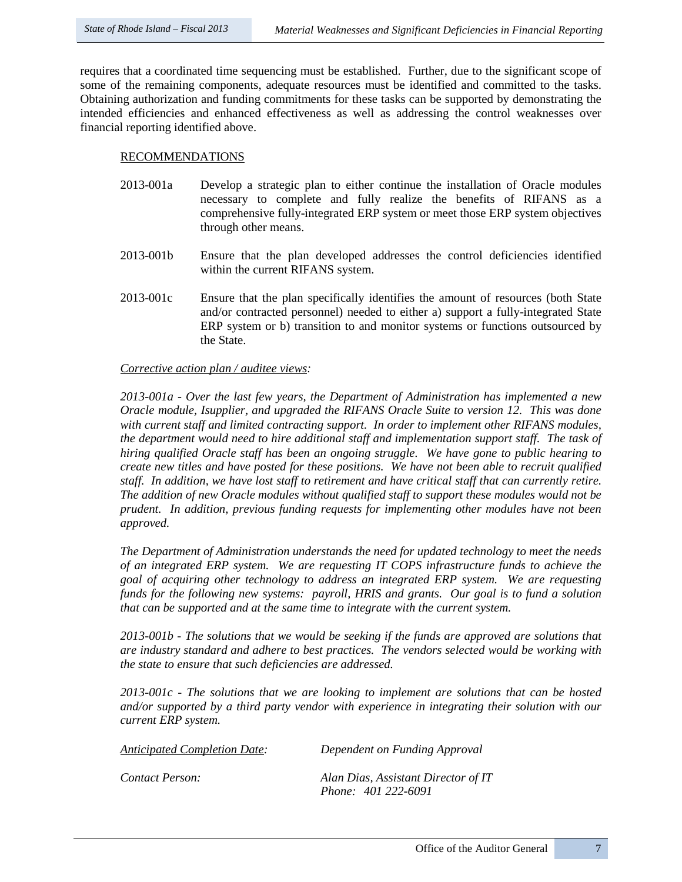requires that a coordinated time sequencing must be established. Further, due to the significant scope of some of the remaining components, adequate resources must be identified and committed to the tasks. Obtaining authorization and funding commitments for these tasks can be supported by demonstrating the intended efficiencies and enhanced effectiveness as well as addressing the control weaknesses over financial reporting identified above.

## RECOMMENDATIONS

- 2013-001a Develop a strategic plan to either continue the installation of Oracle modules necessary to complete and fully realize the benefits of RIFANS as a comprehensive fully-integrated ERP system or meet those ERP system objectives through other means.
- 2013-001b Ensure that the plan developed addresses the control deficiencies identified within the current RIFANS system.
- 2013-001c Ensure that the plan specifically identifies the amount of resources (both State and/or contracted personnel) needed to either a) support a fully-integrated State ERP system or b) transition to and monitor systems or functions outsourced by the State.

## *Corrective action plan / auditee views:*

*2013-001a - Over the last few years, the Department of Administration has implemented a new Oracle module, Isupplier, and upgraded the RIFANS Oracle Suite to version 12. This was done with current staff and limited contracting support. In order to implement other RIFANS modules, the department would need to hire additional staff and implementation support staff. The task of hiring qualified Oracle staff has been an ongoing struggle. We have gone to public hearing to create new titles and have posted for these positions. We have not been able to recruit qualified staff. In addition, we have lost staff to retirement and have critical staff that can currently retire. The addition of new Oracle modules without qualified staff to support these modules would not be prudent. In addition, previous funding requests for implementing other modules have not been approved.*

*The Department of Administration understands the need for updated technology to meet the needs of an integrated ERP system. We are requesting IT COPS infrastructure funds to achieve the goal of acquiring other technology to address an integrated ERP system. We are requesting funds for the following new systems: payroll, HRIS and grants. Our goal is to fund a solution that can be supported and at the same time to integrate with the current system.* 

*2013-001b - The solutions that we would be seeking if the funds are approved are solutions that are industry standard and adhere to best practices. The vendors selected would be working with the state to ensure that such deficiencies are addressed.*

*2013-001c - The solutions that we are looking to implement are solutions that can be hosted and/or supported by a third party vendor with experience in integrating their solution with our current ERP system.* 

| <b>Anticipated Completion Date:</b> | Dependent on Funding Approval                              |
|-------------------------------------|------------------------------------------------------------|
| Contact Person:                     | Alan Dias, Assistant Director of IT<br>Phone: 401 222-6091 |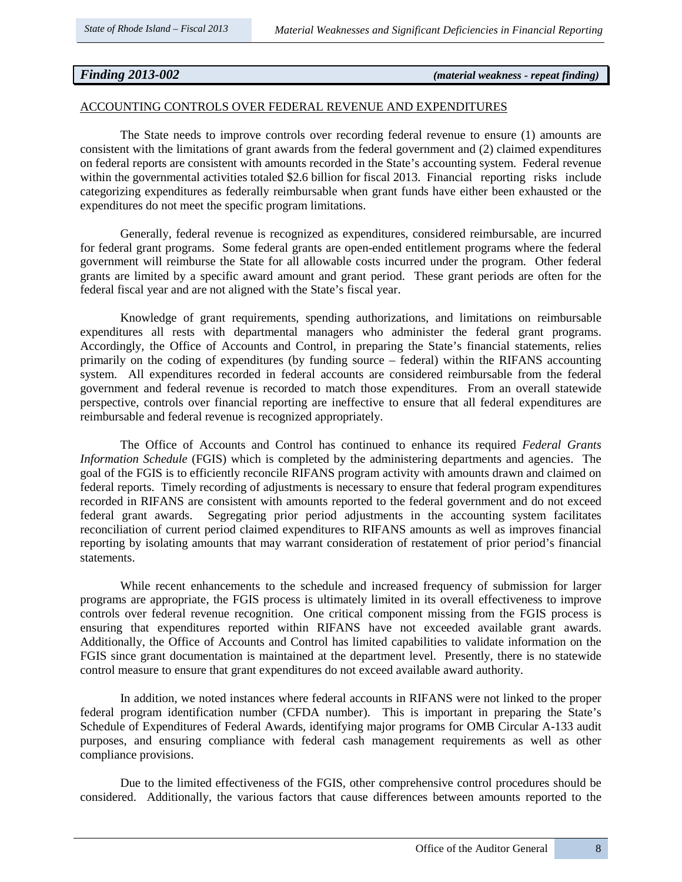## *Finding 2013-002 (material weakness - repeat finding)*

### ACCOUNTING CONTROLS OVER FEDERAL REVENUE AND EXPENDITURES

The State needs to improve controls over recording federal revenue to ensure (1) amounts are consistent with the limitations of grant awards from the federal government and (2) claimed expenditures on federal reports are consistent with amounts recorded in the State's accounting system. Federal revenue within the governmental activities totaled \$2.6 billion for fiscal 2013. Financial reporting risks include categorizing expenditures as federally reimbursable when grant funds have either been exhausted or the expenditures do not meet the specific program limitations.

Generally, federal revenue is recognized as expenditures, considered reimbursable, are incurred for federal grant programs. Some federal grants are open-ended entitlement programs where the federal government will reimburse the State for all allowable costs incurred under the program. Other federal grants are limited by a specific award amount and grant period. These grant periods are often for the federal fiscal year and are not aligned with the State's fiscal year.

Knowledge of grant requirements, spending authorizations, and limitations on reimbursable expenditures all rests with departmental managers who administer the federal grant programs. Accordingly, the Office of Accounts and Control, in preparing the State's financial statements, relies primarily on the coding of expenditures (by funding source – federal) within the RIFANS accounting system. All expenditures recorded in federal accounts are considered reimbursable from the federal government and federal revenue is recorded to match those expenditures. From an overall statewide perspective, controls over financial reporting are ineffective to ensure that all federal expenditures are reimbursable and federal revenue is recognized appropriately.

The Office of Accounts and Control has continued to enhance its required *Federal Grants Information Schedule* (FGIS) which is completed by the administering departments and agencies. The goal of the FGIS is to efficiently reconcile RIFANS program activity with amounts drawn and claimed on federal reports. Timely recording of adjustments is necessary to ensure that federal program expenditures recorded in RIFANS are consistent with amounts reported to the federal government and do not exceed federal grant awards. Segregating prior period adjustments in the accounting system facilitates reconciliation of current period claimed expenditures to RIFANS amounts as well as improves financial reporting by isolating amounts that may warrant consideration of restatement of prior period's financial statements.

While recent enhancements to the schedule and increased frequency of submission for larger programs are appropriate, the FGIS process is ultimately limited in its overall effectiveness to improve controls over federal revenue recognition. One critical component missing from the FGIS process is ensuring that expenditures reported within RIFANS have not exceeded available grant awards. Additionally, the Office of Accounts and Control has limited capabilities to validate information on the FGIS since grant documentation is maintained at the department level. Presently, there is no statewide control measure to ensure that grant expenditures do not exceed available award authority.

In addition, we noted instances where federal accounts in RIFANS were not linked to the proper federal program identification number (CFDA number). This is important in preparing the State's Schedule of Expenditures of Federal Awards, identifying major programs for OMB Circular A-133 audit purposes, and ensuring compliance with federal cash management requirements as well as other compliance provisions.

Due to the limited effectiveness of the FGIS, other comprehensive control procedures should be considered. Additionally, the various factors that cause differences between amounts reported to the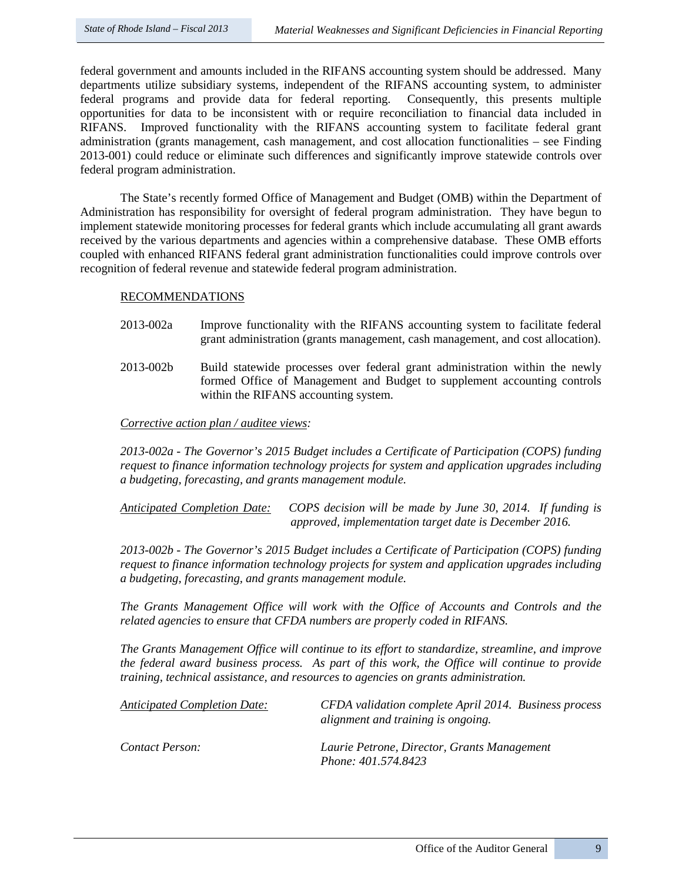federal government and amounts included in the RIFANS accounting system should be addressed. Many departments utilize subsidiary systems, independent of the RIFANS accounting system, to administer federal programs and provide data for federal reporting. Consequently, this presents multiple opportunities for data to be inconsistent with or require reconciliation to financial data included in RIFANS. Improved functionality with the RIFANS accounting system to facilitate federal grant administration (grants management, cash management, and cost allocation functionalities – see Finding 2013-001) could reduce or eliminate such differences and significantly improve statewide controls over federal program administration.

The State's recently formed Office of Management and Budget (OMB) within the Department of Administration has responsibility for oversight of federal program administration. They have begun to implement statewide monitoring processes for federal grants which include accumulating all grant awards received by the various departments and agencies within a comprehensive database. These OMB efforts coupled with enhanced RIFANS federal grant administration functionalities could improve controls over recognition of federal revenue and statewide federal program administration.

## RECOMMENDATIONS

- 2013-002a Improve functionality with the RIFANS accounting system to facilitate federal grant administration (grants management, cash management, and cost allocation).
- 2013-002b Build statewide processes over federal grant administration within the newly formed Office of Management and Budget to supplement accounting controls within the RIFANS accounting system.

## *Corrective action plan / auditee views:*

*2013-002a - The Governor's 2015 Budget includes a Certificate of Participation (COPS) funding request to finance information technology projects for system and application upgrades including a budgeting, forecasting, and grants management module.*

*Anticipated Completion Date: COPS decision will be made by June 30, 2014. If funding is approved, implementation target date is December 2016.* 

*2013-002b - The Governor's 2015 Budget includes a Certificate of Participation (COPS) funding request to finance information technology projects for system and application upgrades including a budgeting, forecasting, and grants management module.*

*The Grants Management Office will work with the Office of Accounts and Controls and the related agencies to ensure that CFDA numbers are properly coded in RIFANS.* 

*The Grants Management Office will continue to its effort to standardize, streamline, and improve the federal award business process. As part of this work, the Office will continue to provide training, technical assistance, and resources to agencies on grants administration.* 

| Anticipated Completion Date: | CFDA validation complete April 2014. Business process<br>alignment and training is ongoing. |
|------------------------------|---------------------------------------------------------------------------------------------|
| Contact Person:              | Laurie Petrone, Director, Grants Management<br>Phone: 401.574.8423                          |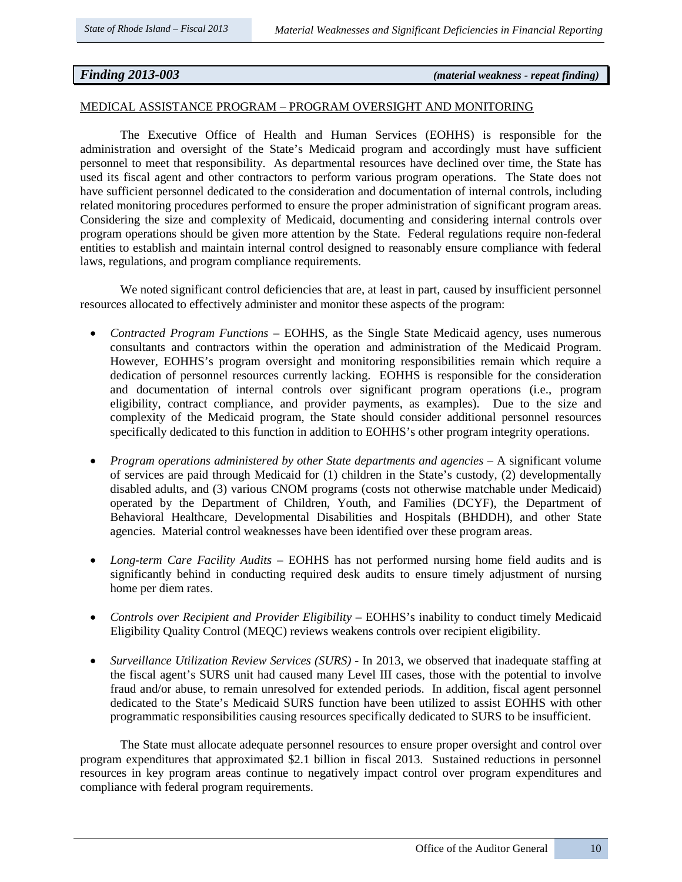## *Finding 2013-003 (material weakness - repeat finding)*

## MEDICAL ASSISTANCE PROGRAM – PROGRAM OVERSIGHT AND MONITORING

The Executive Office of Health and Human Services (EOHHS) is responsible for the administration and oversight of the State's Medicaid program and accordingly must have sufficient personnel to meet that responsibility. As departmental resources have declined over time, the State has used its fiscal agent and other contractors to perform various program operations. The State does not have sufficient personnel dedicated to the consideration and documentation of internal controls, including related monitoring procedures performed to ensure the proper administration of significant program areas. Considering the size and complexity of Medicaid, documenting and considering internal controls over program operations should be given more attention by the State. Federal regulations require non-federal entities to establish and maintain internal control designed to reasonably ensure compliance with federal laws, regulations, and program compliance requirements.

We noted significant control deficiencies that are, at least in part, caused by insufficient personnel resources allocated to effectively administer and monitor these aspects of the program:

- *Contracted Program Functions –* EOHHS, as the Single State Medicaid agency, uses numerous consultants and contractors within the operation and administration of the Medicaid Program. However, EOHHS's program oversight and monitoring responsibilities remain which require a dedication of personnel resources currently lacking. EOHHS is responsible for the consideration and documentation of internal controls over significant program operations (i.e., program eligibility, contract compliance, and provider payments, as examples). Due to the size and complexity of the Medicaid program, the State should consider additional personnel resources specifically dedicated to this function in addition to EOHHS's other program integrity operations.
- *Program operations administered by other State departments and agencies* A significant volume of services are paid through Medicaid for (1) children in the State's custody, (2) developmentally disabled adults, and (3) various CNOM programs (costs not otherwise matchable under Medicaid) operated by the Department of Children, Youth, and Families (DCYF), the Department of Behavioral Healthcare, Developmental Disabilities and Hospitals (BHDDH), and other State agencies. Material control weaknesses have been identified over these program areas.
- *Long-term Care Facility Audits* EOHHS has not performed nursing home field audits and is significantly behind in conducting required desk audits to ensure timely adjustment of nursing home per diem rates.
- *Controls over Recipient and Provider Eligibility –* EOHHS's inability to conduct timely Medicaid Eligibility Quality Control (MEQC) reviews weakens controls over recipient eligibility.
- *Surveillance Utilization Review Services (SURS)* In 2013, we observed that inadequate staffing at the fiscal agent's SURS unit had caused many Level III cases, those with the potential to involve fraud and/or abuse, to remain unresolved for extended periods. In addition, fiscal agent personnel dedicated to the State's Medicaid SURS function have been utilized to assist EOHHS with other programmatic responsibilities causing resources specifically dedicated to SURS to be insufficient.

 The State must allocate adequate personnel resources to ensure proper oversight and control over program expenditures that approximated \$2.1 billion in fiscal 2013. Sustained reductions in personnel resources in key program areas continue to negatively impact control over program expenditures and compliance with federal program requirements.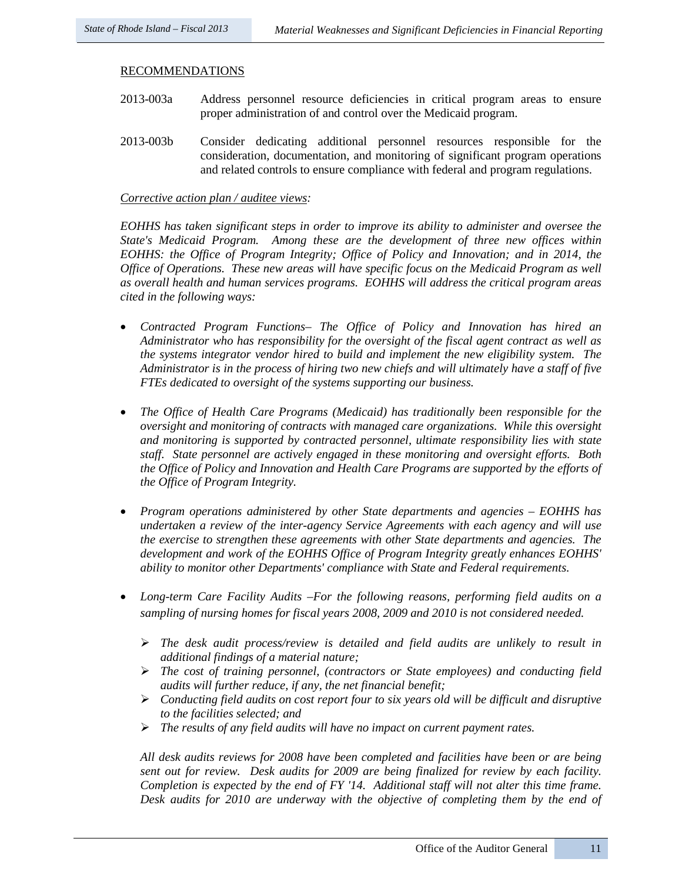### RECOMMENDATIONS

- 2013-003a Address personnel resource deficiencies in critical program areas to ensure proper administration of and control over the Medicaid program.
- 2013-003b Consider dedicating additional personnel resources responsible for the consideration, documentation, and monitoring of significant program operations and related controls to ensure compliance with federal and program regulations.

### *Corrective action plan / auditee views:*

*EOHHS has taken significant steps in order to improve its ability to administer and oversee the State's Medicaid Program. Among these are the development of three new offices within EOHHS: the Office of Program Integrity; Office of Policy and Innovation; and in 2014, the Office of Operations. These new areas will have specific focus on the Medicaid Program as well as overall health and human services programs. EOHHS will address the critical program areas cited in the following ways:*

- *Contracted Program Functions– The Office of Policy and Innovation has hired an Administrator who has responsibility for the oversight of the fiscal agent contract as well as the systems integrator vendor hired to build and implement the new eligibility system. The Administrator is in the process of hiring two new chiefs and will ultimately have a staff of five FTEs dedicated to oversight of the systems supporting our business.*
- *The Office of Health Care Programs (Medicaid) has traditionally been responsible for the oversight and monitoring of contracts with managed care organizations. While this oversight and monitoring is supported by contracted personnel, ultimate responsibility lies with state staff. State personnel are actively engaged in these monitoring and oversight efforts. Both the Office of Policy and Innovation and Health Care Programs are supported by the efforts of the Office of Program Integrity.*
- *Program operations administered by other State departments and agencies – EOHHS has undertaken a review of the inter-agency Service Agreements with each agency and will use the exercise to strengthen these agreements with other State departments and agencies. The development and work of the EOHHS Office of Program Integrity greatly enhances EOHHS' ability to monitor other Departments' compliance with State and Federal requirements.*
- *Long-term Care Facility Audits –For the following reasons, performing field audits on a sampling of nursing homes for fiscal years 2008, 2009 and 2010 is not considered needed.* 
	- *The desk audit process/review is detailed and field audits are unlikely to result in additional findings of a material nature;*
	- *The cost of training personnel, (contractors or State employees) and conducting field audits will further reduce, if any, the net financial benefit;*
	- *Conducting field audits on cost report four to six years old will be difficult and disruptive to the facilities selected; and*
	- *The results of any field audits will have no impact on current payment rates.*

*All desk audits reviews for 2008 have been completed and facilities have been or are being sent out for review. Desk audits for 2009 are being finalized for review by each facility. Completion is expected by the end of FY '14. Additional staff will not alter this time frame. Desk audits for 2010 are underway with the objective of completing them by the end of*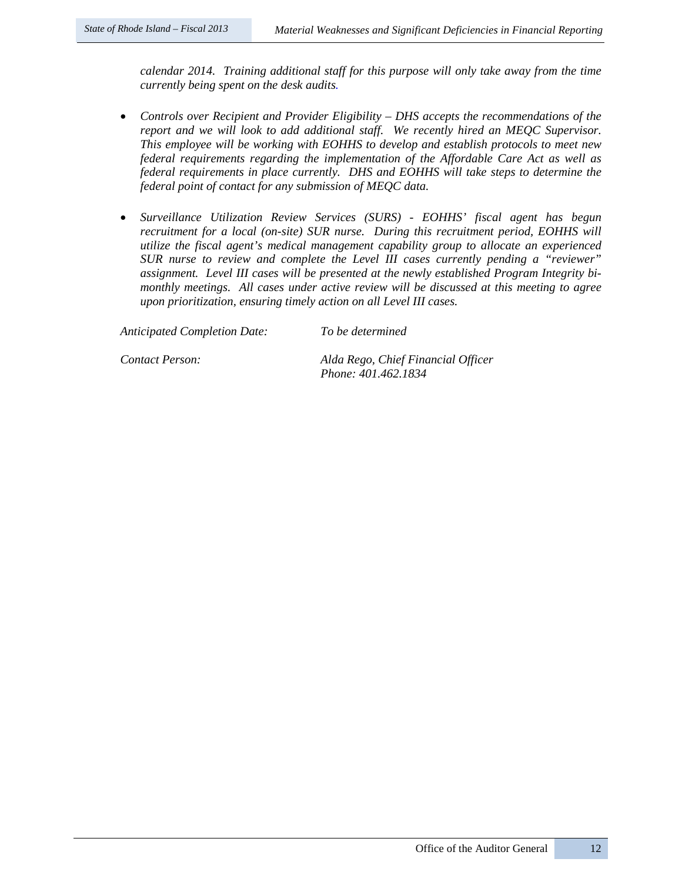*calendar 2014. Training additional staff for this purpose will only take away from the time currently being spent on the desk audits.* 

- *Controls over Recipient and Provider Eligibility – DHS accepts the recommendations of the report and we will look to add additional staff. We recently hired an MEQC Supervisor. This employee will be working with EOHHS to develop and establish protocols to meet new federal requirements regarding the implementation of the Affordable Care Act as well as federal requirements in place currently. DHS and EOHHS will take steps to determine the federal point of contact for any submission of MEQC data.*
- *Surveillance Utilization Review Services (SURS) - EOHHS' fiscal agent has begun recruitment for a local (on-site) SUR nurse. During this recruitment period, EOHHS will utilize the fiscal agent's medical management capability group to allocate an experienced SUR nurse to review and complete the Level III cases currently pending a "reviewer" assignment. Level III cases will be presented at the newly established Program Integrity bimonthly meetings. All cases under active review will be discussed at this meeting to agree upon prioritization, ensuring timely action on all Level III cases.*

*Anticipated Completion Date: To be determined*

*Contact Person: Alda Rego, Chief Financial Officer Phone: 401.462.1834*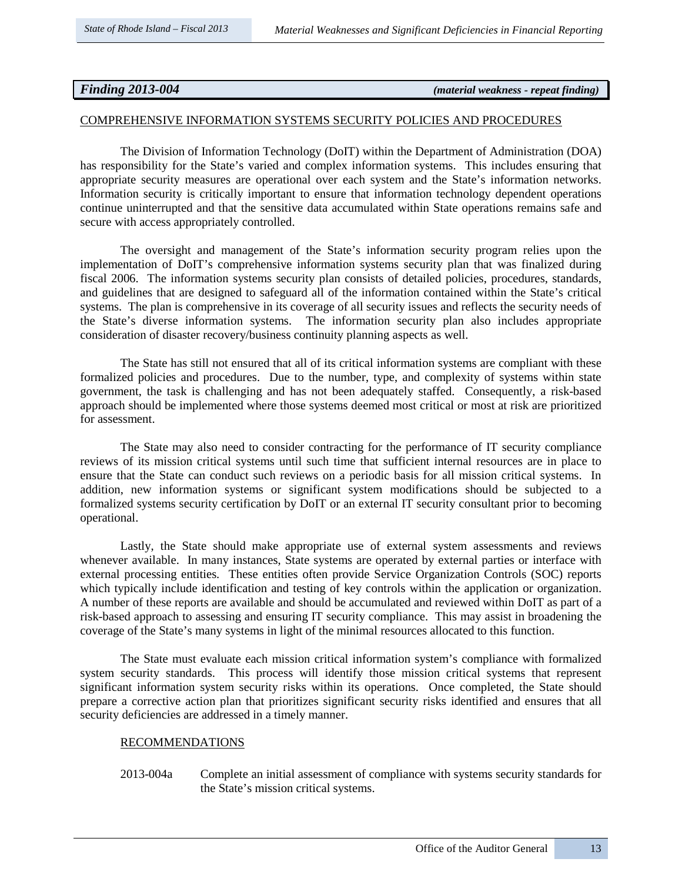## *Finding 2013-004 (material weakness - repeat finding)*

## COMPREHENSIVE INFORMATION SYSTEMS SECURITY POLICIES AND PROCEDURES

The Division of Information Technology (DoIT) within the Department of Administration (DOA) has responsibility for the State's varied and complex information systems. This includes ensuring that appropriate security measures are operational over each system and the State's information networks. Information security is critically important to ensure that information technology dependent operations continue uninterrupted and that the sensitive data accumulated within State operations remains safe and secure with access appropriately controlled.

The oversight and management of the State's information security program relies upon the implementation of DoIT's comprehensive information systems security plan that was finalized during fiscal 2006. The information systems security plan consists of detailed policies, procedures, standards, and guidelines that are designed to safeguard all of the information contained within the State's critical systems. The plan is comprehensive in its coverage of all security issues and reflects the security needs of the State's diverse information systems. The information security plan also includes appropriate consideration of disaster recovery/business continuity planning aspects as well.

The State has still not ensured that all of its critical information systems are compliant with these formalized policies and procedures. Due to the number, type, and complexity of systems within state government, the task is challenging and has not been adequately staffed. Consequently, a risk-based approach should be implemented where those systems deemed most critical or most at risk are prioritized for assessment.

The State may also need to consider contracting for the performance of IT security compliance reviews of its mission critical systems until such time that sufficient internal resources are in place to ensure that the State can conduct such reviews on a periodic basis for all mission critical systems. In addition, new information systems or significant system modifications should be subjected to a formalized systems security certification by DoIT or an external IT security consultant prior to becoming operational.

Lastly, the State should make appropriate use of external system assessments and reviews whenever available. In many instances, State systems are operated by external parties or interface with external processing entities. These entities often provide Service Organization Controls (SOC) reports which typically include identification and testing of key controls within the application or organization. A number of these reports are available and should be accumulated and reviewed within DoIT as part of a risk-based approach to assessing and ensuring IT security compliance. This may assist in broadening the coverage of the State's many systems in light of the minimal resources allocated to this function.

The State must evaluate each mission critical information system's compliance with formalized system security standards. This process will identify those mission critical systems that represent significant information system security risks within its operations. Once completed, the State should prepare a corrective action plan that prioritizes significant security risks identified and ensures that all security deficiencies are addressed in a timely manner.

### RECOMMENDATIONS

2013-004a Complete an initial assessment of compliance with systems security standards for the State's mission critical systems.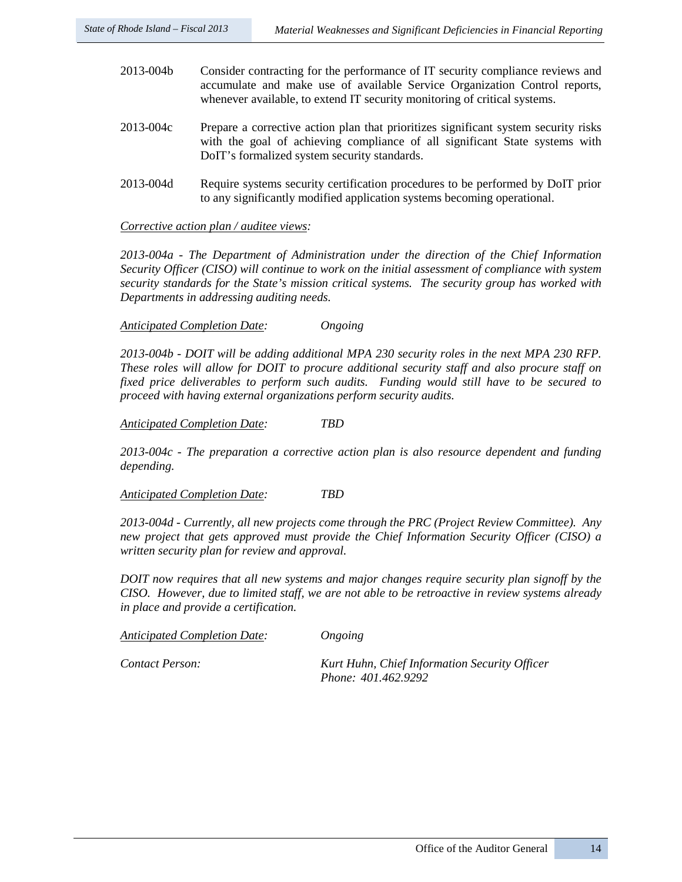- 2013-004b Consider contracting for the performance of IT security compliance reviews and accumulate and make use of available Service Organization Control reports, whenever available, to extend IT security monitoring of critical systems.
- 2013-004c Prepare a corrective action plan that prioritizes significant system security risks with the goal of achieving compliance of all significant State systems with DoIT's formalized system security standards.
- 2013-004d Require systems security certification procedures to be performed by DoIT prior to any significantly modified application systems becoming operational.

### *Corrective action plan / auditee views:*

*2013-004a - The Department of Administration under the direction of the Chief Information Security Officer (CISO) will continue to work on the initial assessment of compliance with system security standards for the State's mission critical systems. The security group has worked with Departments in addressing auditing needs.* 

*Anticipated Completion Date: Ongoing*

*2013-004b - DOIT will be adding additional MPA 230 security roles in the next MPA 230 RFP. These roles will allow for DOIT to procure additional security staff and also procure staff on fixed price deliverables to perform such audits. Funding would still have to be secured to proceed with having external organizations perform security audits.* 

*Anticipated Completion Date: TBD*

*2013-004c - The preparation a corrective action plan is also resource dependent and funding depending.* 

*Anticipated Completion Date: TBD*

*2013-004d - Currently, all new projects come through the PRC (Project Review Committee). Any new project that gets approved must provide the Chief Information Security Officer (CISO) a written security plan for review and approval.* 

*DOIT now requires that all new systems and major changes require security plan signoff by the CISO. However, due to limited staff, we are not able to be retroactive in review systems already in place and provide a certification.*

*Anticipated Completion Date: Ongoing*

*Contact Person: Kurt Huhn, Chief Information Security Officer Phone: 401.462.9292*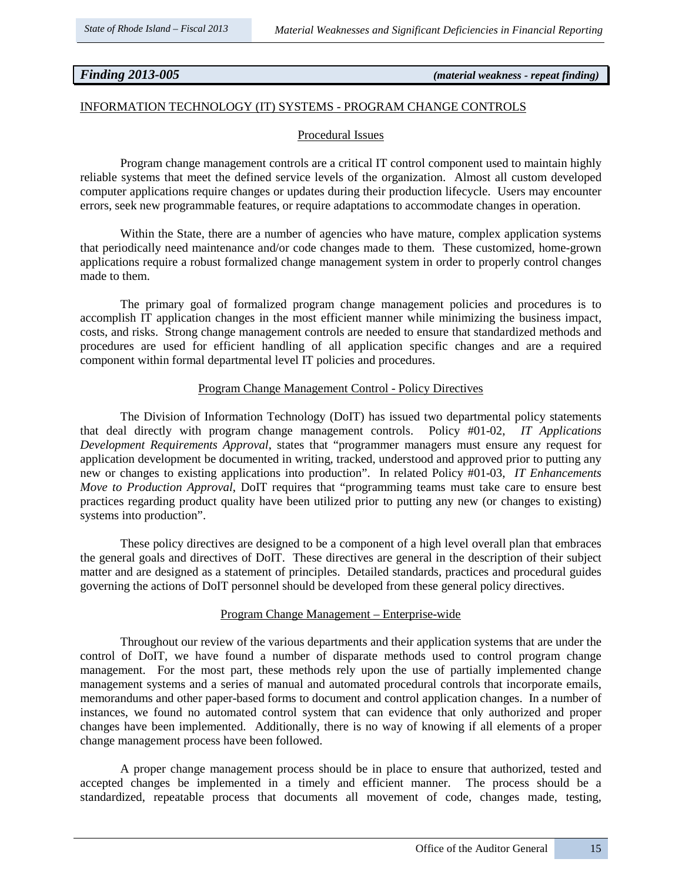## *Finding 2013-005 (material weakness - repeat finding)*

## INFORMATION TECHNOLOGY (IT) SYSTEMS - PROGRAM CHANGE CONTROLS

### Procedural Issues

Program change management controls are a critical IT control component used to maintain highly reliable systems that meet the defined service levels of the organization. Almost all custom developed computer applications require changes or updates during their production lifecycle. Users may encounter errors, seek new programmable features, or require adaptations to accommodate changes in operation.

Within the State, there are a number of agencies who have mature, complex application systems that periodically need maintenance and/or code changes made to them. These customized, home-grown applications require a robust formalized change management system in order to properly control changes made to them.

The primary goal of formalized program change management policies and procedures is to accomplish IT application changes in the most efficient manner while minimizing the business impact, costs, and risks. Strong change management controls are needed to ensure that standardized methods and procedures are used for efficient handling of all application specific changes and are a required component within formal departmental level IT policies and procedures.

### Program Change Management Control - Policy Directives

The Division of Information Technology (DoIT) has issued two departmental policy statements that deal directly with program change management controls. Policy #01-02, *IT Applications Development Requirements Approval*, states that "programmer managers must ensure any request for application development be documented in writing, tracked, understood and approved prior to putting any new or changes to existing applications into production". In related Policy #01-03, *IT Enhancements Move to Production Approval*, DoIT requires that "programming teams must take care to ensure best practices regarding product quality have been utilized prior to putting any new (or changes to existing) systems into production".

These policy directives are designed to be a component of a high level overall plan that embraces the general goals and directives of DoIT. These directives are general in the description of their subject matter and are designed as a statement of principles. Detailed standards, practices and procedural guides governing the actions of DoIT personnel should be developed from these general policy directives.

#### Program Change Management – Enterprise-wide

Throughout our review of the various departments and their application systems that are under the control of DoIT, we have found a number of disparate methods used to control program change management. For the most part, these methods rely upon the use of partially implemented change management systems and a series of manual and automated procedural controls that incorporate emails, memorandums and other paper-based forms to document and control application changes. In a number of instances, we found no automated control system that can evidence that only authorized and proper changes have been implemented. Additionally, there is no way of knowing if all elements of a proper change management process have been followed.

A proper change management process should be in place to ensure that authorized, tested and accepted changes be implemented in a timely and efficient manner. The process should be a standardized, repeatable process that documents all movement of code, changes made, testing,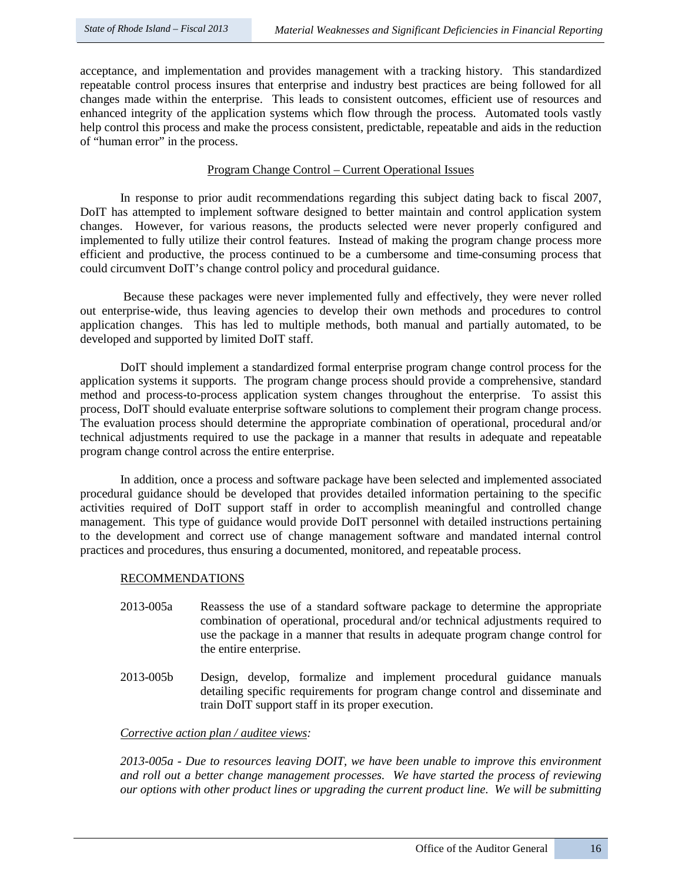acceptance, and implementation and provides management with a tracking history. This standardized repeatable control process insures that enterprise and industry best practices are being followed for all changes made within the enterprise. This leads to consistent outcomes, efficient use of resources and enhanced integrity of the application systems which flow through the process. Automated tools vastly help control this process and make the process consistent, predictable, repeatable and aids in the reduction of "human error" in the process.

## Program Change Control – Current Operational Issues

In response to prior audit recommendations regarding this subject dating back to fiscal 2007, DoIT has attempted to implement software designed to better maintain and control application system changes. However, for various reasons, the products selected were never properly configured and implemented to fully utilize their control features. Instead of making the program change process more efficient and productive, the process continued to be a cumbersome and time-consuming process that could circumvent DoIT's change control policy and procedural guidance.

Because these packages were never implemented fully and effectively, they were never rolled out enterprise-wide, thus leaving agencies to develop their own methods and procedures to control application changes. This has led to multiple methods, both manual and partially automated, to be developed and supported by limited DoIT staff.

DoIT should implement a standardized formal enterprise program change control process for the application systems it supports. The program change process should provide a comprehensive, standard method and process-to-process application system changes throughout the enterprise. To assist this process, DoIT should evaluate enterprise software solutions to complement their program change process. The evaluation process should determine the appropriate combination of operational, procedural and/or technical adjustments required to use the package in a manner that results in adequate and repeatable program change control across the entire enterprise.

In addition, once a process and software package have been selected and implemented associated procedural guidance should be developed that provides detailed information pertaining to the specific activities required of DoIT support staff in order to accomplish meaningful and controlled change management. This type of guidance would provide DoIT personnel with detailed instructions pertaining to the development and correct use of change management software and mandated internal control practices and procedures, thus ensuring a documented, monitored, and repeatable process.

## RECOMMENDATIONS

- 2013-005a Reassess the use of a standard software package to determine the appropriate combination of operational, procedural and/or technical adjustments required to use the package in a manner that results in adequate program change control for the entire enterprise.
- 2013-005b Design, develop, formalize and implement procedural guidance manuals detailing specific requirements for program change control and disseminate and train DoIT support staff in its proper execution.

## *Corrective action plan / auditee views:*

*2013-005a - Due to resources leaving DOIT, we have been unable to improve this environment and roll out a better change management processes. We have started the process of reviewing our options with other product lines or upgrading the current product line. We will be submitting*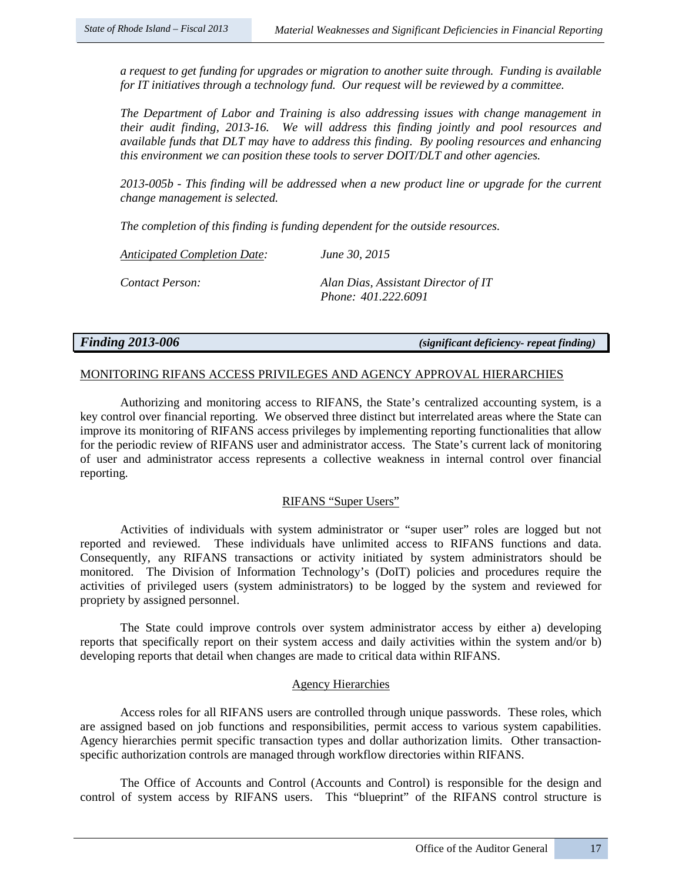*a request to get funding for upgrades or migration to another suite through. Funding is available for IT initiatives through a technology fund. Our request will be reviewed by a committee.*

*The Department of Labor and Training is also addressing issues with change management in their audit finding, 2013-16. We will address this finding jointly and pool resources and available funds that DLT may have to address this finding. By pooling resources and enhancing this environment we can position these tools to server DOIT/DLT and other agencies.*

*2013-005b - This finding will be addressed when a new product line or upgrade for the current change management is selected.* 

*The completion of this finding is funding dependent for the outside resources.* 

*Anticipated Completion Date: June 30, 2015*

*Contact Person: Alan Dias, Assistant Director of IT Phone: 401.222.6091*

*Finding 2013-006 (significant deficiency- repeat finding)*

## MONITORING RIFANS ACCESS PRIVILEGES AND AGENCY APPROVAL HIERARCHIES

Authorizing and monitoring access to RIFANS, the State's centralized accounting system, is a key control over financial reporting. We observed three distinct but interrelated areas where the State can improve its monitoring of RIFANS access privileges by implementing reporting functionalities that allow for the periodic review of RIFANS user and administrator access. The State's current lack of monitoring of user and administrator access represents a collective weakness in internal control over financial reporting.

## RIFANS "Super Users"

Activities of individuals with system administrator or "super user" roles are logged but not reported and reviewed. These individuals have unlimited access to RIFANS functions and data. Consequently, any RIFANS transactions or activity initiated by system administrators should be monitored. The Division of Information Technology's (DoIT) policies and procedures require the activities of privileged users (system administrators) to be logged by the system and reviewed for propriety by assigned personnel.

The State could improve controls over system administrator access by either a) developing reports that specifically report on their system access and daily activities within the system and/or b) developing reports that detail when changes are made to critical data within RIFANS.

## Agency Hierarchies

Access roles for all RIFANS users are controlled through unique passwords. These roles, which are assigned based on job functions and responsibilities, permit access to various system capabilities. Agency hierarchies permit specific transaction types and dollar authorization limits. Other transactionspecific authorization controls are managed through workflow directories within RIFANS.

The Office of Accounts and Control (Accounts and Control) is responsible for the design and control of system access by RIFANS users. This "blueprint" of the RIFANS control structure is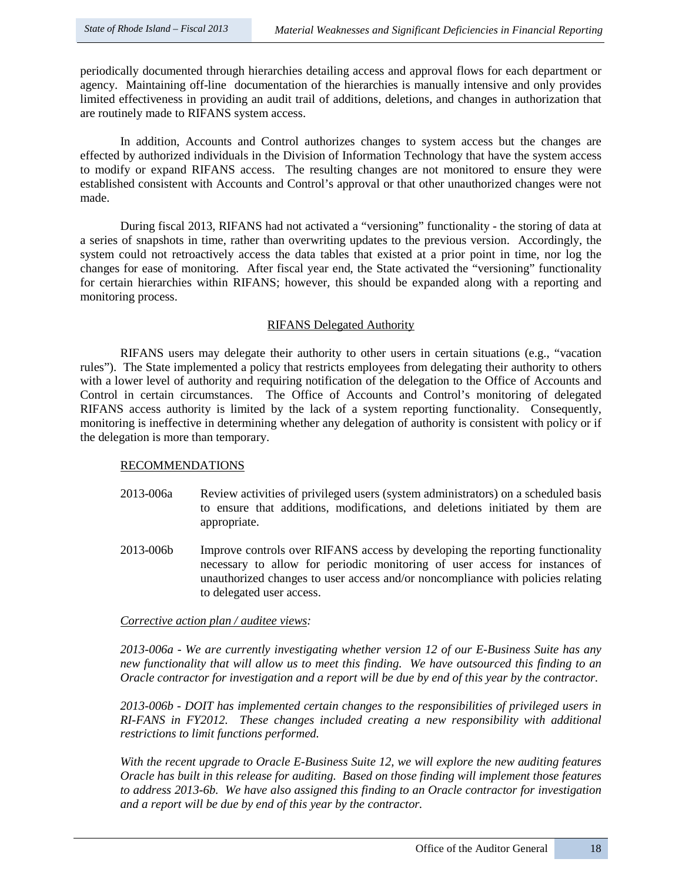periodically documented through hierarchies detailing access and approval flows for each department or agency. Maintaining off-line documentation of the hierarchies is manually intensive and only provides limited effectiveness in providing an audit trail of additions, deletions, and changes in authorization that are routinely made to RIFANS system access.

In addition, Accounts and Control authorizes changes to system access but the changes are effected by authorized individuals in the Division of Information Technology that have the system access to modify or expand RIFANS access. The resulting changes are not monitored to ensure they were established consistent with Accounts and Control's approval or that other unauthorized changes were not made.

During fiscal 2013, RIFANS had not activated a "versioning" functionality - the storing of data at a series of snapshots in time, rather than overwriting updates to the previous version. Accordingly, the system could not retroactively access the data tables that existed at a prior point in time, nor log the changes for ease of monitoring. After fiscal year end, the State activated the "versioning" functionality for certain hierarchies within RIFANS; however, this should be expanded along with a reporting and monitoring process.

## RIFANS Delegated Authority

RIFANS users may delegate their authority to other users in certain situations (e.g., "vacation rules"). The State implemented a policy that restricts employees from delegating their authority to others with a lower level of authority and requiring notification of the delegation to the Office of Accounts and Control in certain circumstances. The Office of Accounts and Control's monitoring of delegated RIFANS access authority is limited by the lack of a system reporting functionality. Consequently, monitoring is ineffective in determining whether any delegation of authority is consistent with policy or if the delegation is more than temporary.

## RECOMMENDATIONS

- 2013-006a Review activities of privileged users (system administrators) on a scheduled basis to ensure that additions, modifications, and deletions initiated by them are appropriate.
- 2013-006b Improve controls over RIFANS access by developing the reporting functionality necessary to allow for periodic monitoring of user access for instances of unauthorized changes to user access and/or noncompliance with policies relating to delegated user access.

## *Corrective action plan / auditee views:*

*2013-006a - We are currently investigating whether version 12 of our E-Business Suite has any new functionality that will allow us to meet this finding. We have outsourced this finding to an Oracle contractor for investigation and a report will be due by end of this year by the contractor.* 

*2013-006b - DOIT has implemented certain changes to the responsibilities of privileged users in RI-FANS in FY2012. These changes included creating a new responsibility with additional restrictions to limit functions performed.* 

*With the recent upgrade to Oracle E-Business Suite 12, we will explore the new auditing features Oracle has built in this release for auditing. Based on those finding will implement those features to address 2013-6b. We have also assigned this finding to an Oracle contractor for investigation and a report will be due by end of this year by the contractor.*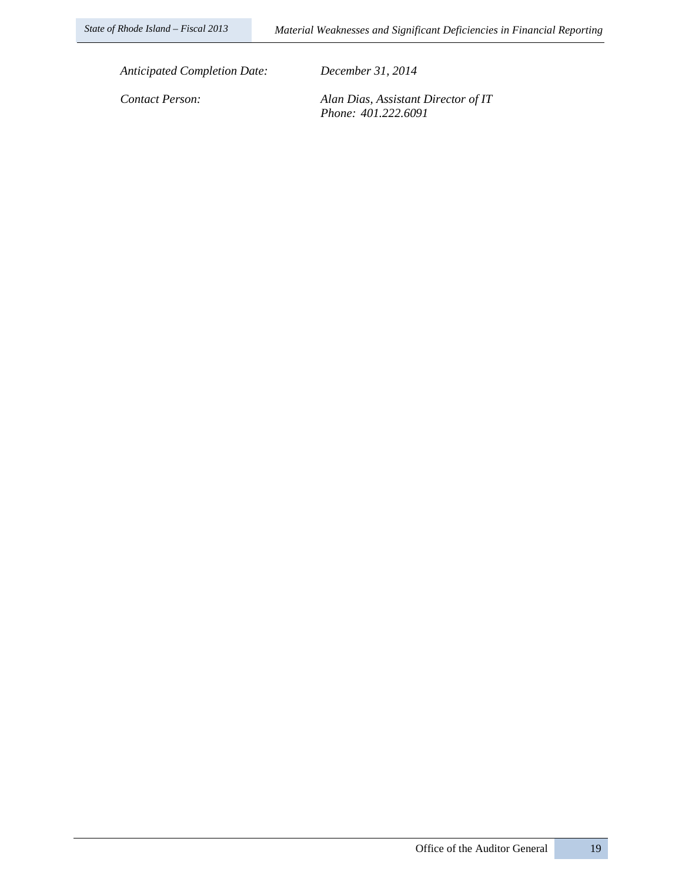*Anticipated Completion Date: December 31, 2014*

*Contact Person: Alan Dias, Assistant Director of IT Phone: 401.222.6091*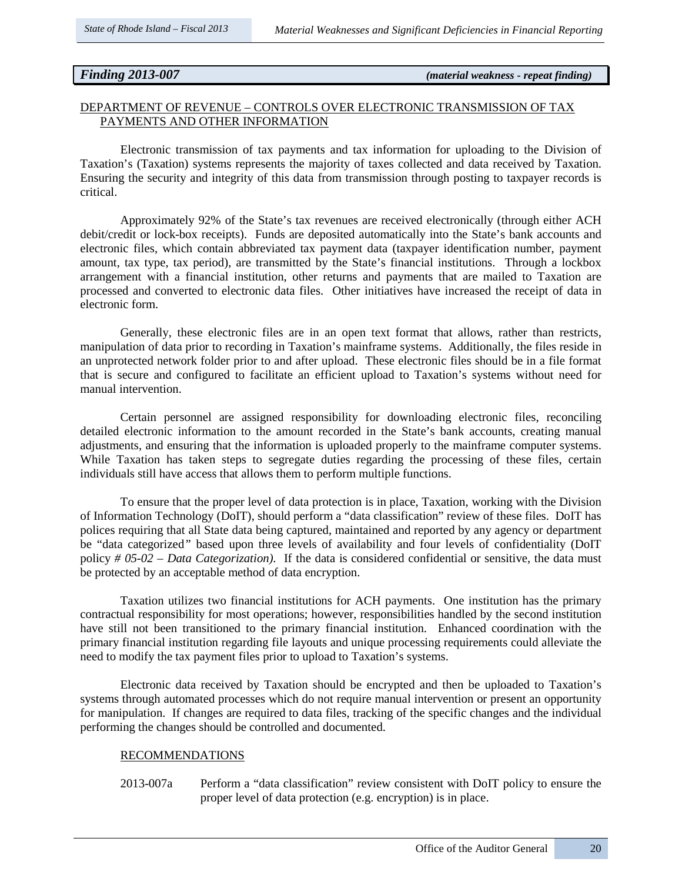## *Finding 2013-007 (material weakness - repeat finding)*

## DEPARTMENT OF REVENUE – CONTROLS OVER ELECTRONIC TRANSMISSION OF TAX PAYMENTS AND OTHER INFORMATION

Electronic transmission of tax payments and tax information for uploading to the Division of Taxation's (Taxation) systems represents the majority of taxes collected and data received by Taxation. Ensuring the security and integrity of this data from transmission through posting to taxpayer records is critical.

Approximately 92% of the State's tax revenues are received electronically (through either ACH debit/credit or lock-box receipts). Funds are deposited automatically into the State's bank accounts and electronic files, which contain abbreviated tax payment data (taxpayer identification number, payment amount, tax type, tax period), are transmitted by the State's financial institutions. Through a lockbox arrangement with a financial institution, other returns and payments that are mailed to Taxation are processed and converted to electronic data files. Other initiatives have increased the receipt of data in electronic form.

Generally, these electronic files are in an open text format that allows, rather than restricts, manipulation of data prior to recording in Taxation's mainframe systems. Additionally, the files reside in an unprotected network folder prior to and after upload. These electronic files should be in a file format that is secure and configured to facilitate an efficient upload to Taxation's systems without need for manual intervention.

Certain personnel are assigned responsibility for downloading electronic files, reconciling detailed electronic information to the amount recorded in the State's bank accounts, creating manual adjustments, and ensuring that the information is uploaded properly to the mainframe computer systems. While Taxation has taken steps to segregate duties regarding the processing of these files, certain individuals still have access that allows them to perform multiple functions.

To ensure that the proper level of data protection is in place, Taxation, working with the Division of Information Technology (DoIT), should perform a "data classification" review of these files. DoIT has polices requiring that all State data being captured, maintained and reported by any agency or department be "data categorized*"* based upon three levels of availability and four levels of confidentiality (DoIT policy *# 05-02 – Data Categorization).* If the data is considered confidential or sensitive, the data must be protected by an acceptable method of data encryption.

Taxation utilizes two financial institutions for ACH payments. One institution has the primary contractual responsibility for most operations; however, responsibilities handled by the second institution have still not been transitioned to the primary financial institution. Enhanced coordination with the primary financial institution regarding file layouts and unique processing requirements could alleviate the need to modify the tax payment files prior to upload to Taxation's systems.

Electronic data received by Taxation should be encrypted and then be uploaded to Taxation's systems through automated processes which do not require manual intervention or present an opportunity for manipulation. If changes are required to data files, tracking of the specific changes and the individual performing the changes should be controlled and documented.

### RECOMMENDATIONS

2013-007a Perform a "data classification" review consistent with DoIT policy to ensure the proper level of data protection (e.g. encryption) is in place.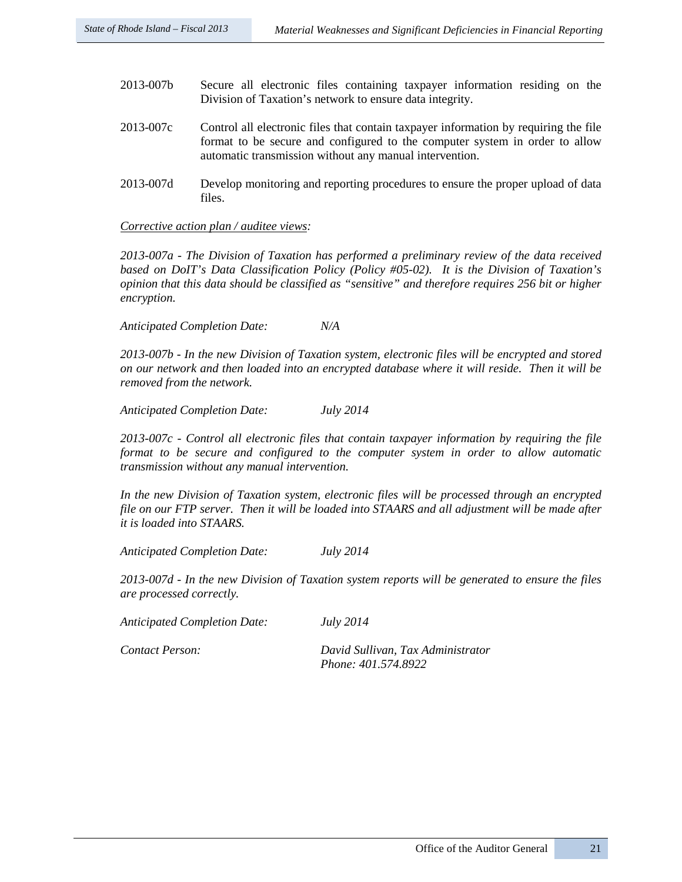- 2013-007b Secure all electronic files containing taxpayer information residing on the Division of Taxation's network to ensure data integrity.
- 2013-007c Control all electronic files that contain taxpayer information by requiring the file format to be secure and configured to the computer system in order to allow automatic transmission without any manual intervention.
- 2013-007d Develop monitoring and reporting procedures to ensure the proper upload of data files.

### *Corrective action plan / auditee views:*

*2013-007a - The Division of Taxation has performed a preliminary review of the data received based on DoIT's Data Classification Policy (Policy #05-02). It is the Division of Taxation's opinion that this data should be classified as "sensitive" and therefore requires 256 bit or higher encryption.* 

*Anticipated Completion Date: N/A*

*2013-007b - In the new Division of Taxation system, electronic files will be encrypted and stored on our network and then loaded into an encrypted database where it will reside. Then it will be removed from the network.*

*Anticipated Completion Date: July 2014*

*2013-007c - Control all electronic files that contain taxpayer information by requiring the file format to be secure and configured to the computer system in order to allow automatic transmission without any manual intervention.* 

*In the new Division of Taxation system, electronic files will be processed through an encrypted file on our FTP server. Then it will be loaded into STAARS and all adjustment will be made after it is loaded into STAARS.*

*Anticipated Completion Date: July 2014*

*2013-007d - In the new Division of Taxation system reports will be generated to ensure the files are processed correctly.*

*Anticipated Completion Date: July 2014*

*Contact Person: David Sullivan, Tax Administrator Phone: 401.574.8922*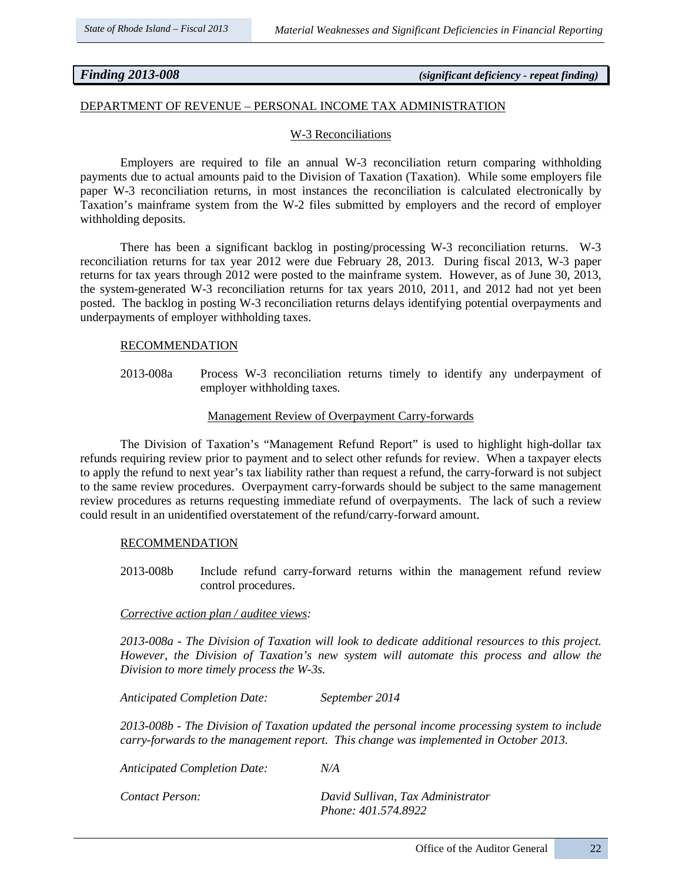## *Finding 2013-008 (significant deficiency - repeat finding)*

## DEPARTMENT OF REVENUE – PERSONAL INCOME TAX ADMINISTRATION

### W-3 Reconciliations

Employers are required to file an annual W-3 reconciliation return comparing withholding payments due to actual amounts paid to the Division of Taxation (Taxation). While some employers file paper W-3 reconciliation returns, in most instances the reconciliation is calculated electronically by Taxation's mainframe system from the W-2 files submitted by employers and the record of employer withholding deposits.

There has been a significant backlog in posting/processing W-3 reconciliation returns. W-3 reconciliation returns for tax year 2012 were due February 28, 2013. During fiscal 2013, W-3 paper returns for tax years through 2012 were posted to the mainframe system. However, as of June 30, 2013, the system-generated W-3 reconciliation returns for tax years 2010, 2011, and 2012 had not yet been posted. The backlog in posting W-3 reconciliation returns delays identifying potential overpayments and underpayments of employer withholding taxes.

#### RECOMMENDATION

2013-008a Process W-3 reconciliation returns timely to identify any underpayment of employer withholding taxes.

## Management Review of Overpayment Carry-forwards

The Division of Taxation's "Management Refund Report" is used to highlight high-dollar tax refunds requiring review prior to payment and to select other refunds for review. When a taxpayer elects to apply the refund to next year's tax liability rather than request a refund, the carry-forward is not subject to the same review procedures. Overpayment carry-forwards should be subject to the same management review procedures as returns requesting immediate refund of overpayments. The lack of such a review could result in an unidentified overstatement of the refund/carry-forward amount.

#### RECOMMENDATION

2013-008b Include refund carry-forward returns within the management refund review control procedures.

#### *Corrective action plan / auditee views:*

*2013-008a - The Division of Taxation will look to dedicate additional resources to this project. However, the Division of Taxation's new system will automate this process and allow the Division to more timely process the W-3s.*

*Anticipated Completion Date: September 2014*

*2013-008b - The Division of Taxation updated the personal income processing system to include carry-forwards to the management report. This change was implemented in October 2013.*

*Anticipated Completion Date: N/A*

*Contact Person: David Sullivan, Tax Administrator Phone: 401.574.8922*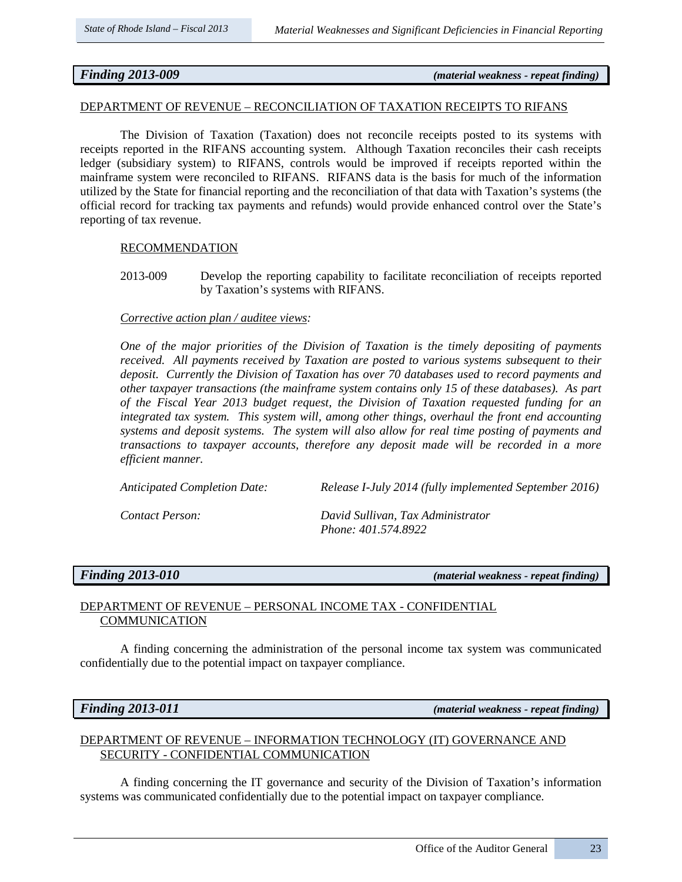## *Finding 2013-009 (material weakness - repeat finding)*

## DEPARTMENT OF REVENUE – RECONCILIATION OF TAXATION RECEIPTS TO RIFANS

The Division of Taxation (Taxation) does not reconcile receipts posted to its systems with receipts reported in the RIFANS accounting system. Although Taxation reconciles their cash receipts ledger (subsidiary system) to RIFANS, controls would be improved if receipts reported within the mainframe system were reconciled to RIFANS. RIFANS data is the basis for much of the information utilized by the State for financial reporting and the reconciliation of that data with Taxation's systems (the official record for tracking tax payments and refunds) would provide enhanced control over the State's reporting of tax revenue.

## RECOMMENDATION

2013-009 Develop the reporting capability to facilitate reconciliation of receipts reported by Taxation's systems with RIFANS.

## *Corrective action plan / auditee views:*

*One of the major priorities of the Division of Taxation is the timely depositing of payments received. All payments received by Taxation are posted to various systems subsequent to their deposit. Currently the Division of Taxation has over 70 databases used to record payments and other taxpayer transactions (the mainframe system contains only 15 of these databases). As part of the Fiscal Year 2013 budget request, the Division of Taxation requested funding for an integrated tax system. This system will, among other things, overhaul the front end accounting systems and deposit systems. The system will also allow for real time posting of payments and transactions to taxpayer accounts, therefore any deposit made will be recorded in a more efficient manner.*

*Anticipated Completion Date: Release I-July 2014 (fully implemented September 2016)*

*Contact Person: David Sullivan, Tax Administrator Phone: 401.574.8922*

*Finding 2013-010 (material weakness - repeat finding)*

## DEPARTMENT OF REVENUE – PERSONAL INCOME TAX - CONFIDENTIAL **COMMUNICATION**

A finding concerning the administration of the personal income tax system was communicated confidentially due to the potential impact on taxpayer compliance.

*Finding 2013-011 (material weakness - repeat finding)*

## DEPARTMENT OF REVENUE – INFORMATION TECHNOLOGY (IT) GOVERNANCE AND SECURITY - CONFIDENTIAL COMMUNICATION

A finding concerning the IT governance and security of the Division of Taxation's information systems was communicated confidentially due to the potential impact on taxpayer compliance.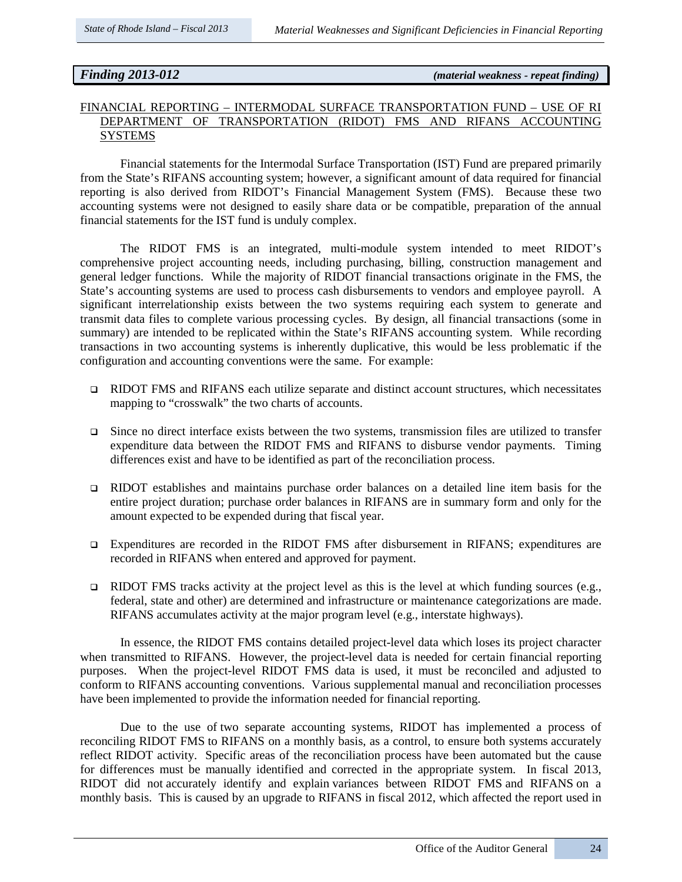*Finding 2013-012 (material weakness - repeat finding)*

## FINANCIAL REPORTING – INTERMODAL SURFACE TRANSPORTATION FUND – USE OF RI DEPARTMENT OF TRANSPORTATION (RIDOT) FMS AND RIFANS ACCOUNTING SYSTEMS

Financial statements for the Intermodal Surface Transportation (IST) Fund are prepared primarily from the State's RIFANS accounting system; however, a significant amount of data required for financial reporting is also derived from RIDOT's Financial Management System (FMS). Because these two accounting systems were not designed to easily share data or be compatible, preparation of the annual financial statements for the IST fund is unduly complex.

The RIDOT FMS is an integrated, multi-module system intended to meet RIDOT's comprehensive project accounting needs, including purchasing, billing, construction management and general ledger functions. While the majority of RIDOT financial transactions originate in the FMS, the State's accounting systems are used to process cash disbursements to vendors and employee payroll. A significant interrelationship exists between the two systems requiring each system to generate and transmit data files to complete various processing cycles. By design, all financial transactions (some in summary) are intended to be replicated within the State's RIFANS accounting system. While recording transactions in two accounting systems is inherently duplicative, this would be less problematic if the configuration and accounting conventions were the same. For example:

- RIDOT FMS and RIFANS each utilize separate and distinct account structures, which necessitates mapping to "crosswalk" the two charts of accounts.
- $\Box$  Since no direct interface exists between the two systems, transmission files are utilized to transfer expenditure data between the RIDOT FMS and RIFANS to disburse vendor payments. Timing differences exist and have to be identified as part of the reconciliation process.
- RIDOT establishes and maintains purchase order balances on a detailed line item basis for the entire project duration; purchase order balances in RIFANS are in summary form and only for the amount expected to be expended during that fiscal year.
- Expenditures are recorded in the RIDOT FMS after disbursement in RIFANS; expenditures are recorded in RIFANS when entered and approved for payment.
- **RIDOT FMS** tracks activity at the project level as this is the level at which funding sources (e.g., federal, state and other) are determined and infrastructure or maintenance categorizations are made. RIFANS accumulates activity at the major program level (e.g., interstate highways).

In essence, the RIDOT FMS contains detailed project-level data which loses its project character when transmitted to RIFANS. However, the project-level data is needed for certain financial reporting purposes. When the project-level RIDOT FMS data is used, it must be reconciled and adjusted to conform to RIFANS accounting conventions. Various supplemental manual and reconciliation processes have been implemented to provide the information needed for financial reporting.

Due to the use of two separate accounting systems, RIDOT has implemented a process of reconciling RIDOT FMS to RIFANS on a monthly basis, as a control, to ensure both systems accurately reflect RIDOT activity. Specific areas of the reconciliation process have been automated but the cause for differences must be manually identified and corrected in the appropriate system. In fiscal 2013, RIDOT did not accurately identify and explain variances between RIDOT FMS and RIFANS on a monthly basis. This is caused by an upgrade to RIFANS in fiscal 2012, which affected the report used in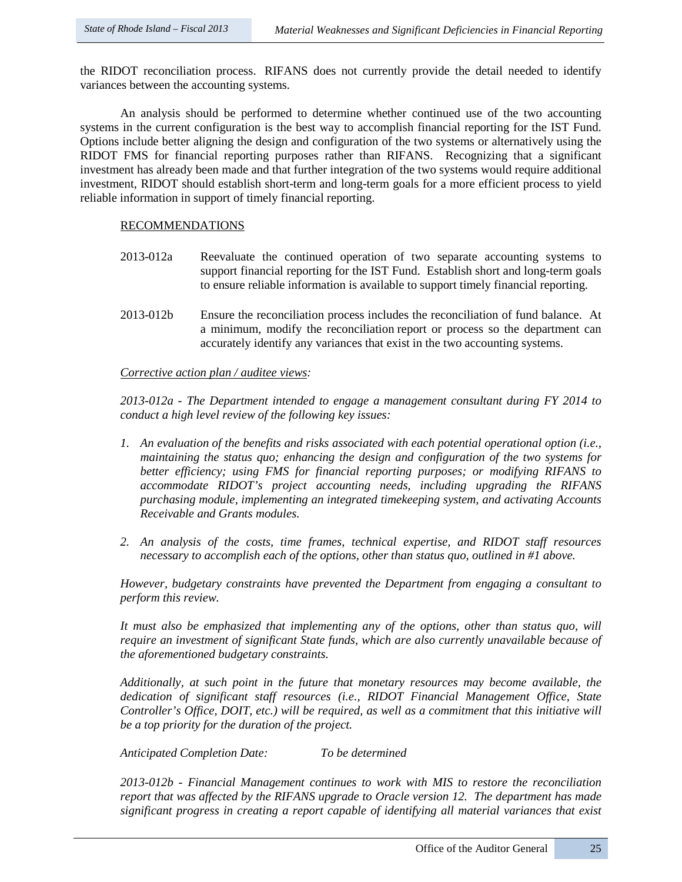the RIDOT reconciliation process. RIFANS does not currently provide the detail needed to identify variances between the accounting systems.

An analysis should be performed to determine whether continued use of the two accounting systems in the current configuration is the best way to accomplish financial reporting for the IST Fund. Options include better aligning the design and configuration of the two systems or alternatively using the RIDOT FMS for financial reporting purposes rather than RIFANS. Recognizing that a significant investment has already been made and that further integration of the two systems would require additional investment, RIDOT should establish short-term and long-term goals for a more efficient process to yield reliable information in support of timely financial reporting.

## RECOMMENDATIONS

- 2013-012a Reevaluate the continued operation of two separate accounting systems to support financial reporting for the IST Fund. Establish short and long-term goals to ensure reliable information is available to support timely financial reporting.
- 2013-012b Ensure the reconciliation process includes the reconciliation of fund balance. At a minimum, modify the reconciliation report or process so the department can accurately identify any variances that exist in the two accounting systems.

### *Corrective action plan / auditee views:*

*2013-012a - The Department intended to engage a management consultant during FY 2014 to conduct a high level review of the following key issues:*

- *1. An evaluation of the benefits and risks associated with each potential operational option (i.e., maintaining the status quo; enhancing the design and configuration of the two systems for better efficiency; using FMS for financial reporting purposes; or modifying RIFANS to accommodate RIDOT's project accounting needs, including upgrading the RIFANS purchasing module, implementing an integrated timekeeping system, and activating Accounts Receivable and Grants modules.*
- *2. An analysis of the costs, time frames, technical expertise, and RIDOT staff resources necessary to accomplish each of the options, other than status quo, outlined in #1 above.*

*However, budgetary constraints have prevented the Department from engaging a consultant to perform this review.*

It must also be emphasized that implementing any of the options, other than status quo, will *require an investment of significant State funds, which are also currently unavailable because of the aforementioned budgetary constraints.* 

*Additionally, at such point in the future that monetary resources may become available, the dedication of significant staff resources (i.e., RIDOT Financial Management Office, State Controller's Office, DOIT, etc.) will be required, as well as a commitment that this initiative will be a top priority for the duration of the project.*

*Anticipated Completion Date: To be determined*

*2013-012b - Financial Management continues to work with MIS to restore the reconciliation report that was affected by the RIFANS upgrade to Oracle version 12. The department has made significant progress in creating a report capable of identifying all material variances that exist*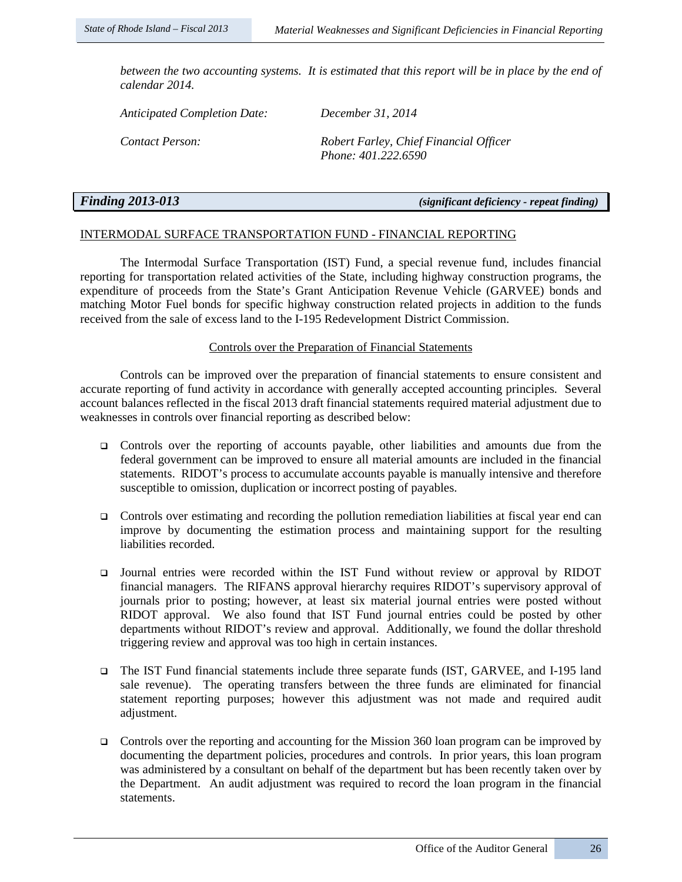between the two accounting systems. It is estimated that this report will be in place by the end of *calendar 2014.*

*Anticipated Completion Date: December 31, 2014*

*Contact Person: Robert Farley, Chief Financial Officer Phone: 401.222.6590*

*Finding 2013-013 (significant deficiency - repeat finding)*

## INTERMODAL SURFACE TRANSPORTATION FUND - FINANCIAL REPORTING

The Intermodal Surface Transportation (IST) Fund, a special revenue fund, includes financial reporting for transportation related activities of the State, including highway construction programs, the expenditure of proceeds from the State's Grant Anticipation Revenue Vehicle (GARVEE) bonds and matching Motor Fuel bonds for specific highway construction related projects in addition to the funds received from the sale of excess land to the I-195 Redevelopment District Commission.

### Controls over the Preparation of Financial Statements

Controls can be improved over the preparation of financial statements to ensure consistent and accurate reporting of fund activity in accordance with generally accepted accounting principles. Several account balances reflected in the fiscal 2013 draft financial statements required material adjustment due to weaknesses in controls over financial reporting as described below:

- Controls over the reporting of accounts payable, other liabilities and amounts due from the federal government can be improved to ensure all material amounts are included in the financial statements. RIDOT's process to accumulate accounts payable is manually intensive and therefore susceptible to omission, duplication or incorrect posting of payables.
- Controls over estimating and recording the pollution remediation liabilities at fiscal year end can improve by documenting the estimation process and maintaining support for the resulting liabilities recorded.
- Journal entries were recorded within the IST Fund without review or approval by RIDOT financial managers. The RIFANS approval hierarchy requires RIDOT's supervisory approval of journals prior to posting; however, at least six material journal entries were posted without RIDOT approval. We also found that IST Fund journal entries could be posted by other departments without RIDOT's review and approval. Additionally, we found the dollar threshold triggering review and approval was too high in certain instances.
- The IST Fund financial statements include three separate funds (IST, GARVEE, and I-195 land sale revenue). The operating transfers between the three funds are eliminated for financial statement reporting purposes; however this adjustment was not made and required audit adjustment.
- Controls over the reporting and accounting for the Mission 360 loan program can be improved by documenting the department policies, procedures and controls. In prior years, this loan program was administered by a consultant on behalf of the department but has been recently taken over by the Department. An audit adjustment was required to record the loan program in the financial statements.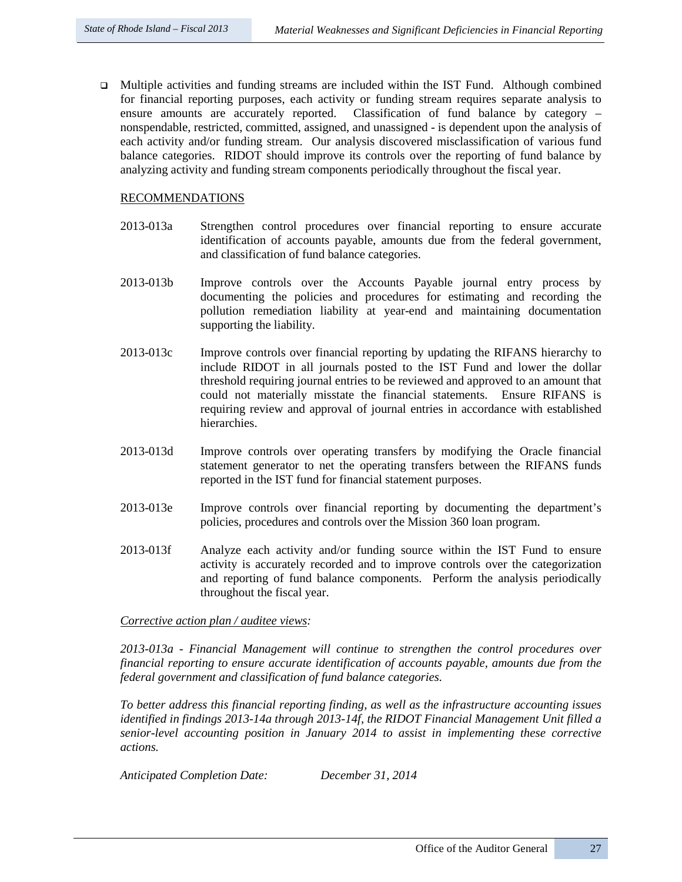Multiple activities and funding streams are included within the IST Fund. Although combined for financial reporting purposes, each activity or funding stream requires separate analysis to ensure amounts are accurately reported. Classification of fund balance by category – nonspendable, restricted, committed, assigned, and unassigned - is dependent upon the analysis of each activity and/or funding stream. Our analysis discovered misclassification of various fund balance categories. RIDOT should improve its controls over the reporting of fund balance by analyzing activity and funding stream components periodically throughout the fiscal year.

## RECOMMENDATIONS

- 2013-013a Strengthen control procedures over financial reporting to ensure accurate identification of accounts payable, amounts due from the federal government, and classification of fund balance categories.
- 2013-013b Improve controls over the Accounts Payable journal entry process by documenting the policies and procedures for estimating and recording the pollution remediation liability at year-end and maintaining documentation supporting the liability.
- 2013-013c Improve controls over financial reporting by updating the RIFANS hierarchy to include RIDOT in all journals posted to the IST Fund and lower the dollar threshold requiring journal entries to be reviewed and approved to an amount that could not materially misstate the financial statements. Ensure RIFANS is requiring review and approval of journal entries in accordance with established hierarchies.
- 2013-013d Improve controls over operating transfers by modifying the Oracle financial statement generator to net the operating transfers between the RIFANS funds reported in the IST fund for financial statement purposes.
- 2013-013e Improve controls over financial reporting by documenting the department's policies, procedures and controls over the Mission 360 loan program.
- 2013-013f Analyze each activity and/or funding source within the IST Fund to ensure activity is accurately recorded and to improve controls over the categorization and reporting of fund balance components. Perform the analysis periodically throughout the fiscal year.

*Corrective action plan / auditee views:* 

*2013-013a - Financial Management will continue to strengthen the control procedures over financial reporting to ensure accurate identification of accounts payable, amounts due from the federal government and classification of fund balance categories.* 

*To better address this financial reporting finding, as well as the infrastructure accounting issues identified in findings 2013-14a through 2013-14f, the RIDOT Financial Management Unit filled a senior-level accounting position in January 2014 to assist in implementing these corrective actions.*

*Anticipated Completion Date: December 31, 2014*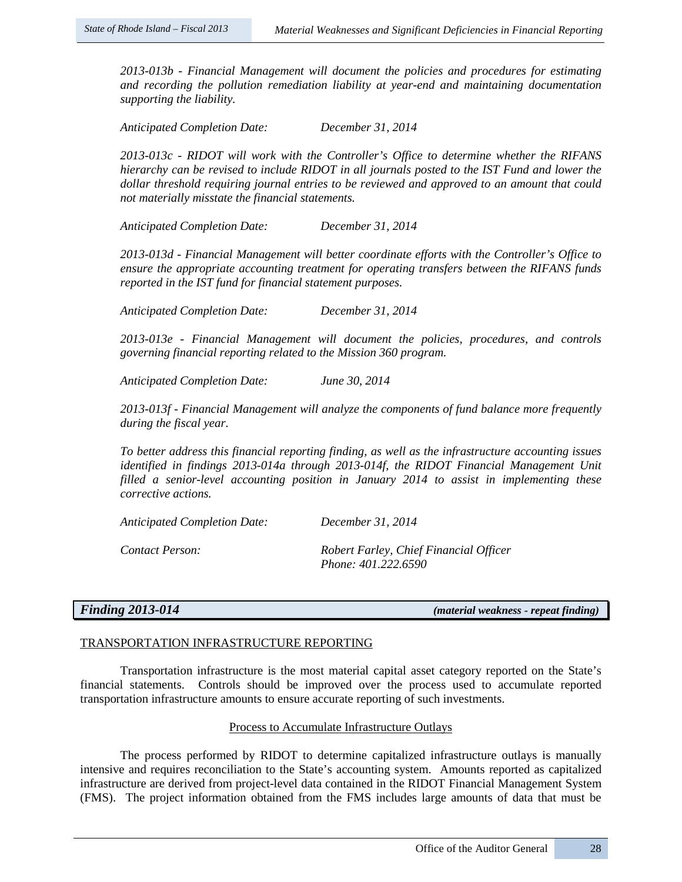*2013-013b - Financial Management will document the policies and procedures for estimating and recording the pollution remediation liability at year-end and maintaining documentation supporting the liability.* 

*Anticipated Completion Date: December 31, 2014*

*2013-013c - RIDOT will work with the Controller's Office to determine whether the RIFANS hierarchy can be revised to include RIDOT in all journals posted to the IST Fund and lower the dollar threshold requiring journal entries to be reviewed and approved to an amount that could not materially misstate the financial statements.* 

*Anticipated Completion Date: December 31, 2014*

*2013-013d - Financial Management will better coordinate efforts with the Controller's Office to ensure the appropriate accounting treatment for operating transfers between the RIFANS funds reported in the IST fund for financial statement purposes.* 

*Anticipated Completion Date: December 31, 2014*

*2013-013e - Financial Management will document the policies, procedures, and controls governing financial reporting related to the Mission 360 program.* 

*Anticipated Completion Date: June 30, 2014*

*2013-013f - Financial Management will analyze the components of fund balance more frequently during the fiscal year.* 

*To better address this financial reporting finding, as well as the infrastructure accounting issues identified in findings 2013-014a through 2013-014f, the RIDOT Financial Management Unit filled a senior-level accounting position in January 2014 to assist in implementing these corrective actions.*

*Anticipated Completion Date: December 31, 2014*

*Contact Person: Robert Farley, Chief Financial Officer Phone: 401.222.6590*

*Finding 2013-014 (material weakness - repeat finding)*

## TRANSPORTATION INFRASTRUCTURE REPORTING

Transportation infrastructure is the most material capital asset category reported on the State's financial statements. Controls should be improved over the process used to accumulate reported transportation infrastructure amounts to ensure accurate reporting of such investments.

## Process to Accumulate Infrastructure Outlays

The process performed by RIDOT to determine capitalized infrastructure outlays is manually intensive and requires reconciliation to the State's accounting system. Amounts reported as capitalized infrastructure are derived from project-level data contained in the RIDOT Financial Management System (FMS). The project information obtained from the FMS includes large amounts of data that must be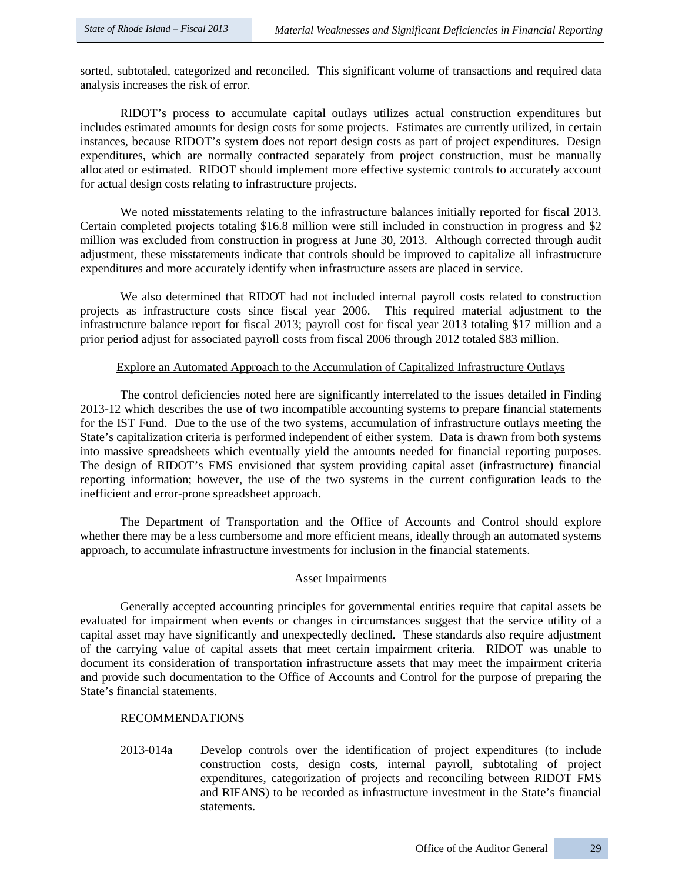sorted, subtotaled, categorized and reconciled. This significant volume of transactions and required data analysis increases the risk of error.

RIDOT's process to accumulate capital outlays utilizes actual construction expenditures but includes estimated amounts for design costs for some projects. Estimates are currently utilized, in certain instances, because RIDOT's system does not report design costs as part of project expenditures. Design expenditures, which are normally contracted separately from project construction, must be manually allocated or estimated. RIDOT should implement more effective systemic controls to accurately account for actual design costs relating to infrastructure projects.

We noted misstatements relating to the infrastructure balances initially reported for fiscal 2013. Certain completed projects totaling \$16.8 million were still included in construction in progress and \$2 million was excluded from construction in progress at June 30, 2013. Although corrected through audit adjustment, these misstatements indicate that controls should be improved to capitalize all infrastructure expenditures and more accurately identify when infrastructure assets are placed in service.

We also determined that RIDOT had not included internal payroll costs related to construction projects as infrastructure costs since fiscal year 2006. This required material adjustment to the infrastructure balance report for fiscal 2013; payroll cost for fiscal year 2013 totaling \$17 million and a prior period adjust for associated payroll costs from fiscal 2006 through 2012 totaled \$83 million.

## Explore an Automated Approach to the Accumulation of Capitalized Infrastructure Outlays

The control deficiencies noted here are significantly interrelated to the issues detailed in Finding 2013-12 which describes the use of two incompatible accounting systems to prepare financial statements for the IST Fund. Due to the use of the two systems, accumulation of infrastructure outlays meeting the State's capitalization criteria is performed independent of either system. Data is drawn from both systems into massive spreadsheets which eventually yield the amounts needed for financial reporting purposes. The design of RIDOT's FMS envisioned that system providing capital asset (infrastructure) financial reporting information; however, the use of the two systems in the current configuration leads to the inefficient and error-prone spreadsheet approach.

The Department of Transportation and the Office of Accounts and Control should explore whether there may be a less cumbersome and more efficient means, ideally through an automated systems approach, to accumulate infrastructure investments for inclusion in the financial statements.

## Asset Impairments

Generally accepted accounting principles for governmental entities require that capital assets be evaluated for impairment when events or changes in circumstances suggest that the service utility of a capital asset may have significantly and unexpectedly declined. These standards also require adjustment of the carrying value of capital assets that meet certain impairment criteria. RIDOT was unable to document its consideration of transportation infrastructure assets that may meet the impairment criteria and provide such documentation to the Office of Accounts and Control for the purpose of preparing the State's financial statements.

## RECOMMENDATIONS

2013-014a Develop controls over the identification of project expenditures (to include construction costs, design costs, internal payroll, subtotaling of project expenditures, categorization of projects and reconciling between RIDOT FMS and RIFANS) to be recorded as infrastructure investment in the State's financial statements.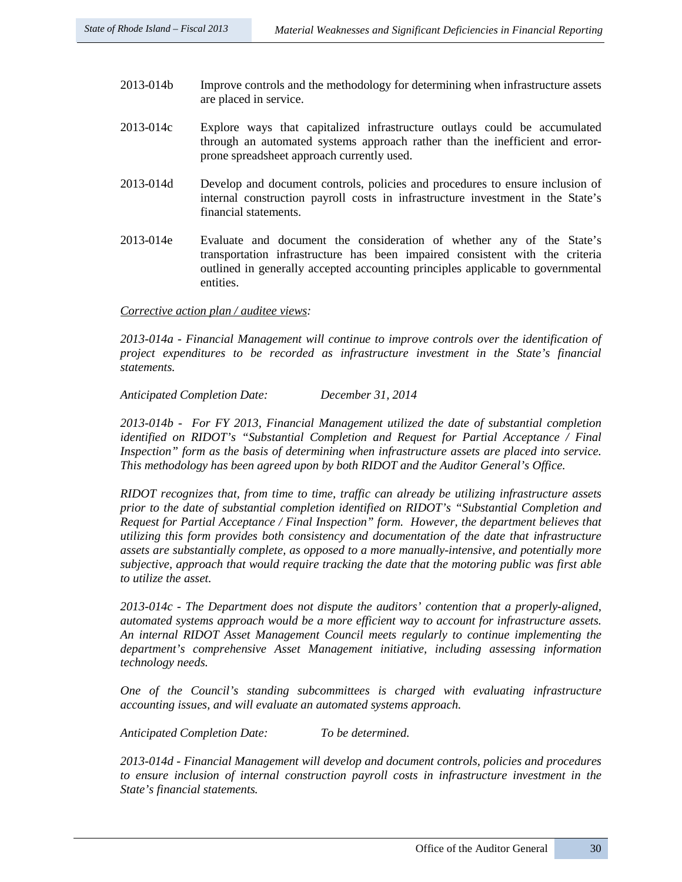- 2013-014b Improve controls and the methodology for determining when infrastructure assets are placed in service.
- 2013-014c Explore ways that capitalized infrastructure outlays could be accumulated through an automated systems approach rather than the inefficient and errorprone spreadsheet approach currently used.
- 2013-014d Develop and document controls, policies and procedures to ensure inclusion of internal construction payroll costs in infrastructure investment in the State's financial statements.
- 2013-014e Evaluate and document the consideration of whether any of the State's transportation infrastructure has been impaired consistent with the criteria outlined in generally accepted accounting principles applicable to governmental entities.

### *Corrective action plan / auditee views:*

*2013-014a - Financial Management will continue to improve controls over the identification of project expenditures to be recorded as infrastructure investment in the State's financial statements.*

*Anticipated Completion Date: December 31, 2014*

*2013-014b - For FY 2013, Financial Management utilized the date of substantial completion identified on RIDOT's "Substantial Completion and Request for Partial Acceptance / Final Inspection" form as the basis of determining when infrastructure assets are placed into service. This methodology has been agreed upon by both RIDOT and the Auditor General's Office.* 

*RIDOT recognizes that, from time to time, traffic can already be utilizing infrastructure assets prior to the date of substantial completion identified on RIDOT's "Substantial Completion and Request for Partial Acceptance / Final Inspection" form. However, the department believes that utilizing this form provides both consistency and documentation of the date that infrastructure assets are substantially complete, as opposed to a more manually-intensive, and potentially more subjective, approach that would require tracking the date that the motoring public was first able to utilize the asset.*

*2013-014c - The Department does not dispute the auditors' contention that a properly-aligned, automated systems approach would be a more efficient way to account for infrastructure assets. An internal RIDOT Asset Management Council meets regularly to continue implementing the department's comprehensive Asset Management initiative, including assessing information technology needs.* 

*One of the Council's standing subcommittees is charged with evaluating infrastructure accounting issues, and will evaluate an automated systems approach.*

*Anticipated Completion Date: To be determined.*

*2013-014d - Financial Management will develop and document controls, policies and procedures to ensure inclusion of internal construction payroll costs in infrastructure investment in the State's financial statements.*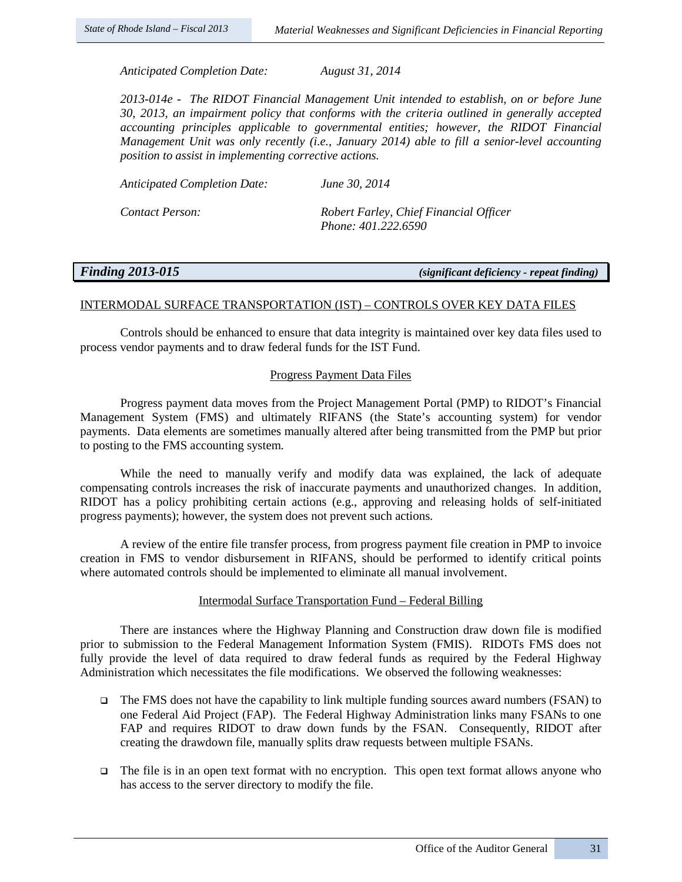*Anticipated Completion Date: August 31, 2014*

*2013-014e - The RIDOT Financial Management Unit intended to establish, on or before June 30, 2013, an impairment policy that conforms with the criteria outlined in generally accepted accounting principles applicable to governmental entities; however, the RIDOT Financial Management Unit was only recently (i.e., January 2014) able to fill a senior-level accounting position to assist in implementing corrective actions.*

| <b>Anticipated Completion Date:</b> | June 30, 2014                          |
|-------------------------------------|----------------------------------------|
| Contact Person:                     | Robert Farley, Chief Financial Officer |
|                                     | Phone: 401.222.6590                    |

*Finding 2013-015 (significant deficiency - repeat finding)*

## INTERMODAL SURFACE TRANSPORTATION (IST) – CONTROLS OVER KEY DATA FILES

Controls should be enhanced to ensure that data integrity is maintained over key data files used to process vendor payments and to draw federal funds for the IST Fund.

#### Progress Payment Data Files

Progress payment data moves from the Project Management Portal (PMP) to RIDOT's Financial Management System (FMS) and ultimately RIFANS (the State's accounting system) for vendor payments. Data elements are sometimes manually altered after being transmitted from the PMP but prior to posting to the FMS accounting system.

While the need to manually verify and modify data was explained, the lack of adequate compensating controls increases the risk of inaccurate payments and unauthorized changes. In addition, RIDOT has a policy prohibiting certain actions (e.g., approving and releasing holds of self-initiated progress payments); however, the system does not prevent such actions.

A review of the entire file transfer process, from progress payment file creation in PMP to invoice creation in FMS to vendor disbursement in RIFANS, should be performed to identify critical points where automated controls should be implemented to eliminate all manual involvement.

## Intermodal Surface Transportation Fund – Federal Billing

There are instances where the Highway Planning and Construction draw down file is modified prior to submission to the Federal Management Information System (FMIS). RIDOTs FMS does not fully provide the level of data required to draw federal funds as required by the Federal Highway Administration which necessitates the file modifications. We observed the following weaknesses:

- $\Box$  The FMS does not have the capability to link multiple funding sources award numbers (FSAN) to one Federal Aid Project (FAP). The Federal Highway Administration links many FSANs to one FAP and requires RIDOT to draw down funds by the FSAN. Consequently, RIDOT after creating the drawdown file, manually splits draw requests between multiple FSANs.
- $\Box$  The file is in an open text format with no encryption. This open text format allows anyone who has access to the server directory to modify the file.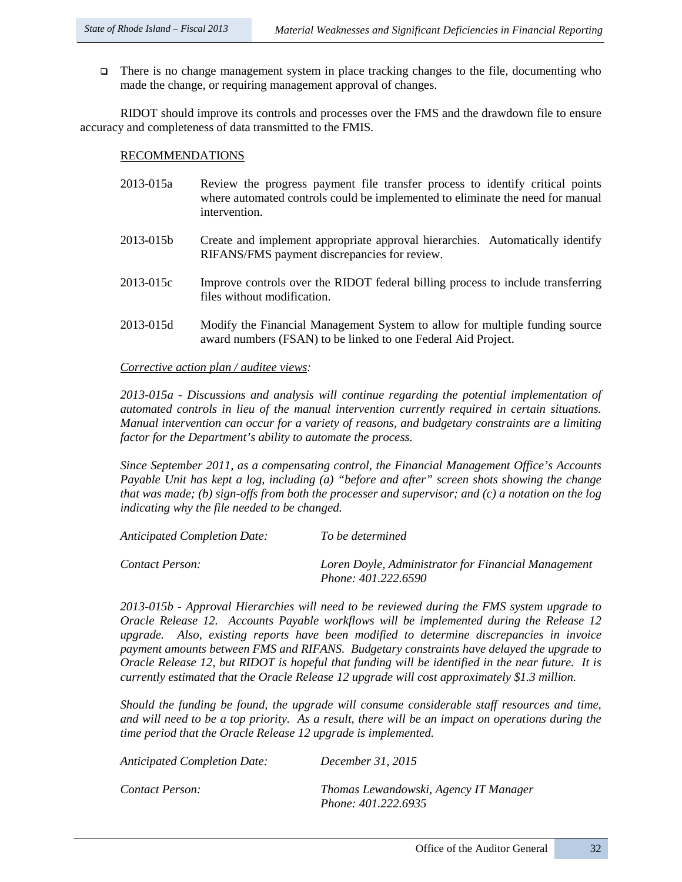There is no change management system in place tracking changes to the file, documenting who made the change, or requiring management approval of changes.

RIDOT should improve its controls and processes over the FMS and the drawdown file to ensure accuracy and completeness of data transmitted to the FMIS.

## RECOMMENDATIONS

- 2013-015a Review the progress payment file transfer process to identify critical points where automated controls could be implemented to eliminate the need for manual intervention.
- 2013-015b Create and implement appropriate approval hierarchies. Automatically identify RIFANS/FMS payment discrepancies for review.
- 2013-015c Improve controls over the RIDOT federal billing process to include transferring files without modification.
- 2013-015d Modify the Financial Management System to allow for multiple funding source award numbers (FSAN) to be linked to one Federal Aid Project.

## *Corrective action plan / auditee views:*

*2013-015a - Discussions and analysis will continue regarding the potential implementation of automated controls in lieu of the manual intervention currently required in certain situations. Manual intervention can occur for a variety of reasons, and budgetary constraints are a limiting factor for the Department's ability to automate the process.* 

*Since September 2011, as a compensating control, the Financial Management Office's Accounts Payable Unit has kept a log, including (a) "before and after" screen shots showing the change that was made; (b) sign-offs from both the processer and supervisor; and (c) a notation on the log indicating why the file needed to be changed.* 

| <b>Anticipated Completion Date:</b> | To be determined                                                           |
|-------------------------------------|----------------------------------------------------------------------------|
| Contact Person:                     | Loren Doyle, Administrator for Financial Management<br>Phone: 401.222.6590 |

*2013-015b - Approval Hierarchies will need to be reviewed during the FMS system upgrade to Oracle Release 12. Accounts Payable workflows will be implemented during the Release 12 upgrade. Also, existing reports have been modified to determine discrepancies in invoice payment amounts between FMS and RIFANS. Budgetary constraints have delayed the upgrade to Oracle Release 12, but RIDOT is hopeful that funding will be identified in the near future. It is currently estimated that the Oracle Release 12 upgrade will cost approximately \$1.3 million.*

*Should the funding be found, the upgrade will consume considerable staff resources and time, and will need to be a top priority. As a result, there will be an impact on operations during the time period that the Oracle Release 12 upgrade is implemented.*

| <b>Anticipated Completion Date:</b> | December 31, 2015                                            |
|-------------------------------------|--------------------------------------------------------------|
| Contact Person:                     | Thomas Lewandowski, Agency IT Manager<br>Phone: 401.222.6935 |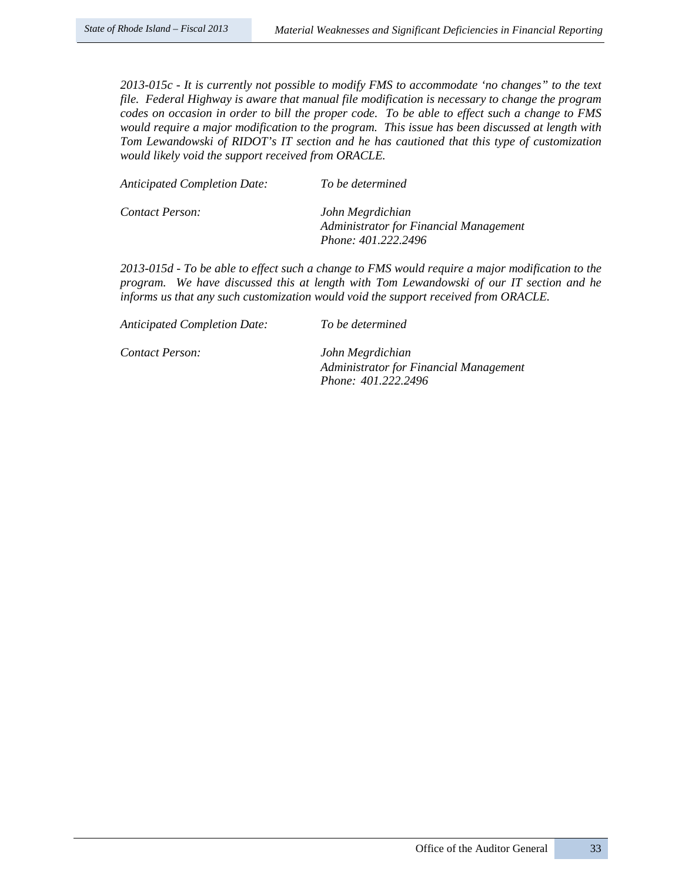*2013-015c - It is currently not possible to modify FMS to accommodate 'no changes" to the text file. Federal Highway is aware that manual file modification is necessary to change the program codes on occasion in order to bill the proper code. To be able to effect such a change to FMS would require a major modification to the program. This issue has been discussed at length with Tom Lewandowski of RIDOT's IT section and he has cautioned that this type of customization would likely void the support received from ORACLE.* 

| Anticipated Completion Date: | To be determined                                                                  |
|------------------------------|-----------------------------------------------------------------------------------|
| Contact Person:              | John Megrdichian<br>Administrator for Financial Management<br>Phone: 401.222.2496 |

*2013-015d - To be able to effect such a change to FMS would require a major modification to the program. We have discussed this at length with Tom Lewandowski of our IT section and he informs us that any such customization would void the support received from ORACLE.* 

*Anticipated Completion Date: To be determined*

*Contact Person: John Megrdichian* 

*Administrator for Financial Management Phone: 401.222.2496*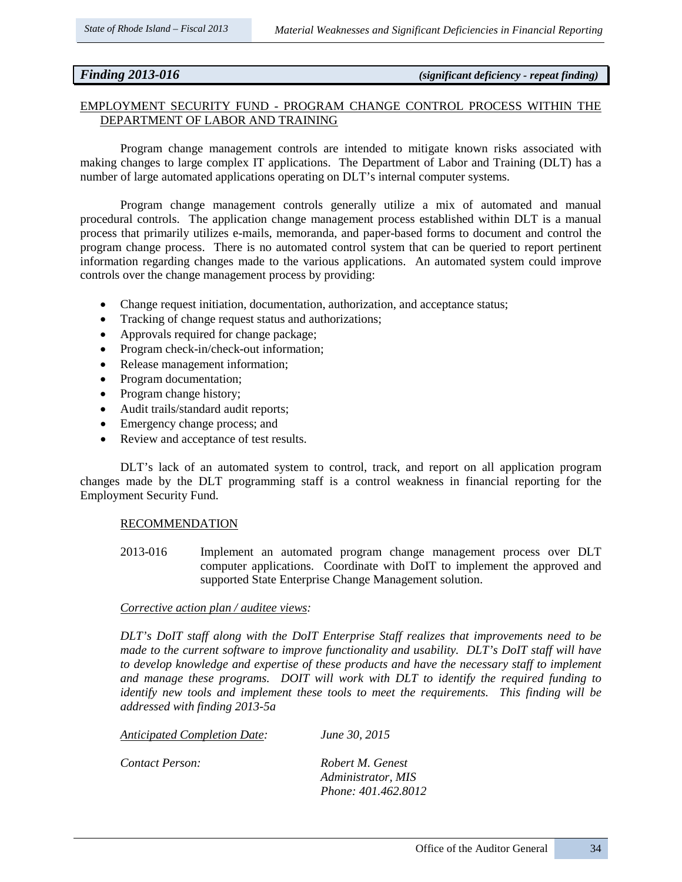# *Finding 2013-016 (significant deficiency - repeat finding)*

## EMPLOYMENT SECURITY FUND - PROGRAM CHANGE CONTROL PROCESS WITHIN THE DEPARTMENT OF LABOR AND TRAINING

Program change management controls are intended to mitigate known risks associated with making changes to large complex IT applications. The Department of Labor and Training (DLT) has a number of large automated applications operating on DLT's internal computer systems.

Program change management controls generally utilize a mix of automated and manual procedural controls. The application change management process established within DLT is a manual process that primarily utilizes e-mails, memoranda, and paper-based forms to document and control the program change process. There is no automated control system that can be queried to report pertinent information regarding changes made to the various applications. An automated system could improve controls over the change management process by providing:

- Change request initiation, documentation, authorization, and acceptance status;
- Tracking of change request status and authorizations;
- Approvals required for change package;
- Program check-in/check-out information;
- Release management information;
- Program documentation;
- Program change history;
- Audit trails/standard audit reports;
- Emergency change process; and
- Review and acceptance of test results.

DLT's lack of an automated system to control, track, and report on all application program changes made by the DLT programming staff is a control weakness in financial reporting for the Employment Security Fund.

#### RECOMMENDATION

2013-016 Implement an automated program change management process over DLT computer applications. Coordinate with DoIT to implement the approved and supported State Enterprise Change Management solution.

#### *Corrective action plan / auditee views:*

*DLT's DoIT staff along with the DoIT Enterprise Staff realizes that improvements need to be made to the current software to improve functionality and usability. DLT's DoIT staff will have to develop knowledge and expertise of these products and have the necessary staff to implement and manage these programs. DOIT will work with DLT to identify the required funding to identify new tools and implement these tools to meet the requirements. This finding will be addressed with finding 2013-5a*

*Anticipated Completion Date: June 30, 2015*

*Contact Person: Robert M. Genest Administrator, MIS Phone: 401.462.8012*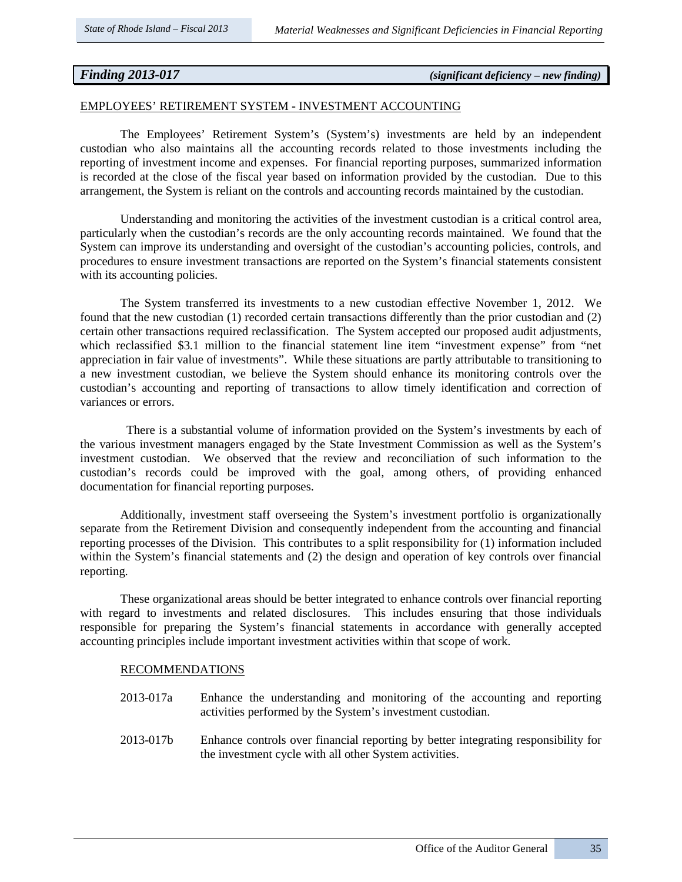# *Finding 2013-017 (significant deficiency – new finding)*

#### EMPLOYEES' RETIREMENT SYSTEM - INVESTMENT ACCOUNTING

The Employees' Retirement System's (System's) investments are held by an independent custodian who also maintains all the accounting records related to those investments including the reporting of investment income and expenses. For financial reporting purposes, summarized information is recorded at the close of the fiscal year based on information provided by the custodian. Due to this arrangement, the System is reliant on the controls and accounting records maintained by the custodian.

Understanding and monitoring the activities of the investment custodian is a critical control area, particularly when the custodian's records are the only accounting records maintained. We found that the System can improve its understanding and oversight of the custodian's accounting policies, controls, and procedures to ensure investment transactions are reported on the System's financial statements consistent with its accounting policies.

The System transferred its investments to a new custodian effective November 1, 2012. We found that the new custodian (1) recorded certain transactions differently than the prior custodian and (2) certain other transactions required reclassification. The System accepted our proposed audit adjustments, which reclassified \$3.1 million to the financial statement line item "investment expense" from "net appreciation in fair value of investments". While these situations are partly attributable to transitioning to a new investment custodian, we believe the System should enhance its monitoring controls over the custodian's accounting and reporting of transactions to allow timely identification and correction of variances or errors.

 There is a substantial volume of information provided on the System's investments by each of the various investment managers engaged by the State Investment Commission as well as the System's investment custodian. We observed that the review and reconciliation of such information to the custodian's records could be improved with the goal, among others, of providing enhanced documentation for financial reporting purposes.

Additionally, investment staff overseeing the System's investment portfolio is organizationally separate from the Retirement Division and consequently independent from the accounting and financial reporting processes of the Division. This contributes to a split responsibility for (1) information included within the System's financial statements and (2) the design and operation of key controls over financial reporting.

These organizational areas should be better integrated to enhance controls over financial reporting with regard to investments and related disclosures. This includes ensuring that those individuals responsible for preparing the System's financial statements in accordance with generally accepted accounting principles include important investment activities within that scope of work.

#### RECOMMENDATIONS

- 2013-017a Enhance the understanding and monitoring of the accounting and reporting activities performed by the System's investment custodian.
- 2013-017b Enhance controls over financial reporting by better integrating responsibility for the investment cycle with all other System activities.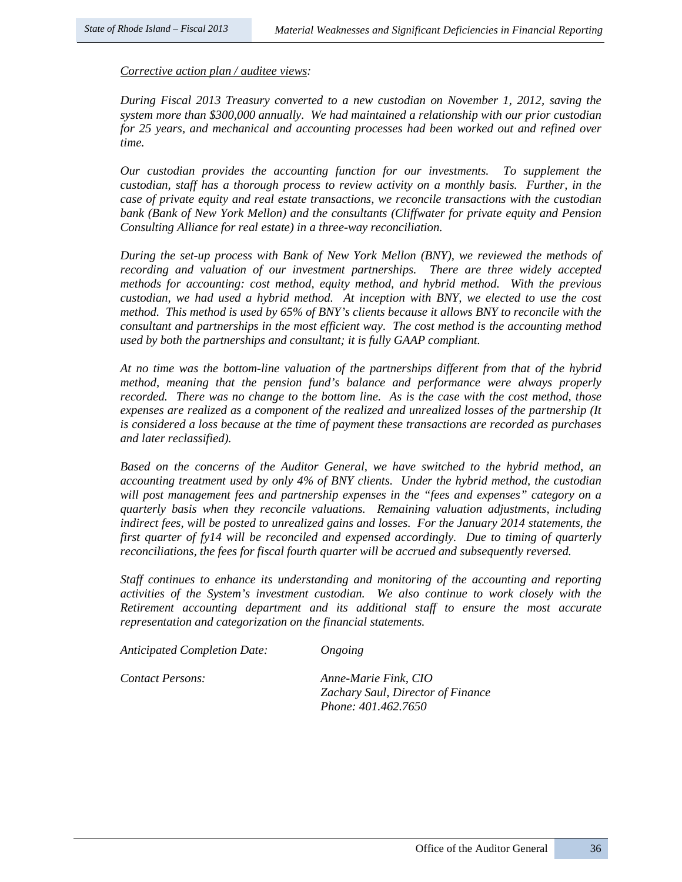### *Corrective action plan / auditee views:*

*During Fiscal 2013 Treasury converted to a new custodian on November 1, 2012, saving the system more than \$300,000 annually. We had maintained a relationship with our prior custodian for 25 years, and mechanical and accounting processes had been worked out and refined over time.*

*Our custodian provides the accounting function for our investments. To supplement the custodian, staff has a thorough process to review activity on a monthly basis. Further, in the case of private equity and real estate transactions, we reconcile transactions with the custodian bank (Bank of New York Mellon) and the consultants (Cliffwater for private equity and Pension Consulting Alliance for real estate) in a three-way reconciliation.*

*During the set-up process with Bank of New York Mellon (BNY), we reviewed the methods of recording and valuation of our investment partnerships. There are three widely accepted methods for accounting: cost method, equity method, and hybrid method. With the previous custodian, we had used a hybrid method. At inception with BNY, we elected to use the cost method. This method is used by 65% of BNY's clients because it allows BNY to reconcile with the consultant and partnerships in the most efficient way. The cost method is the accounting method used by both the partnerships and consultant; it is fully GAAP compliant.*

*At no time was the bottom-line valuation of the partnerships different from that of the hybrid method, meaning that the pension fund's balance and performance were always properly recorded. There was no change to the bottom line. As is the case with the cost method, those expenses are realized as a component of the realized and unrealized losses of the partnership (It is considered a loss because at the time of payment these transactions are recorded as purchases and later reclassified).*

*Based on the concerns of the Auditor General, we have switched to the hybrid method, an accounting treatment used by only 4% of BNY clients. Under the hybrid method, the custodian will post management fees and partnership expenses in the "fees and expenses" category on a quarterly basis when they reconcile valuations. Remaining valuation adjustments, including indirect fees, will be posted to unrealized gains and losses. For the January 2014 statements, the first quarter of fy14 will be reconciled and expensed accordingly. Due to timing of quarterly reconciliations, the fees for fiscal fourth quarter will be accrued and subsequently reversed.*

*Staff continues to enhance its understanding and monitoring of the accounting and reporting activities of the System's investment custodian. We also continue to work closely with the Retirement accounting department and its additional staff to ensure the most accurate representation and categorization on the financial statements.*

*Anticipated Completion Date: Ongoing*

*Contact Persons: Anne-Marie Fink, CIO Zachary Saul, Director of Finance Phone: 401.462.7650*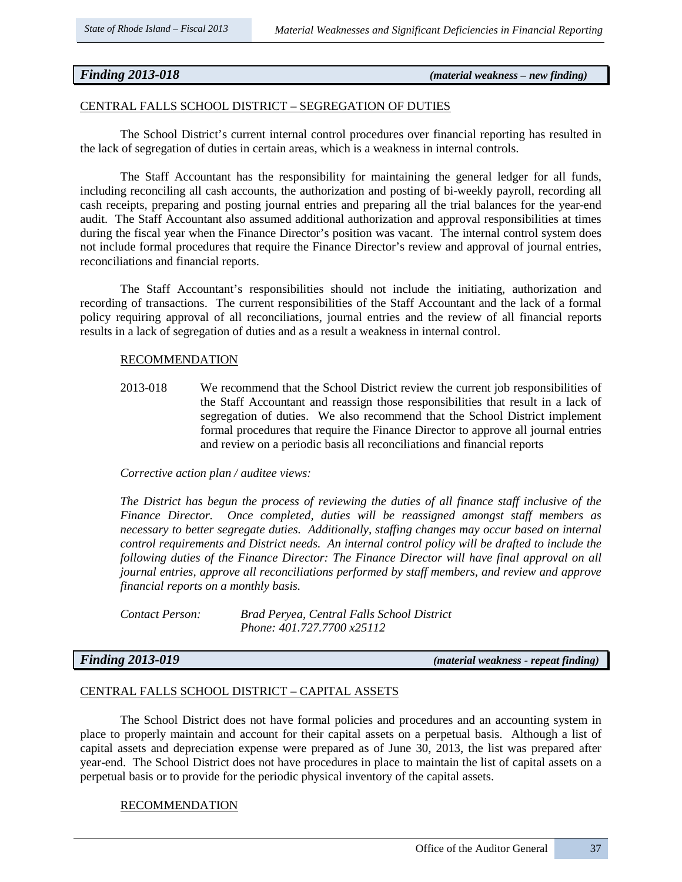## *Finding 2013-018 (material weakness – new finding)*

#### CENTRAL FALLS SCHOOL DISTRICT – SEGREGATION OF DUTIES

The School District's current internal control procedures over financial reporting has resulted in the lack of segregation of duties in certain areas, which is a weakness in internal controls.

The Staff Accountant has the responsibility for maintaining the general ledger for all funds, including reconciling all cash accounts, the authorization and posting of bi-weekly payroll, recording all cash receipts, preparing and posting journal entries and preparing all the trial balances for the year-end audit. The Staff Accountant also assumed additional authorization and approval responsibilities at times during the fiscal year when the Finance Director's position was vacant. The internal control system does not include formal procedures that require the Finance Director's review and approval of journal entries, reconciliations and financial reports.

The Staff Accountant's responsibilities should not include the initiating, authorization and recording of transactions. The current responsibilities of the Staff Accountant and the lack of a formal policy requiring approval of all reconciliations, journal entries and the review of all financial reports results in a lack of segregation of duties and as a result a weakness in internal control.

## RECOMMENDATION

2013-018 We recommend that the School District review the current job responsibilities of the Staff Accountant and reassign those responsibilities that result in a lack of segregation of duties. We also recommend that the School District implement formal procedures that require the Finance Director to approve all journal entries and review on a periodic basis all reconciliations and financial reports

#### *Corrective action plan / auditee views:*

*The District has begun the process of reviewing the duties of all finance staff inclusive of the Finance Director. Once completed, duties will be reassigned amongst staff members as necessary to better segregate duties. Additionally, staffing changes may occur based on internal control requirements and District needs. An internal control policy will be drafted to include the following duties of the Finance Director: The Finance Director will have final approval on all journal entries, approve all reconciliations performed by staff members, and review and approve financial reports on a monthly basis.*

*Contact Person: Brad Peryea, Central Falls School District Phone: 401.727.7700 x25112*

*Finding 2013-019 (material weakness - repeat finding)*

#### CENTRAL FALLS SCHOOL DISTRICT – CAPITAL ASSETS

The School District does not have formal policies and procedures and an accounting system in place to properly maintain and account for their capital assets on a perpetual basis. Although a list of capital assets and depreciation expense were prepared as of June 30, 2013, the list was prepared after year-end. The School District does not have procedures in place to maintain the list of capital assets on a perpetual basis or to provide for the periodic physical inventory of the capital assets.

#### RECOMMENDATION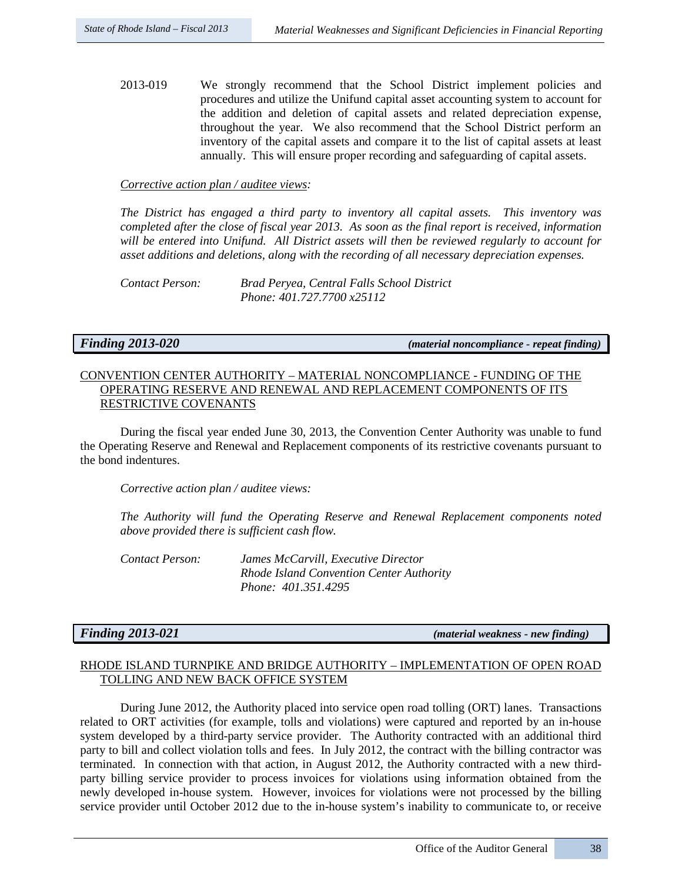2013-019 We strongly recommend that the School District implement policies and procedures and utilize the Unifund capital asset accounting system to account for the addition and deletion of capital assets and related depreciation expense, throughout the year. We also recommend that the School District perform an inventory of the capital assets and compare it to the list of capital assets at least annually. This will ensure proper recording and safeguarding of capital assets.

## *Corrective action plan / auditee views:*

*The District has engaged a third party to inventory all capital assets. This inventory was completed after the close of fiscal year 2013. As soon as the final report is received, information will be entered into Unifund. All District assets will then be reviewed regularly to account for asset additions and deletions, along with the recording of all necessary depreciation expenses.*

| Contact Person: | Brad Peryea, Central Falls School District |
|-----------------|--------------------------------------------|
|                 | Phone: 401.727.7700 x25112                 |

*Finding 2013-020 (material noncompliance - repeat finding)*

# CONVENTION CENTER AUTHORITY – MATERIAL NONCOMPLIANCE - FUNDING OF THE OPERATING RESERVE AND RENEWAL AND REPLACEMENT COMPONENTS OF ITS RESTRICTIVE COVENANTS

During the fiscal year ended June 30, 2013, the Convention Center Authority was unable to fund the Operating Reserve and Renewal and Replacement components of its restrictive covenants pursuant to the bond indentures.

*Corrective action plan / auditee views:* 

*The Authority will fund the Operating Reserve and Renewal Replacement components noted above provided there is sufficient cash flow.* 

*Contact Person: James McCarvill, Executive Director Rhode Island Convention Center Authority Phone: 401.351.4295*

*Finding 2013-021 (material weakness - new finding)*

## RHODE ISLAND TURNPIKE AND BRIDGE AUTHORITY – IMPLEMENTATION OF OPEN ROAD TOLLING AND NEW BACK OFFICE SYSTEM

During June 2012, the Authority placed into service open road tolling (ORT) lanes. Transactions related to ORT activities (for example, tolls and violations) were captured and reported by an in-house system developed by a third-party service provider. The Authority contracted with an additional third party to bill and collect violation tolls and fees. In July 2012, the contract with the billing contractor was terminated. In connection with that action, in August 2012, the Authority contracted with a new thirdparty billing service provider to process invoices for violations using information obtained from the newly developed in-house system. However, invoices for violations were not processed by the billing service provider until October 2012 due to the in-house system's inability to communicate to, or receive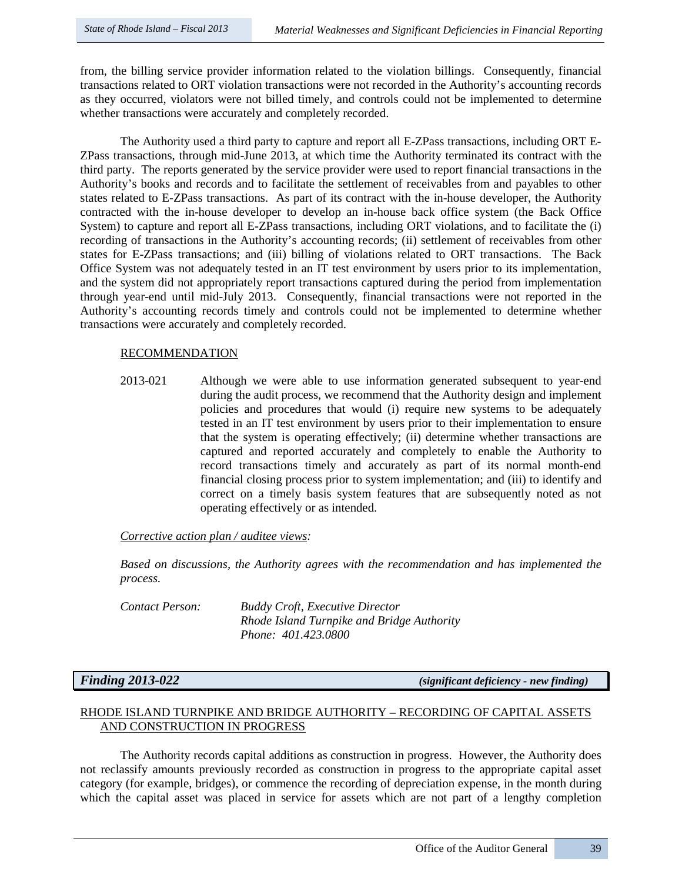from, the billing service provider information related to the violation billings. Consequently, financial transactions related to ORT violation transactions were not recorded in the Authority's accounting records as they occurred, violators were not billed timely, and controls could not be implemented to determine whether transactions were accurately and completely recorded.

The Authority used a third party to capture and report all E-ZPass transactions, including ORT E-ZPass transactions, through mid-June 2013, at which time the Authority terminated its contract with the third party. The reports generated by the service provider were used to report financial transactions in the Authority's books and records and to facilitate the settlement of receivables from and payables to other states related to E-ZPass transactions. As part of its contract with the in-house developer, the Authority contracted with the in-house developer to develop an in-house back office system (the Back Office System) to capture and report all E-ZPass transactions, including ORT violations, and to facilitate the (i) recording of transactions in the Authority's accounting records; (ii) settlement of receivables from other states for E-ZPass transactions; and (iii) billing of violations related to ORT transactions. The Back Office System was not adequately tested in an IT test environment by users prior to its implementation, and the system did not appropriately report transactions captured during the period from implementation through year-end until mid-July 2013. Consequently, financial transactions were not reported in the Authority's accounting records timely and controls could not be implemented to determine whether transactions were accurately and completely recorded.

## RECOMMENDATION

2013-021 Although we were able to use information generated subsequent to year-end during the audit process, we recommend that the Authority design and implement policies and procedures that would (i) require new systems to be adequately tested in an IT test environment by users prior to their implementation to ensure that the system is operating effectively; (ii) determine whether transactions are captured and reported accurately and completely to enable the Authority to record transactions timely and accurately as part of its normal month-end financial closing process prior to system implementation; and (iii) to identify and correct on a timely basis system features that are subsequently noted as not operating effectively or as intended.

### *Corrective action plan / auditee views:*

*Based on discussions, the Authority agrees with the recommendation and has implemented the process.*

*Contact Person: Buddy Croft, Executive Director Rhode Island Turnpike and Bridge Authority Phone: 401.423.0800*

*Finding 2013-022 (significant deficiency - new finding)*

# RHODE ISLAND TURNPIKE AND BRIDGE AUTHORITY – RECORDING OF CAPITAL ASSETS AND CONSTRUCTION IN PROGRESS

The Authority records capital additions as construction in progress. However, the Authority does not reclassify amounts previously recorded as construction in progress to the appropriate capital asset category (for example, bridges), or commence the recording of depreciation expense, in the month during which the capital asset was placed in service for assets which are not part of a lengthy completion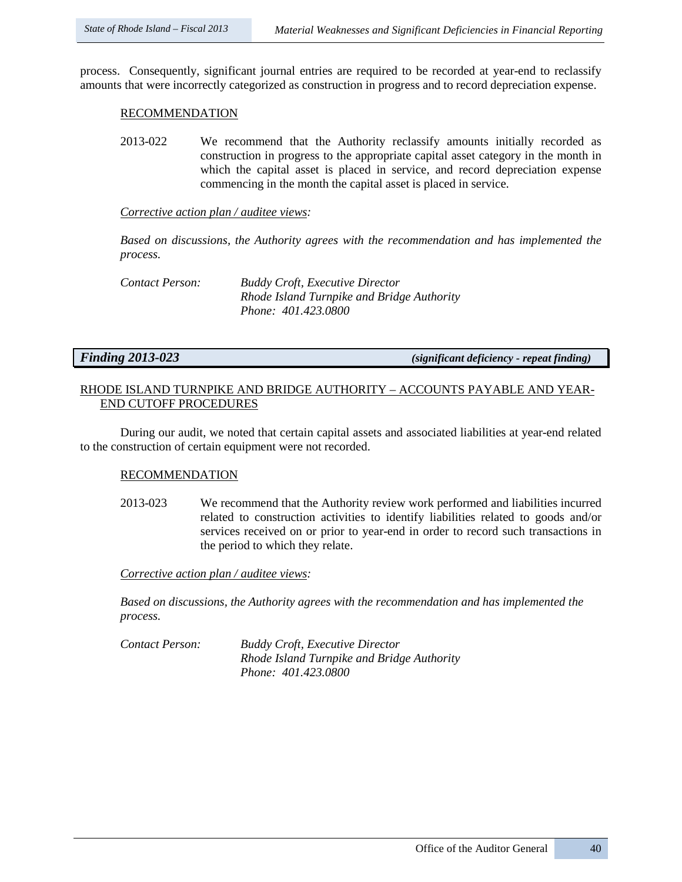process. Consequently, significant journal entries are required to be recorded at year-end to reclassify amounts that were incorrectly categorized as construction in progress and to record depreciation expense.

#### RECOMMENDATION

2013-022 We recommend that the Authority reclassify amounts initially recorded as construction in progress to the appropriate capital asset category in the month in which the capital asset is placed in service, and record depreciation expense commencing in the month the capital asset is placed in service.

*Corrective action plan / auditee views:* 

*Based on discussions, the Authority agrees with the recommendation and has implemented the process.*

*Contact Person: Buddy Croft, Executive Director Rhode Island Turnpike and Bridge Authority Phone: 401.423.0800*

*Finding 2013-023 (significant deficiency - repeat finding)*

## RHODE ISLAND TURNPIKE AND BRIDGE AUTHORITY – ACCOUNTS PAYABLE AND YEAR-END CUTOFF PROCEDURES

During our audit, we noted that certain capital assets and associated liabilities at year-end related to the construction of certain equipment were not recorded.

### RECOMMENDATION

2013-023 We recommend that the Authority review work performed and liabilities incurred related to construction activities to identify liabilities related to goods and/or services received on or prior to year-end in order to record such transactions in the period to which they relate.

#### *Corrective action plan / auditee views:*

*Based on discussions, the Authority agrees with the recommendation and has implemented the process.*

*Contact Person: Buddy Croft, Executive Director Rhode Island Turnpike and Bridge Authority Phone: 401.423.0800*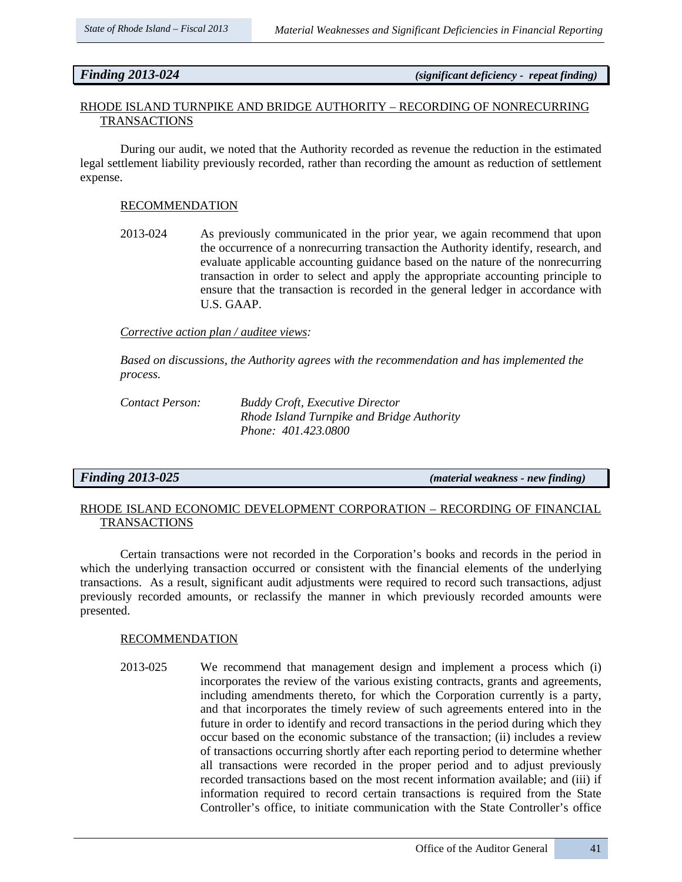*Finding 2013-024 (significant deficiency - repeat finding)*

## RHODE ISLAND TURNPIKE AND BRIDGE AUTHORITY – RECORDING OF NONRECURRING TRANSACTIONS

During our audit, we noted that the Authority recorded as revenue the reduction in the estimated legal settlement liability previously recorded, rather than recording the amount as reduction of settlement expense.

### RECOMMENDATION

2013-024 As previously communicated in the prior year, we again recommend that upon the occurrence of a nonrecurring transaction the Authority identify, research, and evaluate applicable accounting guidance based on the nature of the nonrecurring transaction in order to select and apply the appropriate accounting principle to ensure that the transaction is recorded in the general ledger in accordance with U.S. GAAP.

#### *Corrective action plan / auditee views:*

*Based on discussions, the Authority agrees with the recommendation and has implemented the process.*

*Contact Person: Buddy Croft, Executive Director Rhode Island Turnpike and Bridge Authority Phone: 401.423.0800*

*Finding 2013-025 (material weakness - new finding)*

# RHODE ISLAND ECONOMIC DEVELOPMENT CORPORATION – RECORDING OF FINANCIAL TRANSACTIONS

Certain transactions were not recorded in the Corporation's books and records in the period in which the underlying transaction occurred or consistent with the financial elements of the underlying transactions. As a result, significant audit adjustments were required to record such transactions, adjust previously recorded amounts, or reclassify the manner in which previously recorded amounts were presented.

### RECOMMENDATION

2013-025 We recommend that management design and implement a process which (i) incorporates the review of the various existing contracts, grants and agreements, including amendments thereto, for which the Corporation currently is a party, and that incorporates the timely review of such agreements entered into in the future in order to identify and record transactions in the period during which they occur based on the economic substance of the transaction; (ii) includes a review of transactions occurring shortly after each reporting period to determine whether all transactions were recorded in the proper period and to adjust previously recorded transactions based on the most recent information available; and (iii) if information required to record certain transactions is required from the State Controller's office, to initiate communication with the State Controller's office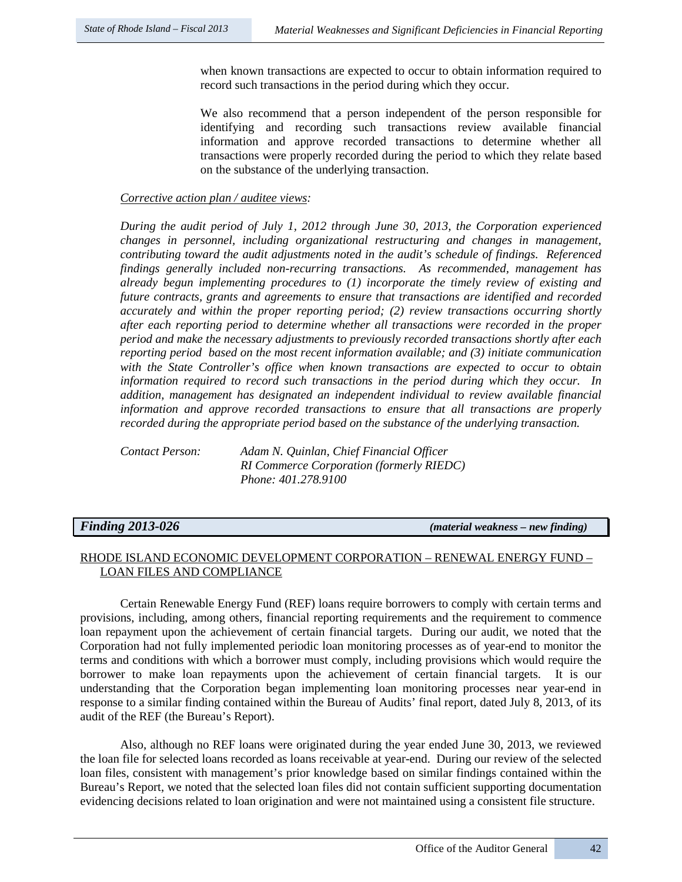when known transactions are expected to occur to obtain information required to record such transactions in the period during which they occur.

We also recommend that a person independent of the person responsible for identifying and recording such transactions review available financial information and approve recorded transactions to determine whether all transactions were properly recorded during the period to which they relate based on the substance of the underlying transaction.

### *Corrective action plan / auditee views:*

*During the audit period of July 1, 2012 through June 30, 2013, the Corporation experienced changes in personnel, including organizational restructuring and changes in management, contributing toward the audit adjustments noted in the audit's schedule of findings. Referenced findings generally included non-recurring transactions. As recommended, management has already begun implementing procedures to (1) incorporate the timely review of existing and future contracts, grants and agreements to ensure that transactions are identified and recorded accurately and within the proper reporting period; (2) review transactions occurring shortly after each reporting period to determine whether all transactions were recorded in the proper period and make the necessary adjustments to previously recorded transactions shortly after each reporting period based on the most recent information available; and (3) initiate communication with the State Controller's office when known transactions are expected to occur to obtain information required to record such transactions in the period during which they occur. In addition, management has designated an independent individual to review available financial information and approve recorded transactions to ensure that all transactions are properly recorded during the appropriate period based on the substance of the underlying transaction.*

| Contact Person: | Adam N. Quinlan, Chief Financial Officer        |
|-----------------|-------------------------------------------------|
|                 | <b>RI Commerce Corporation (formerly RIEDC)</b> |
|                 | Phone: 401.278.9100                             |

*Finding 2013-026 (material weakness – new finding)*

# RHODE ISLAND ECONOMIC DEVELOPMENT CORPORATION – RENEWAL ENERGY FUND – LOAN FILES AND COMPLIANCE

Certain Renewable Energy Fund (REF) loans require borrowers to comply with certain terms and provisions, including, among others, financial reporting requirements and the requirement to commence loan repayment upon the achievement of certain financial targets. During our audit, we noted that the Corporation had not fully implemented periodic loan monitoring processes as of year-end to monitor the terms and conditions with which a borrower must comply, including provisions which would require the borrower to make loan repayments upon the achievement of certain financial targets. It is our understanding that the Corporation began implementing loan monitoring processes near year-end in response to a similar finding contained within the Bureau of Audits' final report, dated July 8, 2013, of its audit of the REF (the Bureau's Report).

Also, although no REF loans were originated during the year ended June 30, 2013, we reviewed the loan file for selected loans recorded as loans receivable at year-end. During our review of the selected loan files, consistent with management's prior knowledge based on similar findings contained within the Bureau's Report, we noted that the selected loan files did not contain sufficient supporting documentation evidencing decisions related to loan origination and were not maintained using a consistent file structure.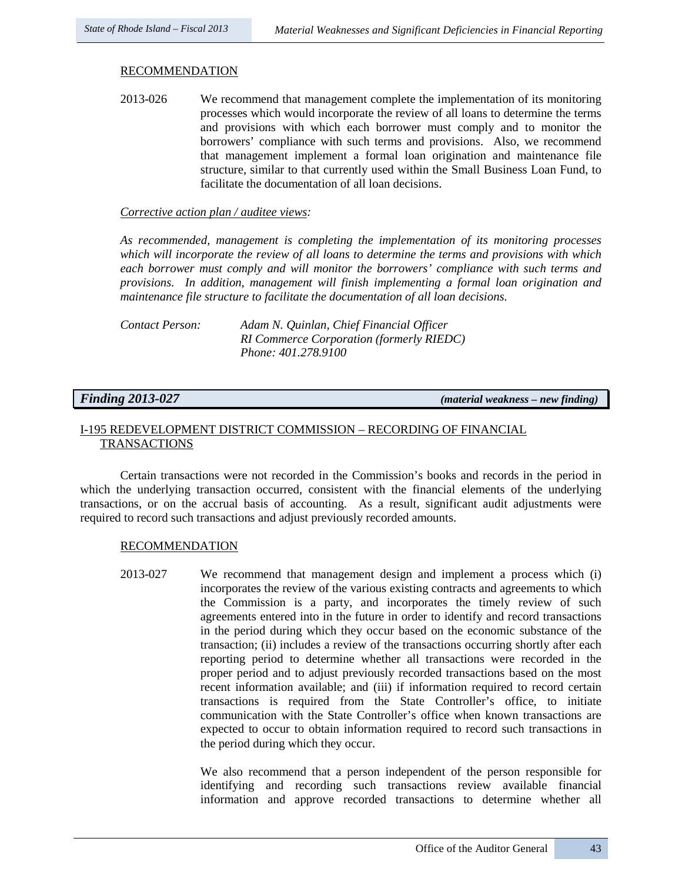#### RECOMMENDATION

2013-026 We recommend that management complete the implementation of its monitoring processes which would incorporate the review of all loans to determine the terms and provisions with which each borrower must comply and to monitor the borrowers' compliance with such terms and provisions. Also, we recommend that management implement a formal loan origination and maintenance file structure, similar to that currently used within the Small Business Loan Fund, to facilitate the documentation of all loan decisions.

#### *Corrective action plan / auditee views:*

*As recommended, management is completing the implementation of its monitoring processes which will incorporate the review of all loans to determine the terms and provisions with which each borrower must comply and will monitor the borrowers' compliance with such terms and provisions. In addition, management will finish implementing a formal loan origination and maintenance file structure to facilitate the documentation of all loan decisions.*

| Contact Person: | Adam N. Quinlan, Chief Financial Officer        |
|-----------------|-------------------------------------------------|
|                 | <b>RI Commerce Corporation (formerly RIEDC)</b> |
|                 | Phone: 401.278.9100                             |

*Finding 2013-027 (material weakness – new finding)*

# I-195 REDEVELOPMENT DISTRICT COMMISSION – RECORDING OF FINANCIAL TRANSACTIONS

Certain transactions were not recorded in the Commission's books and records in the period in which the underlying transaction occurred, consistent with the financial elements of the underlying transactions, or on the accrual basis of accounting. As a result, significant audit adjustments were required to record such transactions and adjust previously recorded amounts.

#### RECOMMENDATION

2013-027 We recommend that management design and implement a process which (i) incorporates the review of the various existing contracts and agreements to which the Commission is a party, and incorporates the timely review of such agreements entered into in the future in order to identify and record transactions in the period during which they occur based on the economic substance of the transaction; (ii) includes a review of the transactions occurring shortly after each reporting period to determine whether all transactions were recorded in the proper period and to adjust previously recorded transactions based on the most recent information available; and (iii) if information required to record certain transactions is required from the State Controller's office, to initiate communication with the State Controller's office when known transactions are expected to occur to obtain information required to record such transactions in the period during which they occur.

> We also recommend that a person independent of the person responsible for identifying and recording such transactions review available financial information and approve recorded transactions to determine whether all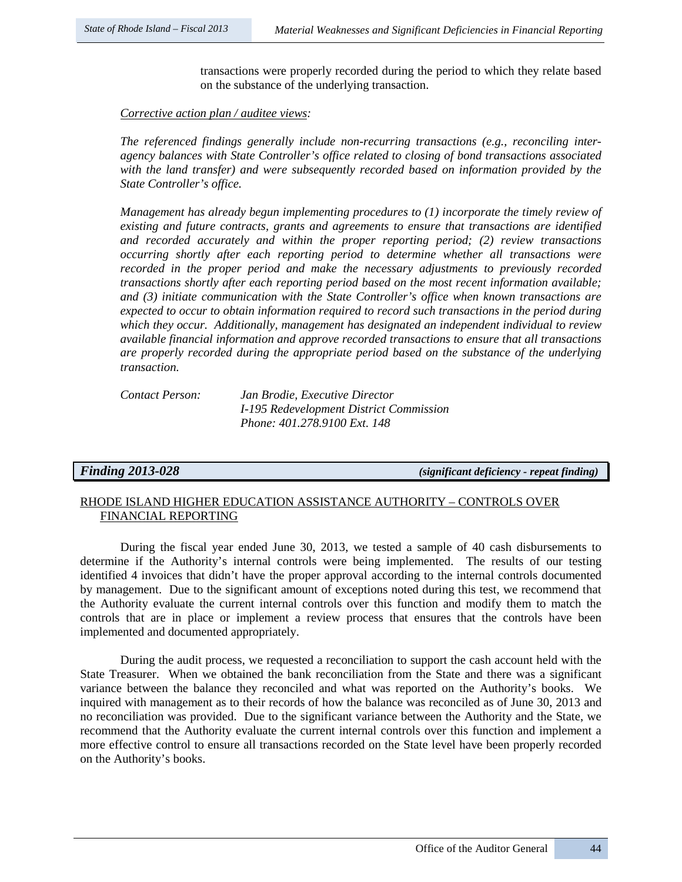transactions were properly recorded during the period to which they relate based on the substance of the underlying transaction.

*Corrective action plan / auditee views:* 

*The referenced findings generally include non-recurring transactions (e.g., reconciling interagency balances with State Controller's office related to closing of bond transactions associated with the land transfer) and were subsequently recorded based on information provided by the State Controller's office.*

*Management has already begun implementing procedures to (1) incorporate the timely review of existing and future contracts, grants and agreements to ensure that transactions are identified and recorded accurately and within the proper reporting period; (2) review transactions occurring shortly after each reporting period to determine whether all transactions were recorded in the proper period and make the necessary adjustments to previously recorded transactions shortly after each reporting period based on the most recent information available; and (3) initiate communication with the State Controller's office when known transactions are expected to occur to obtain information required to record such transactions in the period during which they occur. Additionally, management has designated an independent individual to review available financial information and approve recorded transactions to ensure that all transactions are properly recorded during the appropriate period based on the substance of the underlying transaction.*

| Contact Person: | Jan Brodie, Executive Director          |
|-----------------|-----------------------------------------|
|                 | I-195 Redevelopment District Commission |
|                 | <i>Phone: 401.278.9100 Ext. 148</i>     |

*Finding 2013-028 (significant deficiency - repeat finding)*

# RHODE ISLAND HIGHER EDUCATION ASSISTANCE AUTHORITY – CONTROLS OVER FINANCIAL REPORTING

During the fiscal year ended June 30, 2013, we tested a sample of 40 cash disbursements to determine if the Authority's internal controls were being implemented. The results of our testing identified 4 invoices that didn't have the proper approval according to the internal controls documented by management. Due to the significant amount of exceptions noted during this test, we recommend that the Authority evaluate the current internal controls over this function and modify them to match the controls that are in place or implement a review process that ensures that the controls have been implemented and documented appropriately.

During the audit process, we requested a reconciliation to support the cash account held with the State Treasurer. When we obtained the bank reconciliation from the State and there was a significant variance between the balance they reconciled and what was reported on the Authority's books. We inquired with management as to their records of how the balance was reconciled as of June 30, 2013 and no reconciliation was provided. Due to the significant variance between the Authority and the State, we recommend that the Authority evaluate the current internal controls over this function and implement a more effective control to ensure all transactions recorded on the State level have been properly recorded on the Authority's books.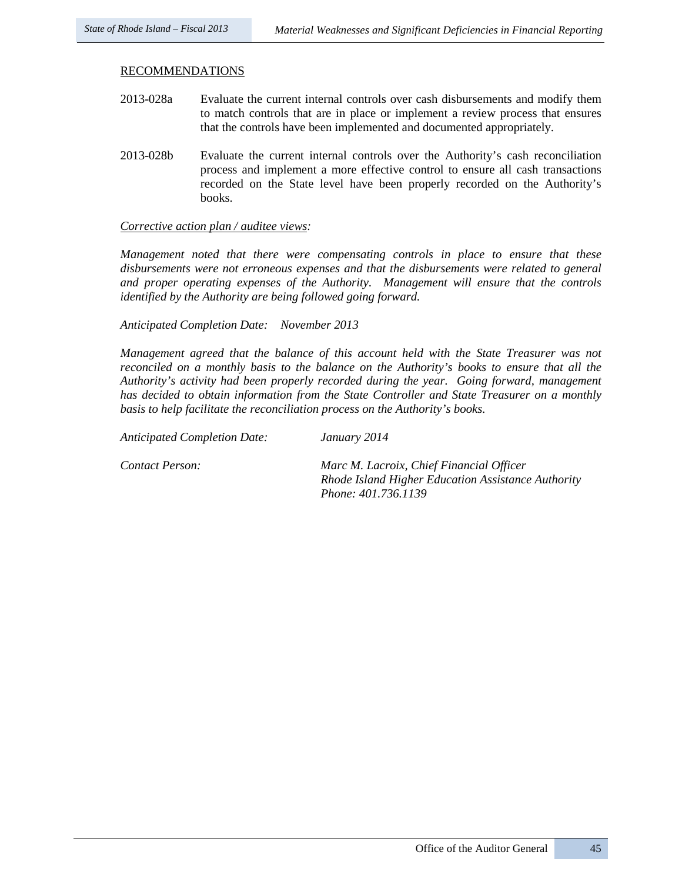#### RECOMMENDATIONS

- 2013-028a Evaluate the current internal controls over cash disbursements and modify them to match controls that are in place or implement a review process that ensures that the controls have been implemented and documented appropriately.
- 2013-028b Evaluate the current internal controls over the Authority's cash reconciliation process and implement a more effective control to ensure all cash transactions recorded on the State level have been properly recorded on the Authority's books.

#### *Corrective action plan / auditee views:*

*Management noted that there were compensating controls in place to ensure that these disbursements were not erroneous expenses and that the disbursements were related to general and proper operating expenses of the Authority. Management will ensure that the controls identified by the Authority are being followed going forward.*

### *Anticipated Completion Date: November 2013*

*Management agreed that the balance of this account held with the State Treasurer was not reconciled on a monthly basis to the balance on the Authority's books to ensure that all the Authority's activity had been properly recorded during the year. Going forward, management has decided to obtain information from the State Controller and State Treasurer on a monthly basis to help facilitate the reconciliation process on the Authority's books.*

*Anticipated Completion Date: January 2014*

*Contact Person: Marc M. Lacroix, Chief Financial Officer Rhode Island Higher Education Assistance Authority Phone: 401.736.1139*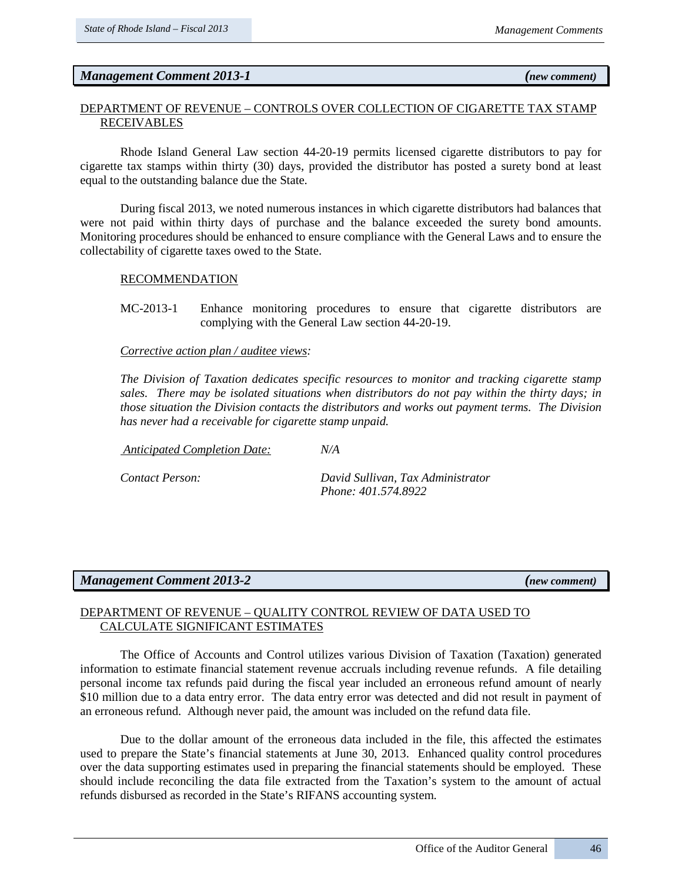## *Management Comment 2013-1 (new comment)*

## DEPARTMENT OF REVENUE – CONTROLS OVER COLLECTION OF CIGARETTE TAX STAMP RECEIVABLES

Rhode Island General Law section 44-20-19 permits licensed cigarette distributors to pay for cigarette tax stamps within thirty (30) days, provided the distributor has posted a surety bond at least equal to the outstanding balance due the State.

During fiscal 2013, we noted numerous instances in which cigarette distributors had balances that were not paid within thirty days of purchase and the balance exceeded the surety bond amounts. Monitoring procedures should be enhanced to ensure compliance with the General Laws and to ensure the collectability of cigarette taxes owed to the State.

### RECOMMENDATION

MC-2013-1 Enhance monitoring procedures to ensure that cigarette distributors are complying with the General Law section 44-20-19.

## *Corrective action plan / auditee views:*

*The Division of Taxation dedicates specific resources to monitor and tracking cigarette stamp sales. There may be isolated situations when distributors do not pay within the thirty days; in those situation the Division contacts the distributors and works out payment terms. The Division has never had a receivable for cigarette stamp unpaid.*

*Anticipated Completion Date: N/A*

*Contact Person: David Sullivan, Tax Administrator Phone: 401.574.8922*

# *Management Comment 2013-2 (new comment)*

# DEPARTMENT OF REVENUE – QUALITY CONTROL REVIEW OF DATA USED TO CALCULATE SIGNIFICANT ESTIMATES

The Office of Accounts and Control utilizes various Division of Taxation (Taxation) generated information to estimate financial statement revenue accruals including revenue refunds. A file detailing personal income tax refunds paid during the fiscal year included an erroneous refund amount of nearly \$10 million due to a data entry error. The data entry error was detected and did not result in payment of an erroneous refund. Although never paid, the amount was included on the refund data file.

Due to the dollar amount of the erroneous data included in the file, this affected the estimates used to prepare the State's financial statements at June 30, 2013. Enhanced quality control procedures over the data supporting estimates used in preparing the financial statements should be employed. These should include reconciling the data file extracted from the Taxation's system to the amount of actual refunds disbursed as recorded in the State's RIFANS accounting system.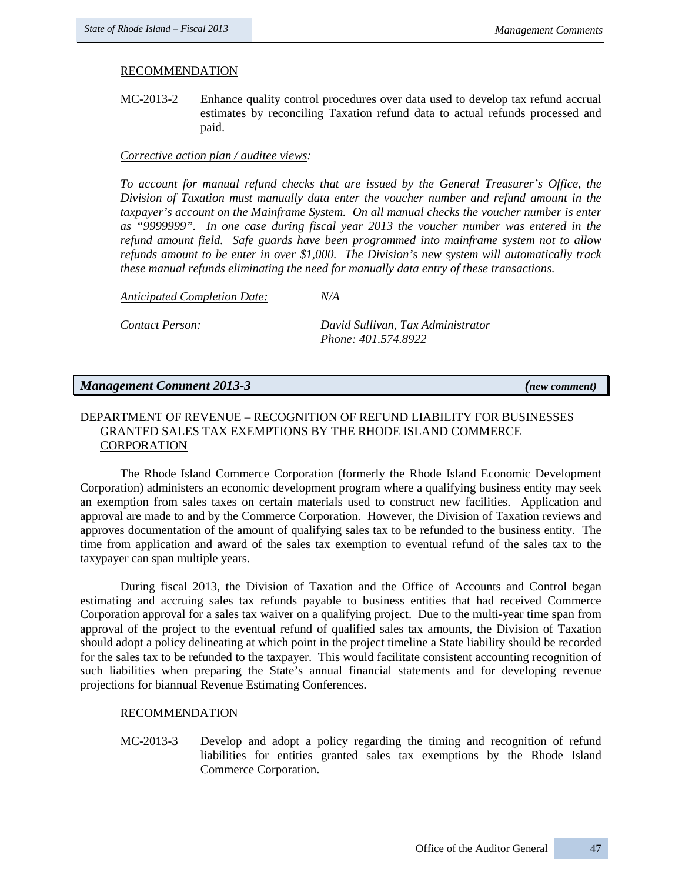## RECOMMENDATION

MC-2013-2 Enhance quality control procedures over data used to develop tax refund accrual estimates by reconciling Taxation refund data to actual refunds processed and paid.

## *Corrective action plan / auditee views:*

*To account for manual refund checks that are issued by the General Treasurer's Office, the Division of Taxation must manually data enter the voucher number and refund amount in the taxpayer's account on the Mainframe System. On all manual checks the voucher number is enter as "9999999". In one case during fiscal year 2013 the voucher number was entered in the refund amount field. Safe guards have been programmed into mainframe system not to allow refunds amount to be enter in over \$1,000. The Division's new system will automatically track these manual refunds eliminating the need for manually data entry of these transactions.*

*Anticipated Completion Date: N/A*

*Contact Person: David Sullivan, Tax Administrator Phone: 401.574.8922*

# *Management Comment 2013-3 (new comment)*

# DEPARTMENT OF REVENUE – RECOGNITION OF REFUND LIABILITY FOR BUSINESSES GRANTED SALES TAX EXEMPTIONS BY THE RHODE ISLAND COMMERCE **CORPORATION**

The Rhode Island Commerce Corporation (formerly the Rhode Island Economic Development Corporation) administers an economic development program where a qualifying business entity may seek an exemption from sales taxes on certain materials used to construct new facilities. Application and approval are made to and by the Commerce Corporation. However, the Division of Taxation reviews and approves documentation of the amount of qualifying sales tax to be refunded to the business entity. The time from application and award of the sales tax exemption to eventual refund of the sales tax to the taxypayer can span multiple years.

During fiscal 2013, the Division of Taxation and the Office of Accounts and Control began estimating and accruing sales tax refunds payable to business entities that had received Commerce Corporation approval for a sales tax waiver on a qualifying project. Due to the multi-year time span from approval of the project to the eventual refund of qualified sales tax amounts, the Division of Taxation should adopt a policy delineating at which point in the project timeline a State liability should be recorded for the sales tax to be refunded to the taxpayer. This would facilitate consistent accounting recognition of such liabilities when preparing the State's annual financial statements and for developing revenue projections for biannual Revenue Estimating Conferences.

# RECOMMENDATION

MC-2013-3 Develop and adopt a policy regarding the timing and recognition of refund liabilities for entities granted sales tax exemptions by the Rhode Island Commerce Corporation.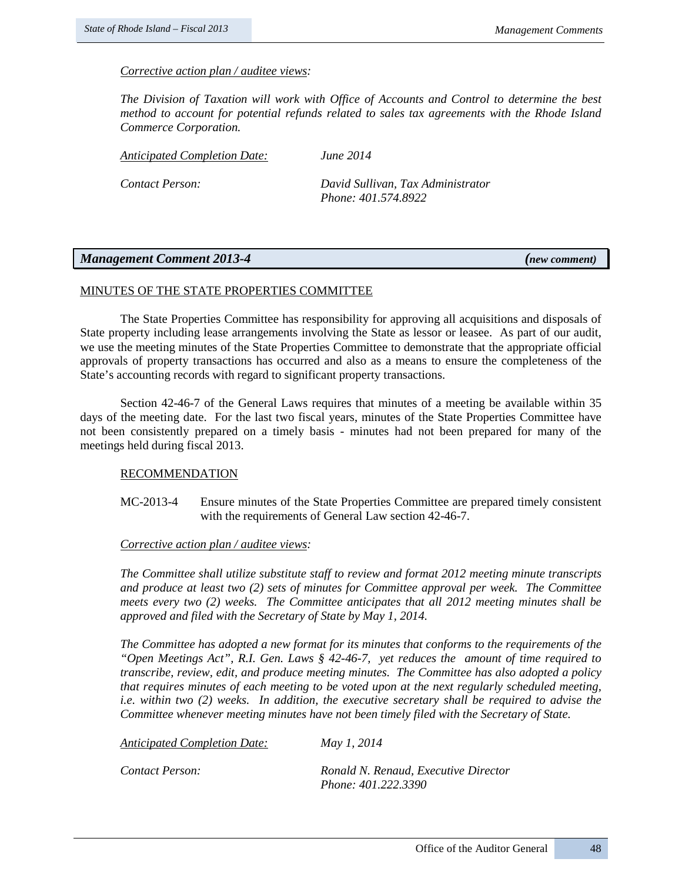## *Corrective action plan / auditee views:*

*The Division of Taxation will work with Office of Accounts and Control to determine the best method to account for potential refunds related to sales tax agreements with the Rhode Island Commerce Corporation.*

*Anticipated Completion Date: June 2014*

*Contact Person: David Sullivan, Tax Administrator Phone: 401.574.8922*

## *Management Comment 2013-4 (new comment)*

## MINUTES OF THE STATE PROPERTIES COMMITTEE

The State Properties Committee has responsibility for approving all acquisitions and disposals of State property including lease arrangements involving the State as lessor or leasee. As part of our audit, we use the meeting minutes of the State Properties Committee to demonstrate that the appropriate official approvals of property transactions has occurred and also as a means to ensure the completeness of the State's accounting records with regard to significant property transactions.

Section 42-46-7 of the General Laws requires that minutes of a meeting be available within 35 days of the meeting date. For the last two fiscal years, minutes of the State Properties Committee have not been consistently prepared on a timely basis - minutes had not been prepared for many of the meetings held during fiscal 2013.

### RECOMMENDATION

MC-2013-4 Ensure minutes of the State Properties Committee are prepared timely consistent with the requirements of General Law section 42-46-7.

### *Corrective action plan / auditee views:*

*The Committee shall utilize substitute staff to review and format 2012 meeting minute transcripts and produce at least two (2) sets of minutes for Committee approval per week. The Committee meets every two (2) weeks. The Committee anticipates that all 2012 meeting minutes shall be approved and filed with the Secretary of State by May 1, 2014.* 

*The Committee has adopted a new format for its minutes that conforms to the requirements of the "Open Meetings Act", R.I. Gen. Laws § 42-46-7, yet reduces the amount of time required to transcribe, review, edit, and produce meeting minutes. The Committee has also adopted a policy that requires minutes of each meeting to be voted upon at the next regularly scheduled meeting, i.e. within two (2) weeks. In addition, the executive secretary shall be required to advise the Committee whenever meeting minutes have not been timely filed with the Secretary of State.* 

| Anticipated Completion Date: | May 1, 2014                                                 |
|------------------------------|-------------------------------------------------------------|
| Contact Person:              | Ronald N. Renaud, Executive Director<br>Phone: 401.222.3390 |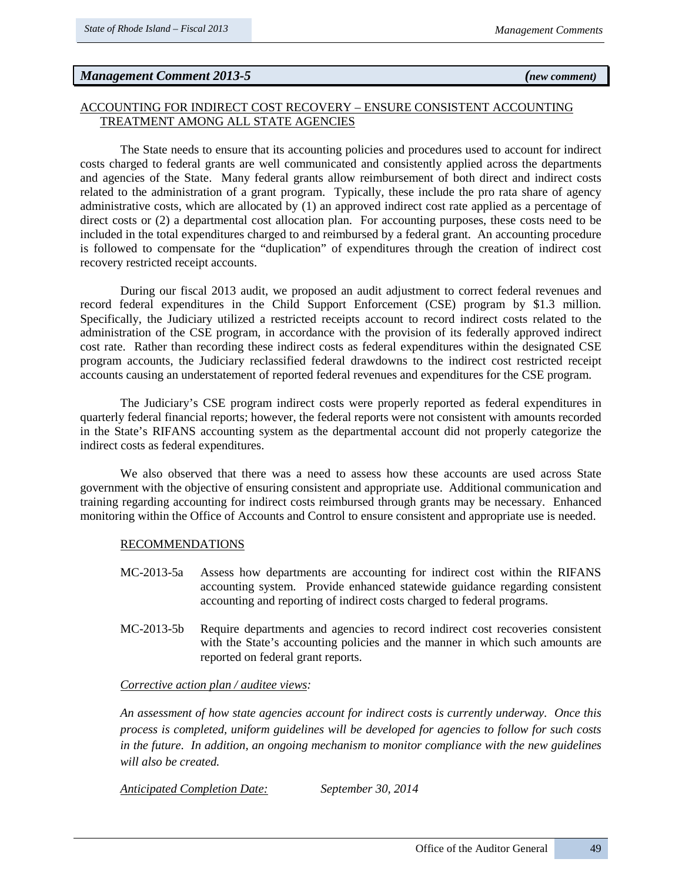## *Management Comment 2013-5 (new comment)*

## ACCOUNTING FOR INDIRECT COST RECOVERY – ENSURE CONSISTENT ACCOUNTING TREATMENT AMONG ALL STATE AGENCIES

The State needs to ensure that its accounting policies and procedures used to account for indirect costs charged to federal grants are well communicated and consistently applied across the departments and agencies of the State. Many federal grants allow reimbursement of both direct and indirect costs related to the administration of a grant program. Typically, these include the pro rata share of agency administrative costs, which are allocated by (1) an approved indirect cost rate applied as a percentage of direct costs or (2) a departmental cost allocation plan. For accounting purposes, these costs need to be included in the total expenditures charged to and reimbursed by a federal grant. An accounting procedure is followed to compensate for the "duplication" of expenditures through the creation of indirect cost recovery restricted receipt accounts.

During our fiscal 2013 audit, we proposed an audit adjustment to correct federal revenues and record federal expenditures in the Child Support Enforcement (CSE) program by \$1.3 million. Specifically, the Judiciary utilized a restricted receipts account to record indirect costs related to the administration of the CSE program, in accordance with the provision of its federally approved indirect cost rate. Rather than recording these indirect costs as federal expenditures within the designated CSE program accounts, the Judiciary reclassified federal drawdowns to the indirect cost restricted receipt accounts causing an understatement of reported federal revenues and expenditures for the CSE program.

The Judiciary's CSE program indirect costs were properly reported as federal expenditures in quarterly federal financial reports; however, the federal reports were not consistent with amounts recorded in the State's RIFANS accounting system as the departmental account did not properly categorize the indirect costs as federal expenditures.

We also observed that there was a need to assess how these accounts are used across State government with the objective of ensuring consistent and appropriate use. Additional communication and training regarding accounting for indirect costs reimbursed through grants may be necessary. Enhanced monitoring within the Office of Accounts and Control to ensure consistent and appropriate use is needed.

### RECOMMENDATIONS

- MC-2013-5a Assess how departments are accounting for indirect cost within the RIFANS accounting system. Provide enhanced statewide guidance regarding consistent accounting and reporting of indirect costs charged to federal programs.
- MC-2013-5b Require departments and agencies to record indirect cost recoveries consistent with the State's accounting policies and the manner in which such amounts are reported on federal grant reports.

### *Corrective action plan / auditee views:*

*An assessment of how state agencies account for indirect costs is currently underway. Once this process is completed, uniform guidelines will be developed for agencies to follow for such costs in the future. In addition, an ongoing mechanism to monitor compliance with the new guidelines will also be created.*

*Anticipated Completion Date: September 30, 2014*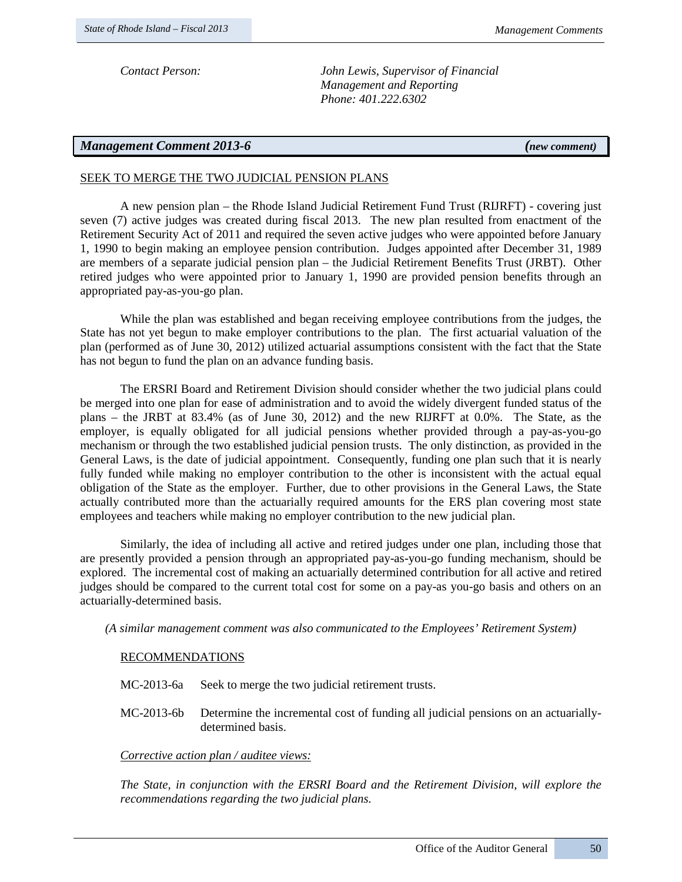*Contact Person: John Lewis, Supervisor of Financial Management and Reporting Phone: 401.222.6302*

# *Management Comment 2013-6 (new comment)*

## SEEK TO MERGE THE TWO JUDICIAL PENSION PLANS

A new pension plan – the Rhode Island Judicial Retirement Fund Trust (RIJRFT) - covering just seven (7) active judges was created during fiscal 2013. The new plan resulted from enactment of the Retirement Security Act of 2011 and required the seven active judges who were appointed before January 1, 1990 to begin making an employee pension contribution. Judges appointed after December 31, 1989 are members of a separate judicial pension plan – the Judicial Retirement Benefits Trust (JRBT). Other retired judges who were appointed prior to January 1, 1990 are provided pension benefits through an appropriated pay-as-you-go plan.

While the plan was established and began receiving employee contributions from the judges, the State has not yet begun to make employer contributions to the plan. The first actuarial valuation of the plan (performed as of June 30, 2012) utilized actuarial assumptions consistent with the fact that the State has not begun to fund the plan on an advance funding basis.

The ERSRI Board and Retirement Division should consider whether the two judicial plans could be merged into one plan for ease of administration and to avoid the widely divergent funded status of the plans – the JRBT at 83.4% (as of June 30, 2012) and the new RIJRFT at 0.0%. The State, as the employer, is equally obligated for all judicial pensions whether provided through a pay-as-you-go mechanism or through the two established judicial pension trusts. The only distinction, as provided in the General Laws, is the date of judicial appointment. Consequently, funding one plan such that it is nearly fully funded while making no employer contribution to the other is inconsistent with the actual equal obligation of the State as the employer. Further, due to other provisions in the General Laws, the State actually contributed more than the actuarially required amounts for the ERS plan covering most state employees and teachers while making no employer contribution to the new judicial plan.

Similarly, the idea of including all active and retired judges under one plan, including those that are presently provided a pension through an appropriated pay-as-you-go funding mechanism, should be explored. The incremental cost of making an actuarially determined contribution for all active and retired judges should be compared to the current total cost for some on a pay-as you-go basis and others on an actuarially-determined basis.

*(A similar management comment was also communicated to the Employees' Retirement System)*

## RECOMMENDATIONS

- MC-2013-6a Seek to merge the two judicial retirement trusts.
- MC-2013-6b Determine the incremental cost of funding all judicial pensions on an actuariallydetermined basis.

### *Corrective action plan / auditee views:*

*The State, in conjunction with the ERSRI Board and the Retirement Division, will explore the recommendations regarding the two judicial plans.*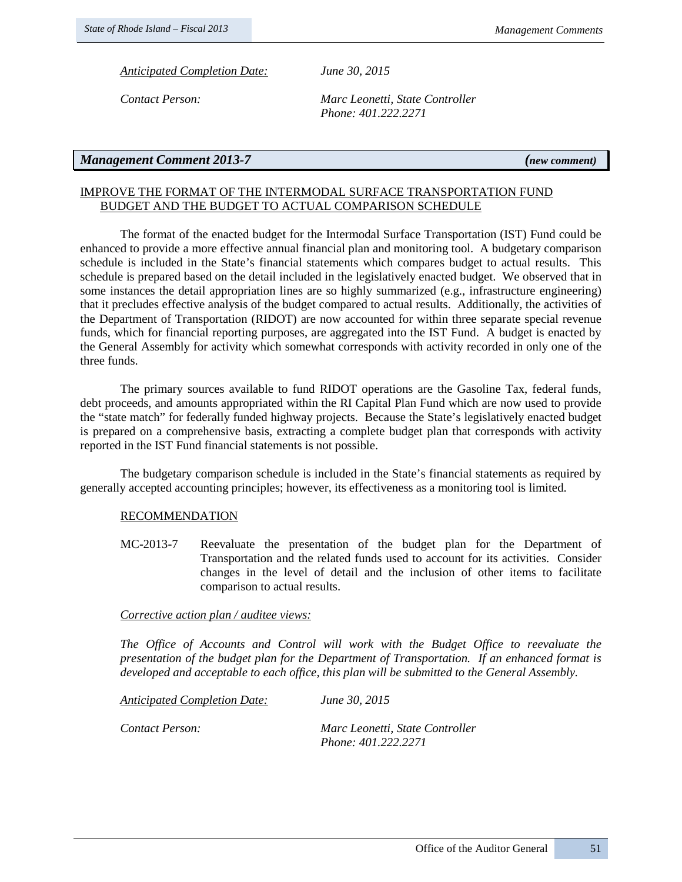*Anticipated Completion Date: June 30, 2015*

*Contact Person: Marc Leonetti, State Controller Phone: 401.222.2271*

## *Management Comment 2013-7 (new comment)*

# IMPROVE THE FORMAT OF THE INTERMODAL SURFACE TRANSPORTATION FUND BUDGET AND THE BUDGET TO ACTUAL COMPARISON SCHEDULE

The format of the enacted budget for the Intermodal Surface Transportation (IST) Fund could be enhanced to provide a more effective annual financial plan and monitoring tool. A budgetary comparison schedule is included in the State's financial statements which compares budget to actual results. This schedule is prepared based on the detail included in the legislatively enacted budget. We observed that in some instances the detail appropriation lines are so highly summarized (e.g., infrastructure engineering) that it precludes effective analysis of the budget compared to actual results. Additionally, the activities of the Department of Transportation (RIDOT) are now accounted for within three separate special revenue funds, which for financial reporting purposes, are aggregated into the IST Fund. A budget is enacted by the General Assembly for activity which somewhat corresponds with activity recorded in only one of the three funds.

The primary sources available to fund RIDOT operations are the Gasoline Tax, federal funds, debt proceeds, and amounts appropriated within the RI Capital Plan Fund which are now used to provide the "state match" for federally funded highway projects. Because the State's legislatively enacted budget is prepared on a comprehensive basis, extracting a complete budget plan that corresponds with activity reported in the IST Fund financial statements is not possible.

The budgetary comparison schedule is included in the State's financial statements as required by generally accepted accounting principles; however, its effectiveness as a monitoring tool is limited.

### RECOMMENDATION

MC-2013-7 Reevaluate the presentation of the budget plan for the Department of Transportation and the related funds used to account for its activities. Consider changes in the level of detail and the inclusion of other items to facilitate comparison to actual results.

#### *Corrective action plan / auditee views:*

*The Office of Accounts and Control will work with the Budget Office to reevaluate the presentation of the budget plan for the Department of Transportation. If an enhanced format is developed and acceptable to each office, this plan will be submitted to the General Assembly.* 

*Anticipated Completion Date: June 30, 2015*

*Contact Person: Marc Leonetti, State Controller Phone: 401.222.2271*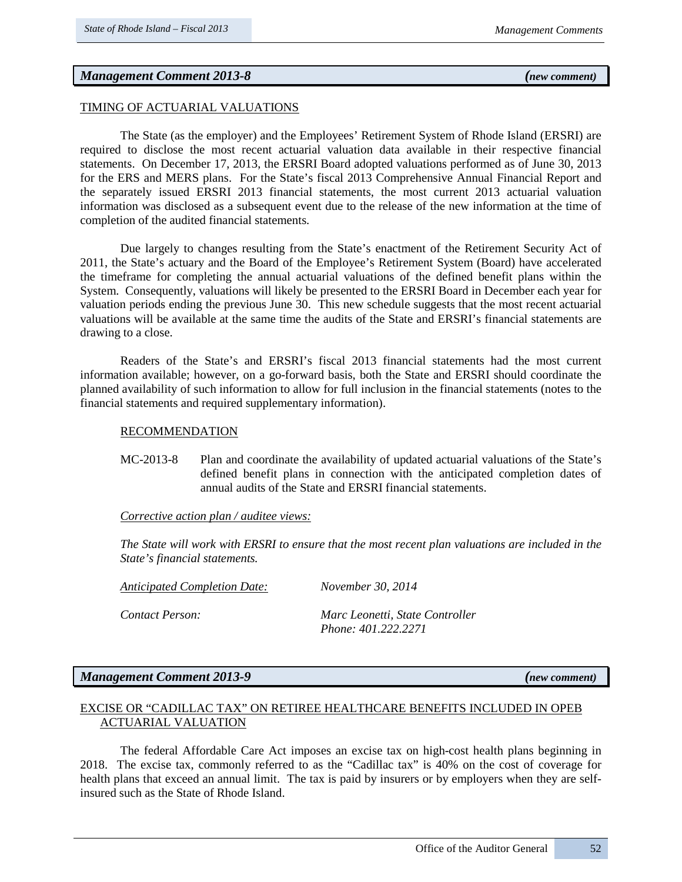# *Management Comment 2013-8 (new comment)*

#### TIMING OF ACTUARIAL VALUATIONS

The State (as the employer) and the Employees' Retirement System of Rhode Island (ERSRI) are required to disclose the most recent actuarial valuation data available in their respective financial statements. On December 17, 2013, the ERSRI Board adopted valuations performed as of June 30, 2013 for the ERS and MERS plans. For the State's fiscal 2013 Comprehensive Annual Financial Report and the separately issued ERSRI 2013 financial statements, the most current 2013 actuarial valuation information was disclosed as a subsequent event due to the release of the new information at the time of completion of the audited financial statements.

Due largely to changes resulting from the State's enactment of the Retirement Security Act of 2011, the State's actuary and the Board of the Employee's Retirement System (Board) have accelerated the timeframe for completing the annual actuarial valuations of the defined benefit plans within the System. Consequently, valuations will likely be presented to the ERSRI Board in December each year for valuation periods ending the previous June 30. This new schedule suggests that the most recent actuarial valuations will be available at the same time the audits of the State and ERSRI's financial statements are drawing to a close.

Readers of the State's and ERSRI's fiscal 2013 financial statements had the most current information available; however, on a go-forward basis, both the State and ERSRI should coordinate the planned availability of such information to allow for full inclusion in the financial statements (notes to the financial statements and required supplementary information).

#### RECOMMENDATION

MC-2013-8 Plan and coordinate the availability of updated actuarial valuations of the State's defined benefit plans in connection with the anticipated completion dates of annual audits of the State and ERSRI financial statements.

### *Corrective action plan / auditee views:*

*The State will work with ERSRI to ensure that the most recent plan valuations are included in the State's financial statements.* 

*Anticipated Completion Date: November 30, 2014*

*Contact Person: Marc Leonetti, State Controller Phone: 401.222.2271*

### *Management Comment 2013-9 (new comment)*

## EXCISE OR "CADILLAC TAX" ON RETIREE HEALTHCARE BENEFITS INCLUDED IN OPEB ACTUARIAL VALUATION

The federal Affordable Care Act imposes an excise tax on high-cost health plans beginning in 2018. The excise tax, commonly referred to as the "Cadillac tax" is 40% on the cost of coverage for health plans that exceed an annual limit. The tax is paid by insurers or by employers when they are selfinsured such as the State of Rhode Island.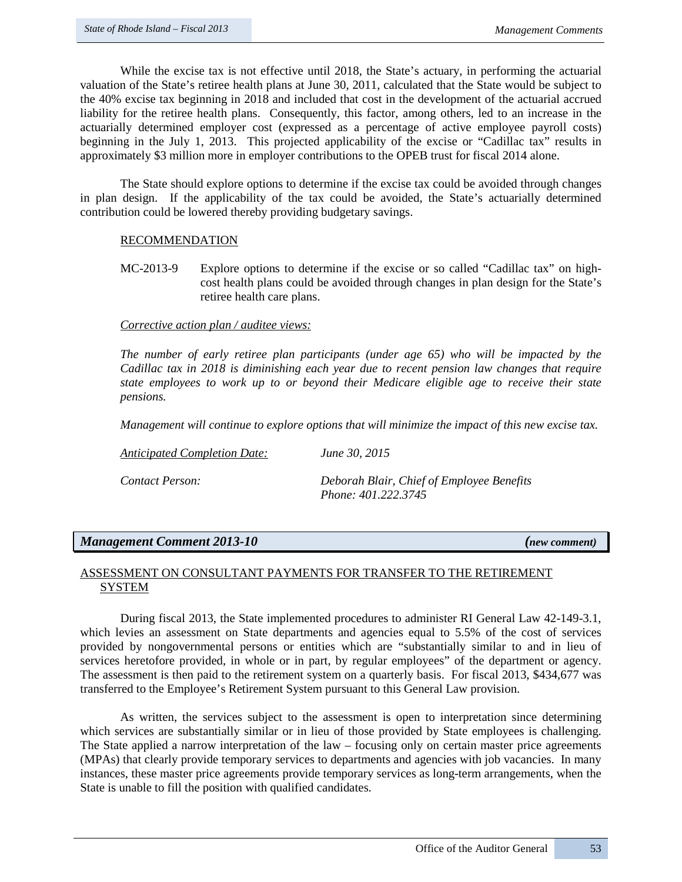While the excise tax is not effective until 2018, the State's actuary, in performing the actuarial valuation of the State's retiree health plans at June 30, 2011, calculated that the State would be subject to the 40% excise tax beginning in 2018 and included that cost in the development of the actuarial accrued liability for the retiree health plans. Consequently, this factor, among others, led to an increase in the actuarially determined employer cost (expressed as a percentage of active employee payroll costs) beginning in the July 1, 2013. This projected applicability of the excise or "Cadillac tax" results in approximately \$3 million more in employer contributions to the OPEB trust for fiscal 2014 alone.

The State should explore options to determine if the excise tax could be avoided through changes in plan design. If the applicability of the tax could be avoided, the State's actuarially determined contribution could be lowered thereby providing budgetary savings.

## RECOMMENDATION

MC-2013-9 Explore options to determine if the excise or so called "Cadillac tax" on highcost health plans could be avoided through changes in plan design for the State's retiree health care plans.

## *Corrective action plan / auditee views:*

*The number of early retiree plan participants (under age 65) who will be impacted by the Cadillac tax in 2018 is diminishing each year due to recent pension law changes that require state employees to work up to or beyond their Medicare eligible age to receive their state pensions.*

*Management will continue to explore options that will minimize the impact of this new excise tax.* 

*Anticipated Completion Date: June 30, 2015*

*Contact Person: Deborah Blair, Chief of Employee Benefits Phone: 401.222.3745*

# *Management Comment 2013-10 (new comment)*

# ASSESSMENT ON CONSULTANT PAYMENTS FOR TRANSFER TO THE RETIREMENT SYSTEM

During fiscal 2013, the State implemented procedures to administer RI General Law 42-149-3.1, which levies an assessment on State departments and agencies equal to 5.5% of the cost of services provided by nongovernmental persons or entities which are "substantially similar to and in lieu of services heretofore provided, in whole or in part, by regular employees" of the department or agency. The assessment is then paid to the retirement system on a quarterly basis. For fiscal 2013, \$434,677 was transferred to the Employee's Retirement System pursuant to this General Law provision.

As written, the services subject to the assessment is open to interpretation since determining which services are substantially similar or in lieu of those provided by State employees is challenging. The State applied a narrow interpretation of the law – focusing only on certain master price agreements (MPAs) that clearly provide temporary services to departments and agencies with job vacancies. In many instances, these master price agreements provide temporary services as long-term arrangements, when the State is unable to fill the position with qualified candidates.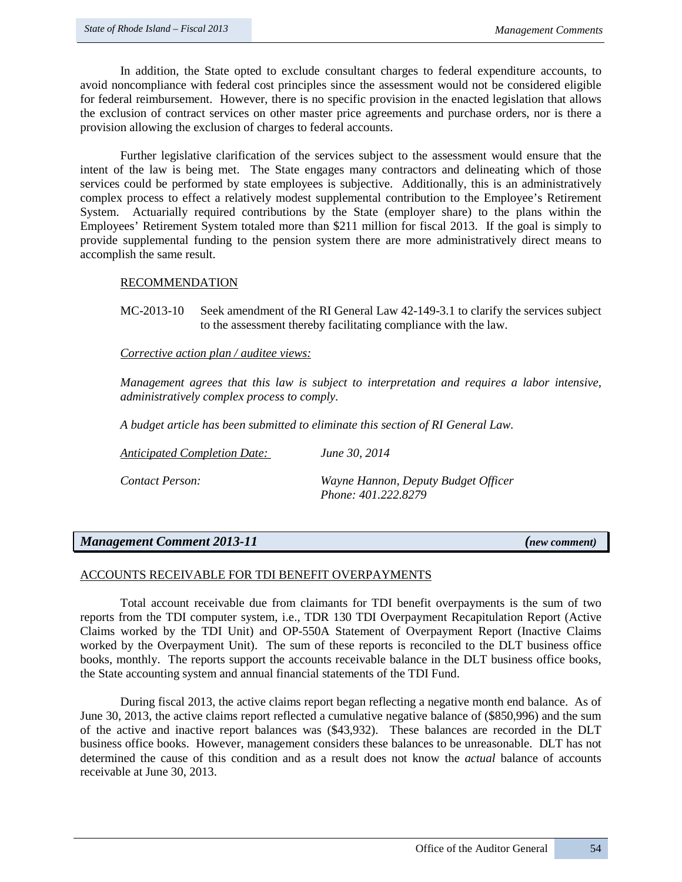In addition, the State opted to exclude consultant charges to federal expenditure accounts, to avoid noncompliance with federal cost principles since the assessment would not be considered eligible for federal reimbursement. However, there is no specific provision in the enacted legislation that allows the exclusion of contract services on other master price agreements and purchase orders, nor is there a provision allowing the exclusion of charges to federal accounts.

Further legislative clarification of the services subject to the assessment would ensure that the intent of the law is being met. The State engages many contractors and delineating which of those services could be performed by state employees is subjective. Additionally, this is an administratively complex process to effect a relatively modest supplemental contribution to the Employee's Retirement System. Actuarially required contributions by the State (employer share) to the plans within the Employees' Retirement System totaled more than \$211 million for fiscal 2013. If the goal is simply to provide supplemental funding to the pension system there are more administratively direct means to accomplish the same result.

### RECOMMENDATION

MC-2013-10 Seek amendment of the RI General Law 42-149-3.1 to clarify the services subject to the assessment thereby facilitating compliance with the law.

## *Corrective action plan / auditee views:*

*Management agrees that this law is subject to interpretation and requires a labor intensive, administratively complex process to comply.* 

*A budget article has been submitted to eliminate this section of RI General Law.* 

*Anticipated Completion Date: June 30, 2014*

*Contact Person: Wayne Hannon, Deputy Budget Officer Phone: 401.222.8279*

# *Management Comment 2013-11 (new comment)*

# ACCOUNTS RECEIVABLE FOR TDI BENEFIT OVERPAYMENTS

Total account receivable due from claimants for TDI benefit overpayments is the sum of two reports from the TDI computer system, i.e., TDR 130 TDI Overpayment Recapitulation Report (Active Claims worked by the TDI Unit) and OP-550A Statement of Overpayment Report (Inactive Claims worked by the Overpayment Unit). The sum of these reports is reconciled to the DLT business office books, monthly. The reports support the accounts receivable balance in the DLT business office books, the State accounting system and annual financial statements of the TDI Fund.

During fiscal 2013, the active claims report began reflecting a negative month end balance. As of June 30, 2013, the active claims report reflected a cumulative negative balance of (\$850,996) and the sum of the active and inactive report balances was (\$43,932). These balances are recorded in the DLT business office books. However, management considers these balances to be unreasonable. DLT has not determined the cause of this condition and as a result does not know the *actual* balance of accounts receivable at June 30, 2013.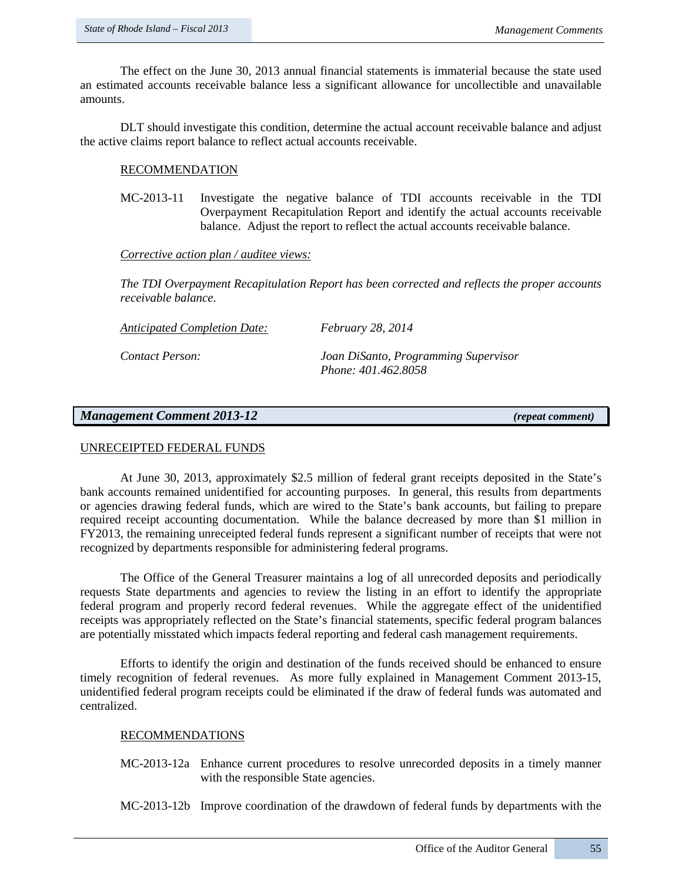The effect on the June 30, 2013 annual financial statements is immaterial because the state used an estimated accounts receivable balance less a significant allowance for uncollectible and unavailable amounts.

DLT should investigate this condition, determine the actual account receivable balance and adjust the active claims report balance to reflect actual accounts receivable.

## RECOMMENDATION

MC-2013-11 Investigate the negative balance of TDI accounts receivable in the TDI Overpayment Recapitulation Report and identify the actual accounts receivable balance. Adjust the report to reflect the actual accounts receivable balance.

*Corrective action plan / auditee views:*

*The TDI Overpayment Recapitulation Report has been corrected and reflects the proper accounts receivable balance.* 

*Anticipated Completion Date: February 28, 2014*

*Contact Person: Joan DiSanto, Programming Supervisor Phone: 401.462.8058*

# *Management Comment 2013-12 (repeat comment)*

## UNRECEIPTED FEDERAL FUNDS

At June 30, 2013, approximately \$2.5 million of federal grant receipts deposited in the State's bank accounts remained unidentified for accounting purposes. In general, this results from departments or agencies drawing federal funds, which are wired to the State's bank accounts, but failing to prepare required receipt accounting documentation. While the balance decreased by more than \$1 million in FY2013, the remaining unreceipted federal funds represent a significant number of receipts that were not recognized by departments responsible for administering federal programs.

The Office of the General Treasurer maintains a log of all unrecorded deposits and periodically requests State departments and agencies to review the listing in an effort to identify the appropriate federal program and properly record federal revenues. While the aggregate effect of the unidentified receipts was appropriately reflected on the State's financial statements, specific federal program balances are potentially misstated which impacts federal reporting and federal cash management requirements.

Efforts to identify the origin and destination of the funds received should be enhanced to ensure timely recognition of federal revenues. As more fully explained in Management Comment 2013-15, unidentified federal program receipts could be eliminated if the draw of federal funds was automated and centralized.

### RECOMMENDATIONS

- MC-2013-12a Enhance current procedures to resolve unrecorded deposits in a timely manner with the responsible State agencies.
- MC-2013-12b Improve coordination of the drawdown of federal funds by departments with the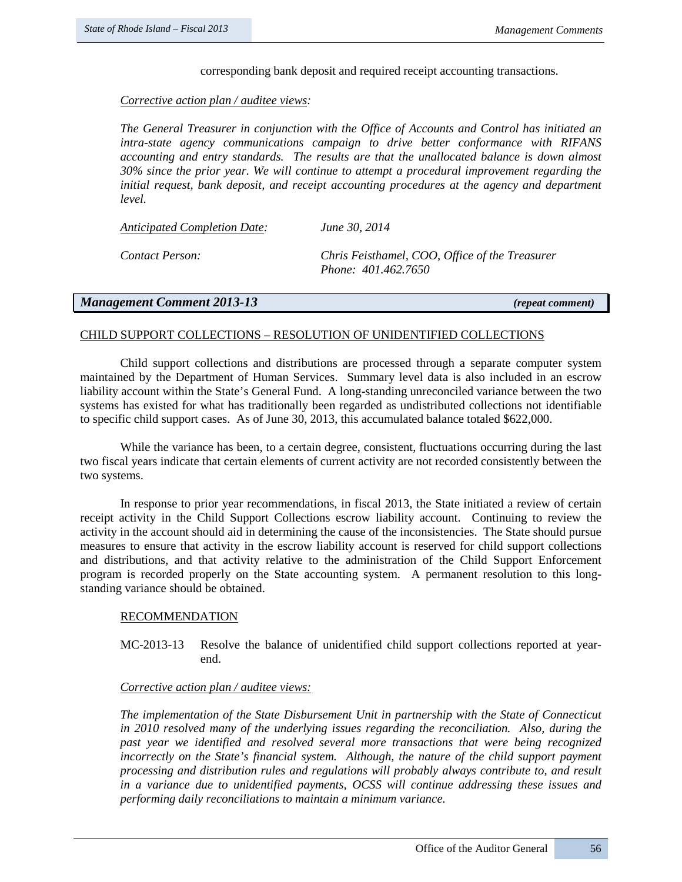corresponding bank deposit and required receipt accounting transactions.

*Corrective action plan / auditee views:* 

*The General Treasurer in conjunction with the Office of Accounts and Control has initiated an intra-state agency communications campaign to drive better conformance with RIFANS accounting and entry standards. The results are that the unallocated balance is down almost 30% since the prior year. We will continue to attempt a procedural improvement regarding the initial request, bank deposit, and receipt accounting procedures at the agency and department level.*

| <b>Anticipated Completion Date:</b> | June 30, 2014                                                         |
|-------------------------------------|-----------------------------------------------------------------------|
| Contact Person:                     | Chris Feisthamel, COO, Office of the Treasurer<br>Phone: 401.462.7650 |

## *Management Comment 2013-13 (repeat comment)*

### CHILD SUPPORT COLLECTIONS – RESOLUTION OF UNIDENTIFIED COLLECTIONS

Child support collections and distributions are processed through a separate computer system maintained by the Department of Human Services. Summary level data is also included in an escrow liability account within the State's General Fund. A long-standing unreconciled variance between the two systems has existed for what has traditionally been regarded as undistributed collections not identifiable to specific child support cases. As of June 30, 2013, this accumulated balance totaled \$622,000.

While the variance has been, to a certain degree, consistent, fluctuations occurring during the last two fiscal years indicate that certain elements of current activity are not recorded consistently between the two systems.

In response to prior year recommendations, in fiscal 2013, the State initiated a review of certain receipt activity in the Child Support Collections escrow liability account. Continuing to review the activity in the account should aid in determining the cause of the inconsistencies. The State should pursue measures to ensure that activity in the escrow liability account is reserved for child support collections and distributions, and that activity relative to the administration of the Child Support Enforcement program is recorded properly on the State accounting system. A permanent resolution to this longstanding variance should be obtained.

### RECOMMENDATION

MC-2013-13 Resolve the balance of unidentified child support collections reported at yearend.

### *Corrective action plan / auditee views:*

*The implementation of the State Disbursement Unit in partnership with the State of Connecticut in 2010 resolved many of the underlying issues regarding the reconciliation. Also, during the past year we identified and resolved several more transactions that were being recognized incorrectly on the State's financial system. Although, the nature of the child support payment processing and distribution rules and regulations will probably always contribute to, and result in a variance due to unidentified payments, OCSS will continue addressing these issues and performing daily reconciliations to maintain a minimum variance.*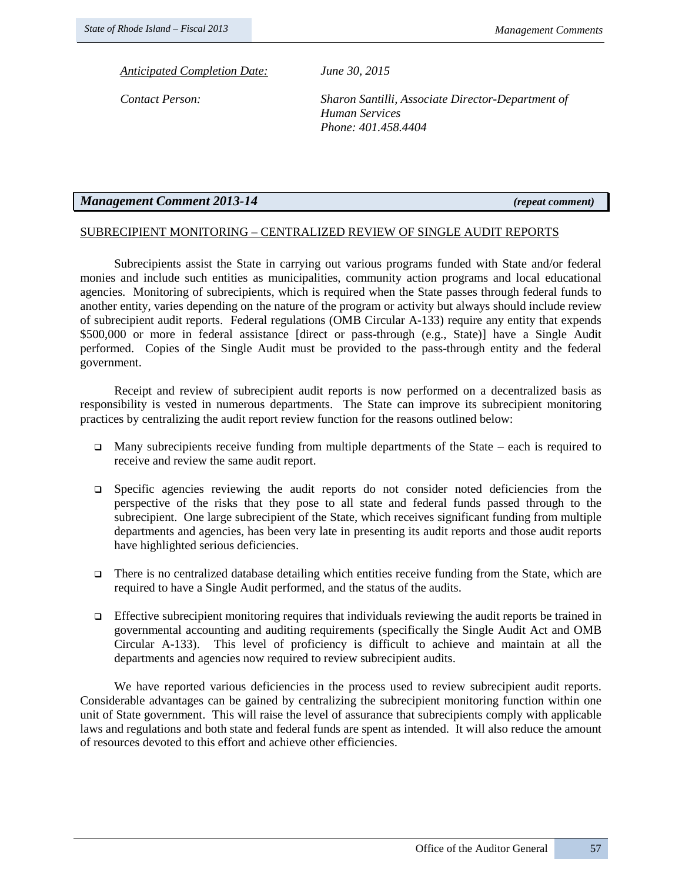*Anticipated Completion Date: June 30, 2015*

*Contact Person: Sharon Santilli, Associate Director-Department of Human Services Phone: 401.458.4404*

# *Management Comment 2013-14 (repeat comment)*

# SUBRECIPIENT MONITORING – CENTRALIZED REVIEW OF SINGLE AUDIT REPORTS

Subrecipients assist the State in carrying out various programs funded with State and/or federal monies and include such entities as municipalities, community action programs and local educational agencies. Monitoring of subrecipients, which is required when the State passes through federal funds to another entity, varies depending on the nature of the program or activity but always should include review of subrecipient audit reports. Federal regulations (OMB Circular A-133) require any entity that expends \$500,000 or more in federal assistance [direct or pass-through (e.g., State)] have a Single Audit performed. Copies of the Single Audit must be provided to the pass-through entity and the federal government.

Receipt and review of subrecipient audit reports is now performed on a decentralized basis as responsibility is vested in numerous departments. The State can improve its subrecipient monitoring practices by centralizing the audit report review function for the reasons outlined below:

- $\Box$  Many subrecipients receive funding from multiple departments of the State each is required to receive and review the same audit report.
- Specific agencies reviewing the audit reports do not consider noted deficiencies from the perspective of the risks that they pose to all state and federal funds passed through to the subrecipient. One large subrecipient of the State, which receives significant funding from multiple departments and agencies, has been very late in presenting its audit reports and those audit reports have highlighted serious deficiencies.
- There is no centralized database detailing which entities receive funding from the State, which are required to have a Single Audit performed, and the status of the audits.
- Effective subrecipient monitoring requires that individuals reviewing the audit reports be trained in governmental accounting and auditing requirements (specifically the Single Audit Act and OMB Circular A-133). This level of proficiency is difficult to achieve and maintain at all the departments and agencies now required to review subrecipient audits.

We have reported various deficiencies in the process used to review subrecipient audit reports. Considerable advantages can be gained by centralizing the subrecipient monitoring function within one unit of State government. This will raise the level of assurance that subrecipients comply with applicable laws and regulations and both state and federal funds are spent as intended. It will also reduce the amount of resources devoted to this effort and achieve other efficiencies.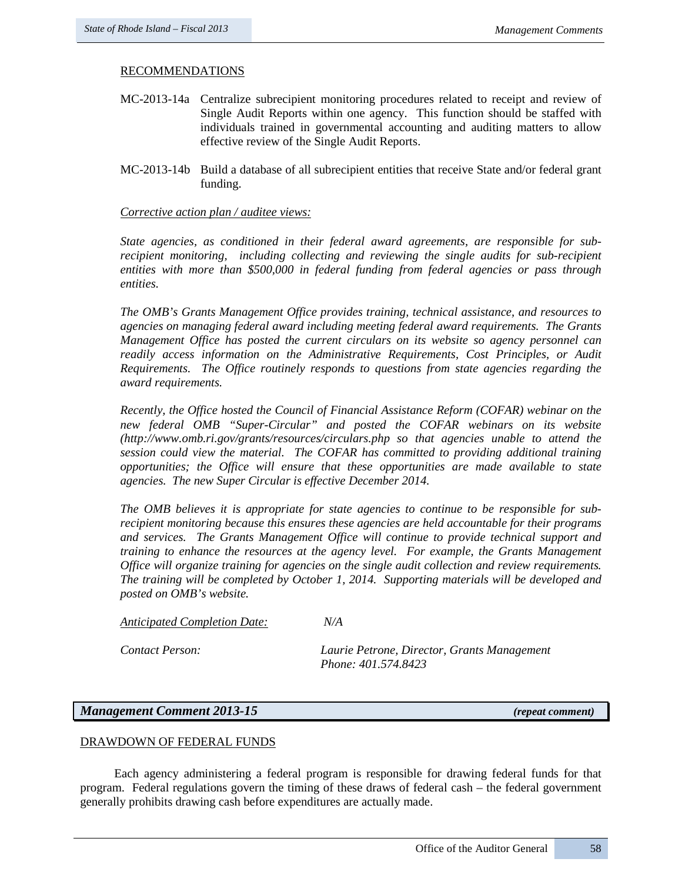### RECOMMENDATIONS

- MC-2013-14a Centralize subrecipient monitoring procedures related to receipt and review of Single Audit Reports within one agency. This function should be staffed with individuals trained in governmental accounting and auditing matters to allow effective review of the Single Audit Reports.
- MC-2013-14b Build a database of all subrecipient entities that receive State and/or federal grant funding.

#### *Corrective action plan / auditee views:*

*State agencies, as conditioned in their federal award agreements, are responsible for subrecipient monitoring, including collecting and reviewing the single audits for sub-recipient entities with more than \$500,000 in federal funding from federal agencies or pass through entities.* 

*The OMB's Grants Management Office provides training, technical assistance, and resources to agencies on managing federal award including meeting federal award requirements. The Grants Management Office has posted the current circulars on its website so agency personnel can readily access information on the Administrative Requirements, Cost Principles, or Audit Requirements. The Office routinely responds to questions from state agencies regarding the award requirements.* 

*Recently, the Office hosted the Council of Financial Assistance Reform (COFAR) webinar on the new federal OMB "Super-Circular" and posted the COFAR webinars on its website [\(http://www.omb.ri.gov/grants/resources/circulars.php](http://www.omb.ri.gov/grants/resources/circulars.php) so that agencies unable to attend the session could view the material. The COFAR has committed to providing additional training opportunities; the Office will ensure that these opportunities are made available to state agencies. The new Super Circular is effective December 2014.*

*The OMB believes it is appropriate for state agencies to continue to be responsible for subrecipient monitoring because this ensures these agencies are held accountable for their programs and services. The Grants Management Office will continue to provide technical support and training to enhance the resources at the agency level. For example, the Grants Management Office will organize training for agencies on the single audit collection and review requirements. The training will be completed by October 1, 2014. Supporting materials will be developed and posted on OMB's website.*

*Anticipated Completion Date: N/A* 

*Contact Person: Laurie Petrone, Director, Grants Management Phone: 401.574.8423*

# *Management Comment 2013-15 (repeat comment)*

### DRAWDOWN OF FEDERAL FUNDS

Each agency administering a federal program is responsible for drawing federal funds for that program. Federal regulations govern the timing of these draws of federal cash – the federal government generally prohibits drawing cash before expenditures are actually made.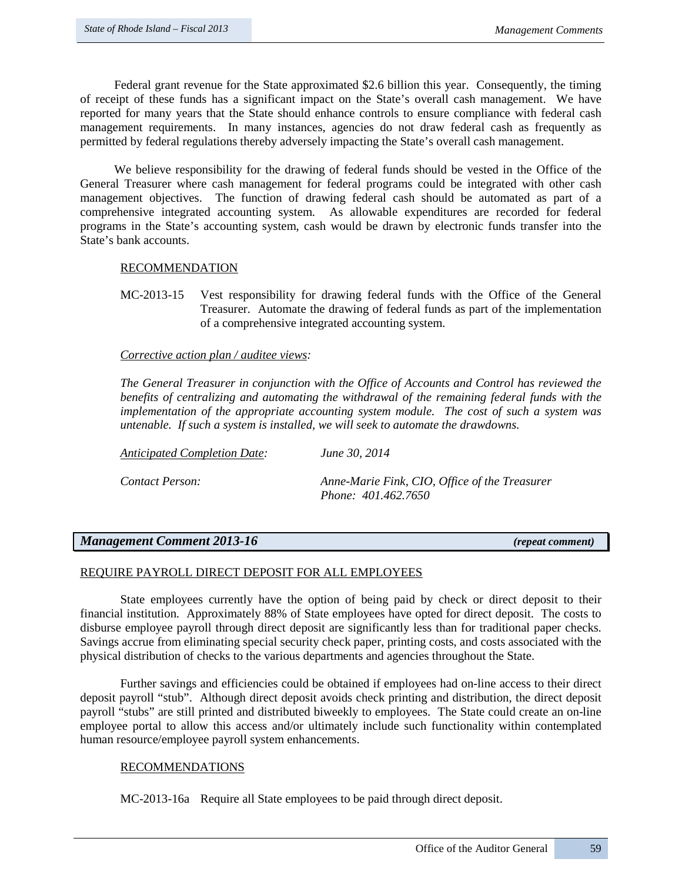Federal grant revenue for the State approximated \$2.6 billion this year. Consequently, the timing of receipt of these funds has a significant impact on the State's overall cash management. We have reported for many years that the State should enhance controls to ensure compliance with federal cash management requirements. In many instances, agencies do not draw federal cash as frequently as permitted by federal regulations thereby adversely impacting the State's overall cash management.

We believe responsibility for the drawing of federal funds should be vested in the Office of the General Treasurer where cash management for federal programs could be integrated with other cash management objectives. The function of drawing federal cash should be automated as part of a comprehensive integrated accounting system. As allowable expenditures are recorded for federal programs in the State's accounting system, cash would be drawn by electronic funds transfer into the State's bank accounts.

# RECOMMENDATION

MC-2013-15 Vest responsibility for drawing federal funds with the Office of the General Treasurer. Automate the drawing of federal funds as part of the implementation of a comprehensive integrated accounting system.

## *Corrective action plan / auditee views:*

*The General Treasurer in conjunction with the Office of Accounts and Control has reviewed the benefits of centralizing and automating the withdrawal of the remaining federal funds with the implementation of the appropriate accounting system module. The cost of such a system was untenable. If such a system is installed, we will seek to automate the drawdowns.*

| <b>Anticipated Completion Date:</b> | June 30, 2014 |
|-------------------------------------|---------------|
|                                     |               |

*Contact Person: Anne-Marie Fink, CIO, Office of the Treasurer Phone: 401.462.7650*

# *Management Comment 2013-16 (repeat comment)*

# REQUIRE PAYROLL DIRECT DEPOSIT FOR ALL EMPLOYEES

State employees currently have the option of being paid by check or direct deposit to their financial institution. Approximately 88% of State employees have opted for direct deposit. The costs to disburse employee payroll through direct deposit are significantly less than for traditional paper checks. Savings accrue from eliminating special security check paper, printing costs, and costs associated with the physical distribution of checks to the various departments and agencies throughout the State.

Further savings and efficiencies could be obtained if employees had on-line access to their direct deposit payroll "stub". Although direct deposit avoids check printing and distribution, the direct deposit payroll "stubs" are still printed and distributed biweekly to employees. The State could create an on-line employee portal to allow this access and/or ultimately include such functionality within contemplated human resource/employee payroll system enhancements.

### RECOMMENDATIONS

MC-2013-16a Require all State employees to be paid through direct deposit.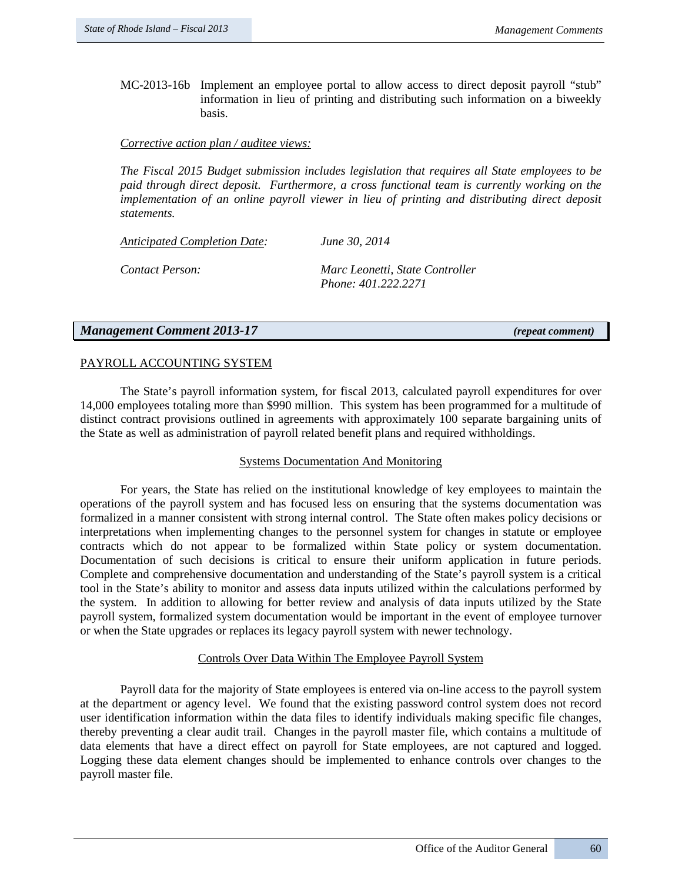MC-2013-16b Implement an employee portal to allow access to direct deposit payroll "stub" information in lieu of printing and distributing such information on a biweekly basis.

*Corrective action plan / auditee views:*

*The Fiscal 2015 Budget submission includes legislation that requires all State employees to be paid through direct deposit. Furthermore, a cross functional team is currently working on the implementation of an online payroll viewer in lieu of printing and distributing direct deposit statements.* 

| <b>Anticipated Completion Date:</b> | June 30, 2014                                          |
|-------------------------------------|--------------------------------------------------------|
| Contact Person:                     | Marc Leonetti, State Controller<br>Phone: 401.222.2271 |

## *Management Comment 2013-17 (repeat comment)*

## PAYROLL ACCOUNTING SYSTEM

The State's payroll information system, for fiscal 2013, calculated payroll expenditures for over 14,000 employees totaling more than \$990 million. This system has been programmed for a multitude of distinct contract provisions outlined in agreements with approximately 100 separate bargaining units of the State as well as administration of payroll related benefit plans and required withholdings.

### Systems Documentation And Monitoring

For years, the State has relied on the institutional knowledge of key employees to maintain the operations of the payroll system and has focused less on ensuring that the systems documentation was formalized in a manner consistent with strong internal control. The State often makes policy decisions or interpretations when implementing changes to the personnel system for changes in statute or employee contracts which do not appear to be formalized within State policy or system documentation. Documentation of such decisions is critical to ensure their uniform application in future periods. Complete and comprehensive documentation and understanding of the State's payroll system is a critical tool in the State's ability to monitor and assess data inputs utilized within the calculations performed by the system. In addition to allowing for better review and analysis of data inputs utilized by the State payroll system, formalized system documentation would be important in the event of employee turnover or when the State upgrades or replaces its legacy payroll system with newer technology.

### Controls Over Data Within The Employee Payroll System

Payroll data for the majority of State employees is entered via on-line access to the payroll system at the department or agency level. We found that the existing password control system does not record user identification information within the data files to identify individuals making specific file changes, thereby preventing a clear audit trail. Changes in the payroll master file, which contains a multitude of data elements that have a direct effect on payroll for State employees, are not captured and logged. Logging these data element changes should be implemented to enhance controls over changes to the payroll master file.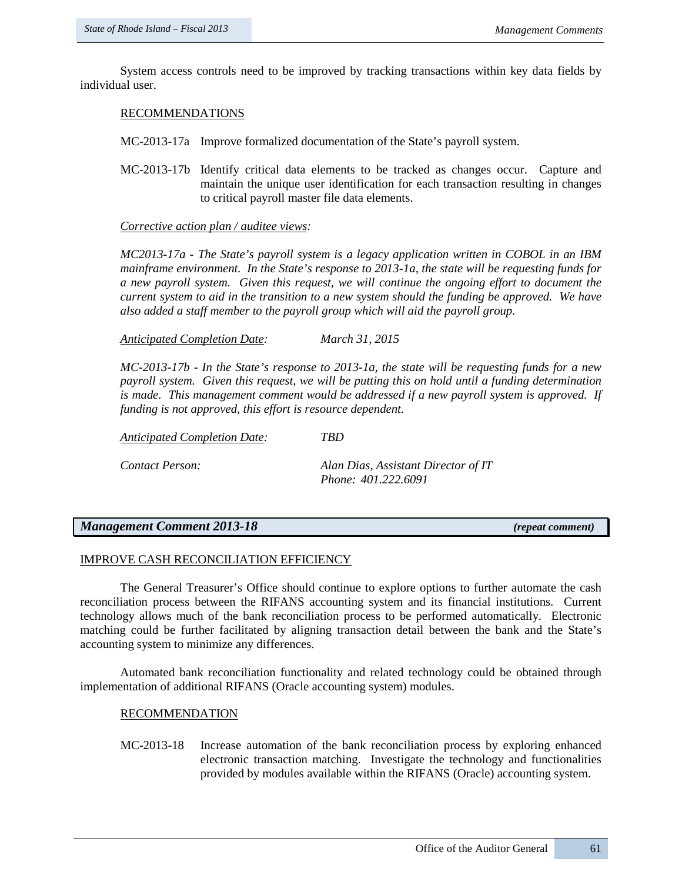System access controls need to be improved by tracking transactions within key data fields by individual user.

### RECOMMENDATIONS

- MC-2013-17a Improve formalized documentation of the State's payroll system.
- MC-2013-17b Identify critical data elements to be tracked as changes occur. Capture and maintain the unique user identification for each transaction resulting in changes to critical payroll master file data elements.

### *Corrective action plan / auditee views:*

*MC2013-17a - The State's payroll system is a legacy application written in COBOL in an IBM mainframe environment. In the State's response to 2013-1a, the state will be requesting funds for a new payroll system. Given this request, we will continue the ongoing effort to document the current system to aid in the transition to a new system should the funding be approved. We have also added a staff member to the payroll group which will aid the payroll group.*

*Anticipated Completion Date: March 31, 2015*

*MC-2013-17b - In the State's response to 2013-1a, the state will be requesting funds for a new payroll system. Given this request, we will be putting this on hold until a funding determination is made. This management comment would be addressed if a new payroll system is approved. If funding is not approved, this effort is resource dependent.*

*Anticipated Completion Date: TBD*

*Contact Person: Alan Dias, Assistant Director of IT Phone: 401.222.6091*

# *Management Comment 2013-18 (repeat comment)*

### IMPROVE CASH RECONCILIATION EFFICIENCY

The General Treasurer's Office should continue to explore options to further automate the cash reconciliation process between the RIFANS accounting system and its financial institutions. Current technology allows much of the bank reconciliation process to be performed automatically. Electronic matching could be further facilitated by aligning transaction detail between the bank and the State's accounting system to minimize any differences.

Automated bank reconciliation functionality and related technology could be obtained through implementation of additional RIFANS (Oracle accounting system) modules.

### RECOMMENDATION

MC-2013-18 Increase automation of the bank reconciliation process by exploring enhanced electronic transaction matching. Investigate the technology and functionalities provided by modules available within the RIFANS (Oracle) accounting system.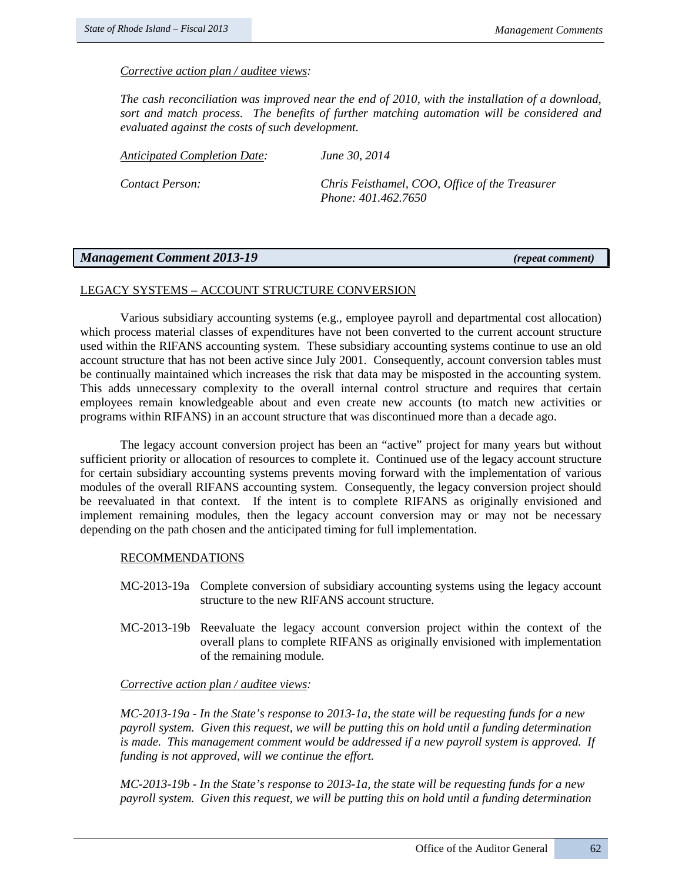## *Corrective action plan / auditee views:*

*The cash reconciliation was improved near the end of 2010, with the installation of a download, sort and match process. The benefits of further matching automation will be considered and evaluated against the costs of such development.* 

*Anticipated Completion Date: June 30, 2014*

*Contact Person: Chris Feisthamel, COO, Office of the Treasurer Phone: 401.462.7650*

# *Management Comment 2013-19 (repeat comment)*

# LEGACY SYSTEMS – ACCOUNT STRUCTURE CONVERSION

Various subsidiary accounting systems (e.g., employee payroll and departmental cost allocation) which process material classes of expenditures have not been converted to the current account structure used within the RIFANS accounting system. These subsidiary accounting systems continue to use an old account structure that has not been active since July 2001. Consequently, account conversion tables must be continually maintained which increases the risk that data may be misposted in the accounting system. This adds unnecessary complexity to the overall internal control structure and requires that certain employees remain knowledgeable about and even create new accounts (to match new activities or programs within RIFANS) in an account structure that was discontinued more than a decade ago.

The legacy account conversion project has been an "active" project for many years but without sufficient priority or allocation of resources to complete it. Continued use of the legacy account structure for certain subsidiary accounting systems prevents moving forward with the implementation of various modules of the overall RIFANS accounting system. Consequently, the legacy conversion project should be reevaluated in that context. If the intent is to complete RIFANS as originally envisioned and implement remaining modules, then the legacy account conversion may or may not be necessary depending on the path chosen and the anticipated timing for full implementation.

### RECOMMENDATIONS

- MC-2013-19a Complete conversion of subsidiary accounting systems using the legacy account structure to the new RIFANS account structure.
- MC-2013-19b Reevaluate the legacy account conversion project within the context of the overall plans to complete RIFANS as originally envisioned with implementation of the remaining module.

### *Corrective action plan / auditee views:*

*MC-2013-19a - In the State's response to 2013-1a, the state will be requesting funds for a new payroll system. Given this request, we will be putting this on hold until a funding determination is made. This management comment would be addressed if a new payroll system is approved. If funding is not approved, will we continue the effort.*

*MC-2013-19b - In the State's response to 2013-1a, the state will be requesting funds for a new payroll system. Given this request, we will be putting this on hold until a funding determination*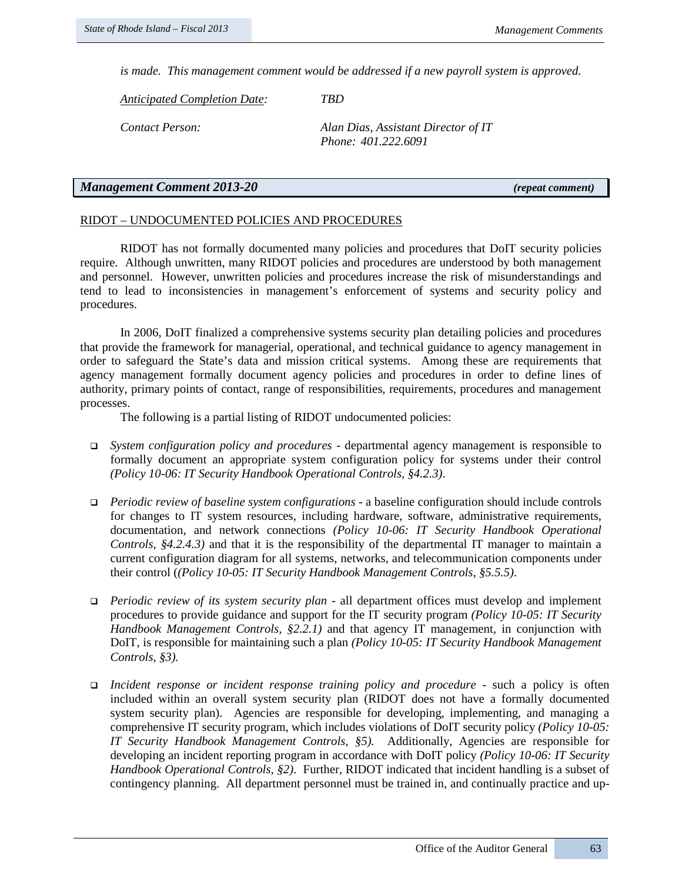*is made. This management comment would be addressed if a new payroll system is approved.* 

*Anticipated Completion Date: TBD*

*Contact Person: Alan Dias, Assistant Director of IT Phone: 401.222.6091*

# *Management Comment 2013-20 (repeat comment)*

#### RIDOT – UNDOCUMENTED POLICIES AND PROCEDURES

RIDOT has not formally documented many policies and procedures that DoIT security policies require. Although unwritten, many RIDOT policies and procedures are understood by both management and personnel. However, unwritten policies and procedures increase the risk of misunderstandings and tend to lead to inconsistencies in management's enforcement of systems and security policy and procedures.

In 2006, DoIT finalized a comprehensive systems security plan detailing policies and procedures that provide the framework for managerial, operational, and technical guidance to agency management in order to safeguard the State's data and mission critical systems. Among these are requirements that agency management formally document agency policies and procedures in order to define lines of authority, primary points of contact, range of responsibilities, requirements, procedures and management processes.

The following is a partial listing of RIDOT undocumented policies:

- *System configuration policy and procedures* departmental agency management is responsible to formally document an appropriate system configuration policy for systems under their control *(Policy 10-06: IT Security Handbook Operational Controls, §4.2.3)*.
- *Periodic review of baseline system configurations* a baseline configuration should include controls for changes to IT system resources, including hardware, software, administrative requirements, documentation, and network connections *(Policy 10-06: IT Security Handbook Operational Controls, §4.2.4.3)* and that it is the responsibility of the departmental IT manager to maintain a current configuration diagram for all systems, networks, and telecommunication components under their control (*(Policy 10-05: IT Security Handbook Management Controls, §5.5.5)*.
- *Periodic review of its system security plan* all department offices must develop and implement procedures to provide guidance and support for the IT security program *(Policy 10-05: IT Security Handbook Management Controls, §2.2.1)* and that agency IT management, in conjunction with DoIT, is responsible for maintaining such a plan *(Policy 10-05: IT Security Handbook Management Controls, §3).*
- *Incident response or incident response training policy and procedure* such a policy is often included within an overall system security plan (RIDOT does not have a formally documented system security plan). Agencies are responsible for developing, implementing, and managing a comprehensive IT security program, which includes violations of DoIT security policy *(Policy 10-05: IT Security Handbook Management Controls, §5).* Additionally, Agencies are responsible for developing an incident reporting program in accordance with DoIT policy *(Policy 10-06: IT Security Handbook Operational Controls, §2)*. Further, RIDOT indicated that incident handling is a subset of contingency planning. All department personnel must be trained in, and continually practice and up-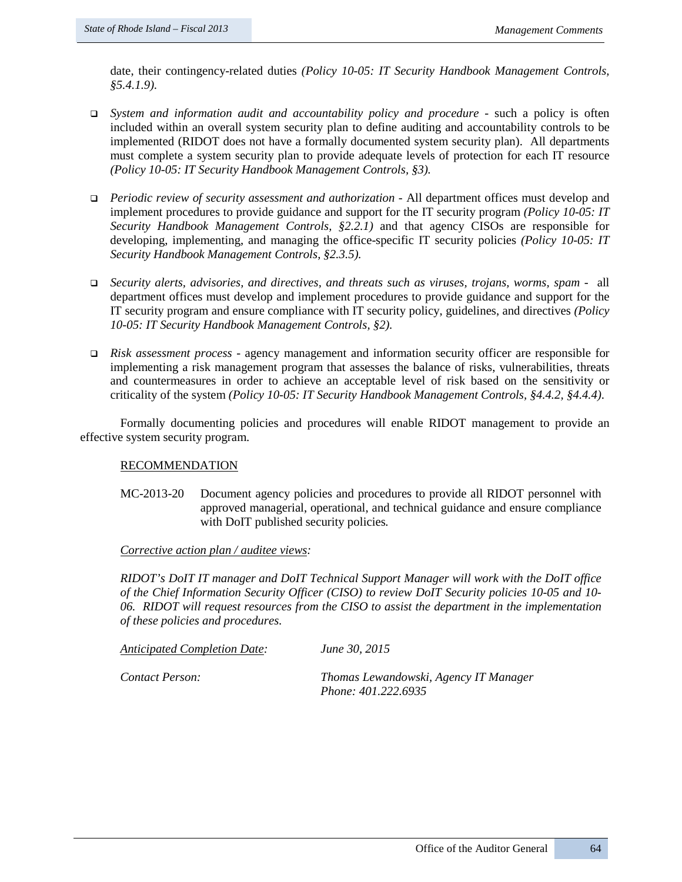date, their contingency-related duties *(Policy 10-05: IT Security Handbook Management Controls, §5.4.1.9).*

- *System and information audit and accountability policy and procedure -* such a policy is often included within an overall system security plan to define auditing and accountability controls to be implemented (RIDOT does not have a formally documented system security plan). All departments must complete a system security plan to provide adequate levels of protection for each IT resource *(Policy 10-05: IT Security Handbook Management Controls, §3).*
- *Periodic review of security assessment and authorization -* All department offices must develop and implement procedures to provide guidance and support for the IT security program *(Policy 10-05: IT Security Handbook Management Controls, §2.2.1)* and that agency CISOs are responsible for developing, implementing, and managing the office-specific IT security policies *(Policy 10-05: IT Security Handbook Management Controls, §2.3.5).*
- *Security alerts, advisories, and directives, and threats such as viruses, trojans, worms, spam* all department offices must develop and implement procedures to provide guidance and support for the IT security program and ensure compliance with IT security policy, guidelines, and directives *(Policy 10-05: IT Security Handbook Management Controls, §2).*
- *Risk assessment process -* agency management and information security officer are responsible for implementing a risk management program that assesses the balance of risks, vulnerabilities, threats and countermeasures in order to achieve an acceptable level of risk based on the sensitivity or criticality of the system *(Policy 10-05: IT Security Handbook Management Controls, §4.4.2, §4.4.4)*.

Formally documenting policies and procedures will enable RIDOT management to provide an effective system security program.

### RECOMMENDATION

MC-2013-20 Document agency policies and procedures to provide all RIDOT personnel with approved managerial, operational, and technical guidance and ensure compliance with DoIT published security policies*.*

## *Corrective action plan / auditee views:*

*RIDOT's DoIT IT manager and DoIT Technical Support Manager will work with the DoIT office of the Chief Information Security Officer (CISO) to review DoIT Security policies 10-05 and 10- 06. RIDOT will request resources from the CISO to assist the department in the implementation of these policies and procedures.* 

| <b>Anticipated Completion Date:</b> | June 30, 2015                                                |
|-------------------------------------|--------------------------------------------------------------|
| Contact Person:                     | Thomas Lewandowski, Agency IT Manager<br>Phone: 401.222.6935 |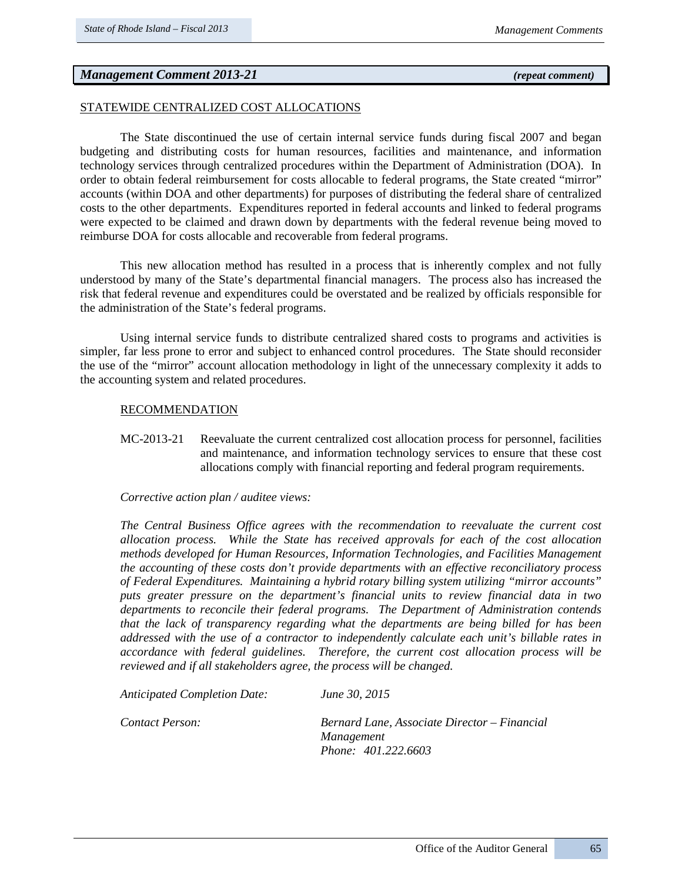## *Management Comment 2013-21 (repeat comment)*

## STATEWIDE CENTRALIZED COST ALLOCATIONS

The State discontinued the use of certain internal service funds during fiscal 2007 and began budgeting and distributing costs for human resources, facilities and maintenance, and information technology services through centralized procedures within the Department of Administration (DOA). In order to obtain federal reimbursement for costs allocable to federal programs, the State created "mirror" accounts (within DOA and other departments) for purposes of distributing the federal share of centralized costs to the other departments. Expenditures reported in federal accounts and linked to federal programs were expected to be claimed and drawn down by departments with the federal revenue being moved to reimburse DOA for costs allocable and recoverable from federal programs.

This new allocation method has resulted in a process that is inherently complex and not fully understood by many of the State's departmental financial managers. The process also has increased the risk that federal revenue and expenditures could be overstated and be realized by officials responsible for the administration of the State's federal programs.

Using internal service funds to distribute centralized shared costs to programs and activities is simpler, far less prone to error and subject to enhanced control procedures. The State should reconsider the use of the "mirror" account allocation methodology in light of the unnecessary complexity it adds to the accounting system and related procedures.

### RECOMMENDATION

MC-2013-21 Reevaluate the current centralized cost allocation process for personnel, facilities and maintenance, and information technology services to ensure that these cost allocations comply with financial reporting and federal program requirements.

### *Corrective action plan / auditee views:*

*The Central Business Office agrees with the recommendation to reevaluate the current cost allocation process. While the State has received approvals for each of the cost allocation methods developed for Human Resources, Information Technologies, and Facilities Management the accounting of these costs don't provide departments with an effective reconciliatory process of Federal Expenditures. Maintaining a hybrid rotary billing system utilizing "mirror accounts" puts greater pressure on the department's financial units to review financial data in two departments to reconcile their federal programs. The Department of Administration contends that the lack of transparency regarding what the departments are being billed for has been addressed with the use of a contractor to independently calculate each unit's billable rates in accordance with federal guidelines. Therefore, the current cost allocation process will be reviewed and if all stakeholders agree, the process will be changed.* 

*Anticipated Completion Date: June 30, 2015*

*Contact Person: Bernard Lane, Associate Director – Financial Management Phone: 401.222.6603*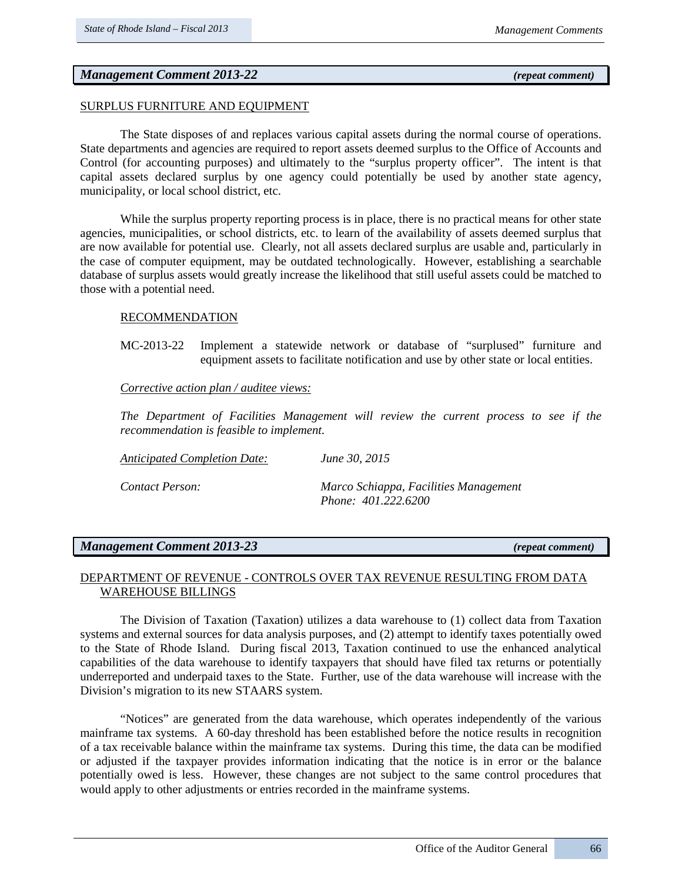# *Management Comment 2013-22 (repeat comment)*

#### SURPLUS FURNITURE AND EQUIPMENT

The State disposes of and replaces various capital assets during the normal course of operations. State departments and agencies are required to report assets deemed surplus to the Office of Accounts and Control (for accounting purposes) and ultimately to the "surplus property officer". The intent is that capital assets declared surplus by one agency could potentially be used by another state agency, municipality, or local school district, etc.

While the surplus property reporting process is in place, there is no practical means for other state agencies, municipalities, or school districts, etc. to learn of the availability of assets deemed surplus that are now available for potential use. Clearly, not all assets declared surplus are usable and, particularly in the case of computer equipment, may be outdated technologically. However, establishing a searchable database of surplus assets would greatly increase the likelihood that still useful assets could be matched to those with a potential need.

#### RECOMMENDATION

MC-2013-22 Implement a statewide network or database of "surplused" furniture and equipment assets to facilitate notification and use by other state or local entities.

#### *Corrective action plan / auditee views:*

*The Department of Facilities Management will review the current process to see if the recommendation is feasible to implement.* 

*Anticipated Completion Date: June 30, 2015*

*Contact Person: Marco Schiappa, Facilities Management Phone: 401.222.6200*

### *Management Comment 2013-23 (repeat comment)*

# DEPARTMENT OF REVENUE - CONTROLS OVER TAX REVENUE RESULTING FROM DATA WAREHOUSE BILLINGS

The Division of Taxation (Taxation) utilizes a data warehouse to (1) collect data from Taxation systems and external sources for data analysis purposes, and (2) attempt to identify taxes potentially owed to the State of Rhode Island. During fiscal 2013, Taxation continued to use the enhanced analytical capabilities of the data warehouse to identify taxpayers that should have filed tax returns or potentially underreported and underpaid taxes to the State. Further, use of the data warehouse will increase with the Division's migration to its new STAARS system.

"Notices" are generated from the data warehouse, which operates independently of the various mainframe tax systems. A 60-day threshold has been established before the notice results in recognition of a tax receivable balance within the mainframe tax systems. During this time, the data can be modified or adjusted if the taxpayer provides information indicating that the notice is in error or the balance potentially owed is less. However, these changes are not subject to the same control procedures that would apply to other adjustments or entries recorded in the mainframe systems.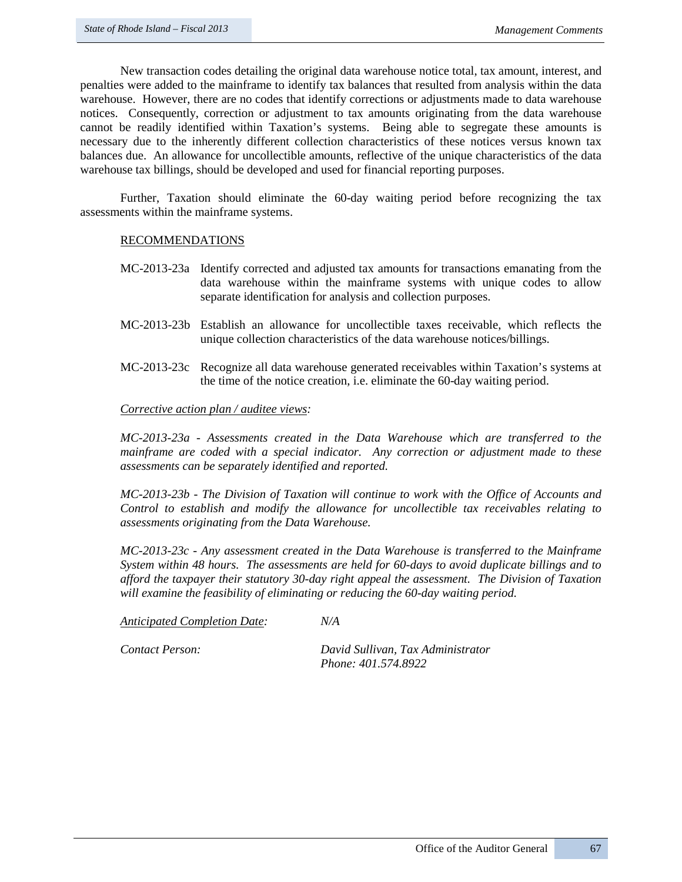New transaction codes detailing the original data warehouse notice total, tax amount, interest, and penalties were added to the mainframe to identify tax balances that resulted from analysis within the data warehouse. However, there are no codes that identify corrections or adjustments made to data warehouse notices. Consequently, correction or adjustment to tax amounts originating from the data warehouse cannot be readily identified within Taxation's systems. Being able to segregate these amounts is necessary due to the inherently different collection characteristics of these notices versus known tax balances due. An allowance for uncollectible amounts, reflective of the unique characteristics of the data warehouse tax billings, should be developed and used for financial reporting purposes.

Further, Taxation should eliminate the 60-day waiting period before recognizing the tax assessments within the mainframe systems.

#### RECOMMENDATIONS

- MC-2013-23a Identify corrected and adjusted tax amounts for transactions emanating from the data warehouse within the mainframe systems with unique codes to allow separate identification for analysis and collection purposes.
- MC-2013-23b Establish an allowance for uncollectible taxes receivable, which reflects the unique collection characteristics of the data warehouse notices/billings.
- MC-2013-23c Recognize all data warehouse generated receivables within Taxation's systems at the time of the notice creation, i.e. eliminate the 60-day waiting period.

### *Corrective action plan / auditee views:*

*MC-2013-23a - Assessments created in the Data Warehouse which are transferred to the mainframe are coded with a special indicator. Any correction or adjustment made to these assessments can be separately identified and reported.* 

*MC-2013-23b - The Division of Taxation will continue to work with the Office of Accounts and Control to establish and modify the allowance for uncollectible tax receivables relating to assessments originating from the Data Warehouse.*

*MC-2013-23c - Any assessment created in the Data Warehouse is transferred to the Mainframe System within 48 hours. The assessments are held for 60-days to avoid duplicate billings and to afford the taxpayer their statutory 30-day right appeal the assessment. The Division of Taxation will examine the feasibility of eliminating or reducing the 60-day waiting period.*

*Anticipated Completion Date: N/A*

*Contact Person: David Sullivan, Tax Administrator Phone: 401.574.8922*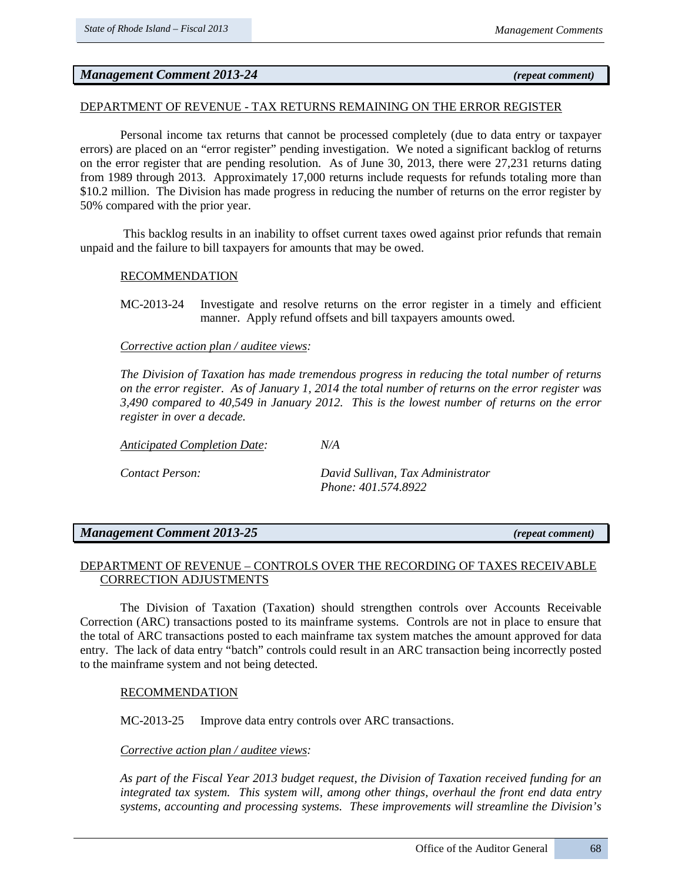## *Management Comment 2013-24 (repeat comment)*

## DEPARTMENT OF REVENUE - TAX RETURNS REMAINING ON THE ERROR REGISTER

Personal income tax returns that cannot be processed completely (due to data entry or taxpayer errors) are placed on an "error register" pending investigation. We noted a significant backlog of returns on the error register that are pending resolution. As of June 30, 2013, there were 27,231 returns dating from 1989 through 2013. Approximately 17,000 returns include requests for refunds totaling more than \$10.2 million. The Division has made progress in reducing the number of returns on the error register by 50% compared with the prior year.

This backlog results in an inability to offset current taxes owed against prior refunds that remain unpaid and the failure to bill taxpayers for amounts that may be owed.

## RECOMMENDATION

MC-2013-24 Investigate and resolve returns on the error register in a timely and efficient manner. Apply refund offsets and bill taxpayers amounts owed.

### *Corrective action plan / auditee views:*

*The Division of Taxation has made tremendous progress in reducing the total number of returns on the error register. As of January 1, 2014 the total number of returns on the error register was 3,490 compared to 40,549 in January 2012. This is the lowest number of returns on the error register in over a decade.* 

*Anticipated Completion Date: N/A*

*Contact Person: David Sullivan, Tax Administrator Phone: 401.574.8922*

# *Management Comment 2013-25 (repeat comment)*

# DEPARTMENT OF REVENUE – CONTROLS OVER THE RECORDING OF TAXES RECEIVABLE CORRECTION ADJUSTMENTS

The Division of Taxation (Taxation) should strengthen controls over Accounts Receivable Correction (ARC) transactions posted to its mainframe systems. Controls are not in place to ensure that the total of ARC transactions posted to each mainframe tax system matches the amount approved for data entry. The lack of data entry "batch" controls could result in an ARC transaction being incorrectly posted to the mainframe system and not being detected.

### RECOMMENDATION

MC-2013-25 Improve data entry controls over ARC transactions.

### *Corrective action plan / auditee views:*

*As part of the Fiscal Year 2013 budget request, the Division of Taxation received funding for an integrated tax system. This system will, among other things, overhaul the front end data entry systems, accounting and processing systems. These improvements will streamline the Division's*